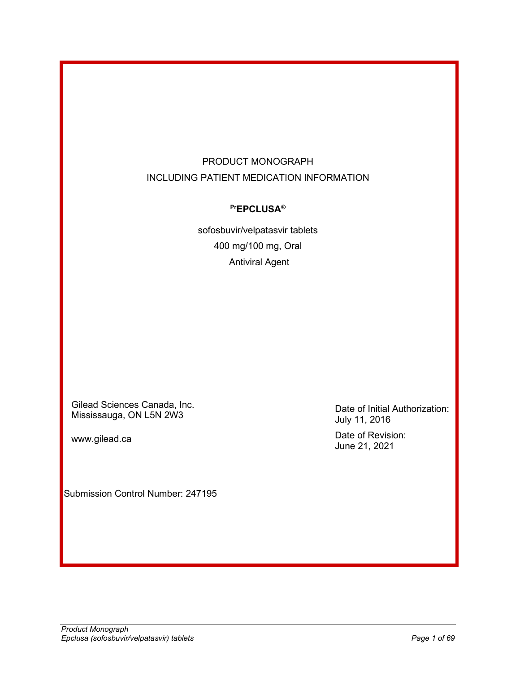# PRODUCT MONOGRAPH INCLUDING PATIENT MEDICATION INFORMATION

# **PrEPCLUSA®**

sofosbuvir/velpatasvir tablets 400 mg/100 mg, Oral Antiviral Agent

Gilead Sciences Canada, Inc. Mississauga, ON L5N 2W3

www.gilead.ca

Submission Control Number: 247195

Date of Initial Authorization: July 11, 2016 Date of Revision: June 21, 2021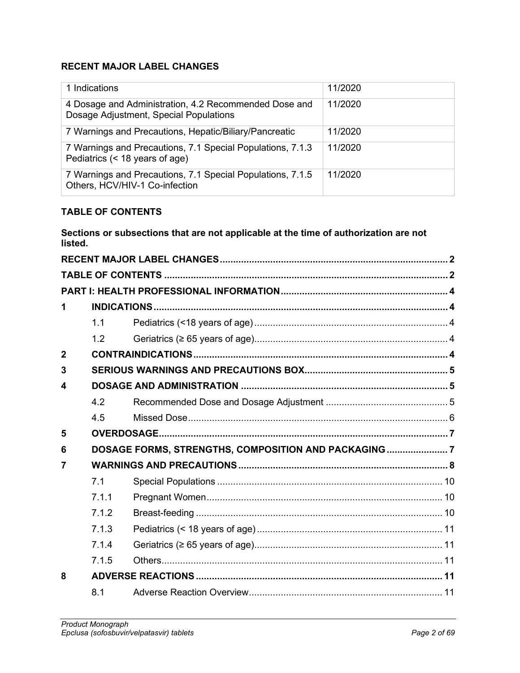## <span id="page-1-0"></span>**RECENT MAJOR LABEL CHANGES**

| 1 Indications                                                                                   | 11/2020 |
|-------------------------------------------------------------------------------------------------|---------|
| 4 Dosage and Administration, 4.2 Recommended Dose and<br>Dosage Adjustment, Special Populations | 11/2020 |
| 7 Warnings and Precautions, Hepatic/Biliary/Pancreatic                                          | 11/2020 |
| 7 Warnings and Precautions, 7.1 Special Populations, 7.1.3<br>Pediatrics (< 18 years of age)    | 11/2020 |
| 7 Warnings and Precautions, 7.1 Special Populations, 7.1.5<br>Others, HCV/HIV-1 Co-infection    | 11/2020 |

## <span id="page-1-1"></span>**TABLE OF CONTENTS**

**Sections or subsections that are not applicable at the time of authorization are not listed.**

| 1              |       |                                                      |  |
|----------------|-------|------------------------------------------------------|--|
|                | 1.1   |                                                      |  |
|                | 1.2   |                                                      |  |
| $\overline{2}$ |       |                                                      |  |
| 3              |       |                                                      |  |
| 4              |       |                                                      |  |
|                | 4.2   |                                                      |  |
|                | 4.5   |                                                      |  |
| 5              |       |                                                      |  |
| 6              |       | DOSAGE FORMS, STRENGTHS, COMPOSITION AND PACKAGING 7 |  |
| 7              |       |                                                      |  |
|                | 7.1   |                                                      |  |
|                | 7.1.1 |                                                      |  |
|                | 7.1.2 |                                                      |  |
|                | 7.1.3 |                                                      |  |
|                | 7.1.4 |                                                      |  |
|                | 7.1.5 |                                                      |  |
| 8              |       |                                                      |  |
|                | 8.1   |                                                      |  |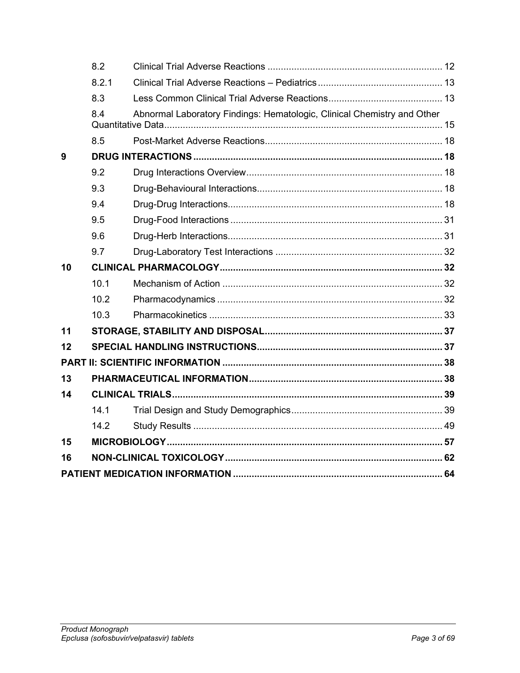|    | 8.2   |                                                                         |  |
|----|-------|-------------------------------------------------------------------------|--|
|    | 8.2.1 |                                                                         |  |
|    | 8.3   |                                                                         |  |
|    | 8.4   | Abnormal Laboratory Findings: Hematologic, Clinical Chemistry and Other |  |
|    | 8.5   |                                                                         |  |
| 9  |       |                                                                         |  |
|    | 9.2   |                                                                         |  |
|    | 9.3   |                                                                         |  |
|    | 9.4   |                                                                         |  |
|    | 9.5   |                                                                         |  |
|    | 9.6   |                                                                         |  |
|    | 9.7   |                                                                         |  |
| 10 |       |                                                                         |  |
|    | 10.1  |                                                                         |  |
|    | 10.2  |                                                                         |  |
|    | 10.3  |                                                                         |  |
| 11 |       |                                                                         |  |
| 12 |       |                                                                         |  |
|    |       |                                                                         |  |
| 13 |       |                                                                         |  |
| 14 |       |                                                                         |  |
|    | 14.1  |                                                                         |  |
|    | 14.2  |                                                                         |  |
| 15 |       |                                                                         |  |
| 16 |       |                                                                         |  |
|    |       |                                                                         |  |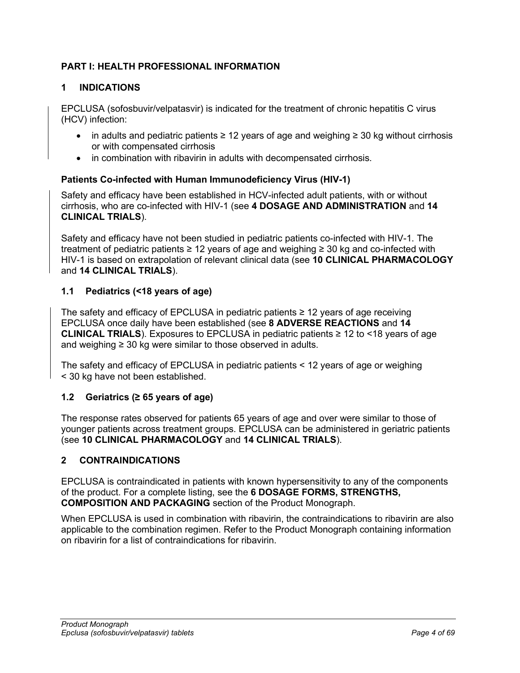# <span id="page-3-0"></span>**PART I: HEALTH PROFESSIONAL INFORMATION**

## <span id="page-3-1"></span>**1 INDICATIONS**

EPCLUSA (sofosbuvir/velpatasvir) is indicated for the treatment of chronic hepatitis C virus (HCV) infection:

- in adults and pediatric patients ≥ 12 years of age and weighing  $≥$  30 kg without cirrhosis or with compensated cirrhosis
- in combination with ribavirin in adults with decompensated cirrhosis.

## **Patients Co-infected with Human Immunodeficiency Virus (HIV-1)**

Safety and efficacy have been established in HCV-infected adult patients, with or without cirrhosis, who are co-infected with HIV-1 (see **4 [DOSAGE AND ADMINISTRATION](#page-4-1)** and **14 [CLINICAL TRIALS](#page-38-0)**).

Safety and efficacy have not been studied in pediatric patients co-infected with HIV-1. The treatment of pediatric patients ≥ 12 years of age and weighing ≥ 30 kg and co-infected with HIV-1 is based on extrapolation of relevant clinical data (see **10 [CLINICAL PHARMACOLOGY](#page-31-1)** and **14 [CLINICAL TRIALS](#page-38-0)**).

## <span id="page-3-2"></span>**1.1 Pediatrics (<18 years of age)**

The safety and efficacy of EPCLUSA in pediatric patients ≥ 12 years of age receiving EPCLUSA once daily have been established (see **8 [ADVERSE REACTIONS](#page-10-3)** and **14 [CLINICAL TRIALS](#page-38-0)**). Exposures to EPCLUSA in pediatric patients ≥ 12 to <18 years of age and weighing  $\geq$  30 kg were similar to those observed in adults.

The safety and efficacy of EPCLUSA in pediatric patients < 12 years of age or weighing < 30 kg have not been established.

## <span id="page-3-3"></span>**1.2 Geriatrics (≥ 65 years of age)**

The response rates observed for patients 65 years of age and over were similar to those of younger patients across treatment groups. EPCLUSA can be administered in geriatric patients (see **10 [CLINICAL PHARMACOLOGY](#page-31-1)** and **14 [CLINICAL TRIALS](#page-38-0)**).

## <span id="page-3-4"></span>**2 CONTRAINDICATIONS**

EPCLUSA is contraindicated in patients with known hypersensitivity to any of the components of the product. For a complete listing, see the **6 [DOSAGE FORMS, STRENGTHS,](#page-6-1)  [COMPOSITION AND PACKAGING](#page-6-1)** section of the Product Monograph.

When EPCLUSA is used in combination with ribavirin, the contraindications to ribavirin are also applicable to the combination regimen. Refer to the Product Monograph containing information on ribavirin for a list of contraindications for ribavirin.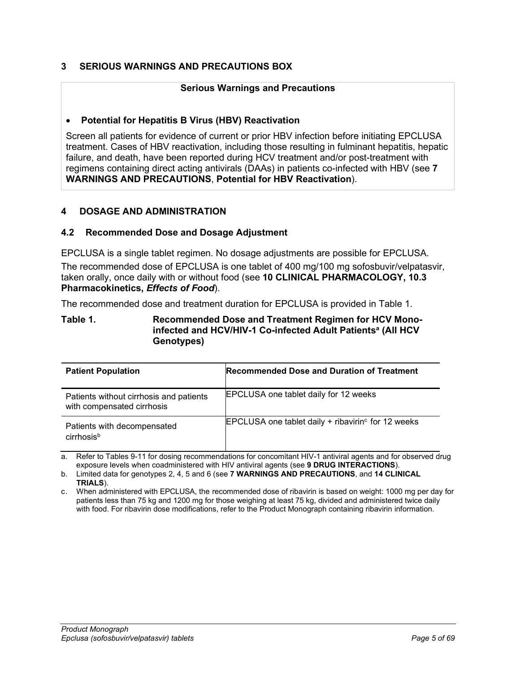## <span id="page-4-0"></span>**3 SERIOUS WARNINGS AND PRECAUTIONS BOX**

### **Serious Warnings and Precautions**

### • **Potential for Hepatitis B Virus (HBV) Reactivation**

Screen all patients for evidence of current or prior HBV infection before initiating EPCLUSA treatment. Cases of HBV reactivation, including those resulting in fulminant hepatitis, hepatic failure, and death, have been reported during HCV treatment and/or post-treatment with regimens containing direct acting antivirals (DAAs) in patients co-infected with HBV (see **7 [WARNINGS AND PRECAUTIONS](#page-7-0)**, **Potential for HBV Reactivation**).

### <span id="page-4-1"></span>**4 DOSAGE AND ADMINISTRATION**

#### <span id="page-4-2"></span>**4.2 Recommended Dose and Dosage Adjustment**

EPCLUSA is a single tablet regimen. No dosage adjustments are possible for EPCLUSA. The recommended dose of EPCLUSA is one tablet of 400 mg/100 mg sofosbuvir/velpatasvir, taken orally, once daily with or without food (see **10 [CLINICAL PHARMACOLOGY,](#page-31-1) 10.3 Pharmacokinetics,** *Effects of Food*).

The recommended dose and treatment duration for EPCLUSA is provided in [Table](#page-4-3) 1.

#### <span id="page-4-3"></span>**Table 1. Recommended Dose and Treatment Regimen for HCV Monoinfected and HCV/HIV-1 Co-infected Adult Patients<sup>a</sup> (All HCV) Genotypes)**

| <b>Patient Population</b>                                             | <b>Recommended Dose and Duration of Treatment</b>                |
|-----------------------------------------------------------------------|------------------------------------------------------------------|
| Patients without cirrhosis and patients<br>with compensated cirrhosis | <b>EPCLUSA</b> one tablet daily for 12 weeks                     |
| Patients with decompensated<br>cirrhosis <sup>b</sup>                 | EPCLUSA one tablet daily $+$ ribavirin <sup>c</sup> for 12 weeks |

a. Refer to Tables 9-11 for dosing recommendations for concomitant HIV-1 antiviral agents and for observed drug exposure levels when coadministered with HIV antiviral agents (see **9 [DRUG INTERACTIONS](#page-17-1)**).

b. Limited data for genotypes 2, 4, 5 and 6 (see **7 [WARNINGS AND PRECAUTIONS](#page-7-0)**, and **14 [CLINICAL](#page-38-0)  [TRIALS](#page-38-0)**).

c. When administered with EPCLUSA, the recommended dose of ribavirin is based on weight: 1000 mg per day for patients less than 75 kg and 1200 mg for those weighing at least 75 kg, divided and administered twice daily with food. For ribavirin dose modifications, refer to the Product Monograph containing ribavirin information.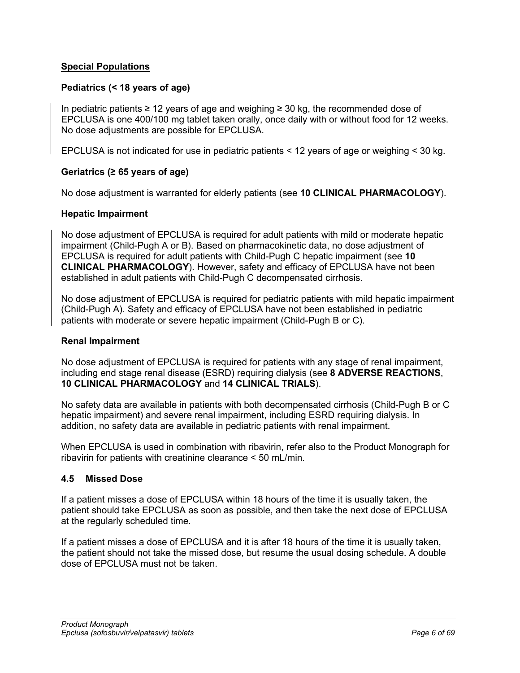## **Special Populations**

## **Pediatrics (< 18 years of age)**

In pediatric patients ≥ 12 years of age and weighing ≥ 30 kg, the recommended dose of EPCLUSA is one 400/100 mg tablet taken orally, once daily with or without food for 12 weeks. No dose adjustments are possible for EPCLUSA.

EPCLUSA is not indicated for use in pediatric patients < 12 years of age or weighing < 30 kg.

### **Geriatrics (≥ 65 years of age)**

No dose adjustment is warranted for elderly patients (see **10 [CLINICAL PHARMACOLOGY](#page-31-1)**).

### **Hepatic Impairment**

No dose adjustment of EPCLUSA is required for adult patients with mild or moderate hepatic impairment (Child-Pugh A or B). Based on pharmacokinetic data, no dose adjustment of EPCLUSA is required for adult patients with Child-Pugh C hepatic impairment (see **10 [CLINICAL PHARMACOLOGY](#page-31-1)**). However, safety and efficacy of EPCLUSA have not been established in adult patients with Child-Pugh C decompensated cirrhosis.

No dose adjustment of EPCLUSA is required for pediatric patients with mild hepatic impairment (Child-Pugh A). Safety and efficacy of EPCLUSA have not been established in pediatric patients with moderate or severe hepatic impairment (Child-Pugh B or C).

#### **Renal Impairment**

No dose adjustment of EPCLUSA is required for patients with any stage of renal impairment, including end stage renal disease (ESRD) requiring dialysis (see **8 [ADVERSE REACTIONS](#page-10-3)**, **10 [CLINICAL PHARMACOLOGY](#page-31-1)** and **14 [CLINICAL TRIALS](#page-38-0)**).

No safety data are available in patients with both decompensated cirrhosis (Child-Pugh B or C hepatic impairment) and severe renal impairment, including ESRD requiring dialysis. In addition, no safety data are available in pediatric patients with renal impairment.

When EPCLUSA is used in combination with ribavirin, refer also to the Product Monograph for ribavirin for patients with creatinine clearance < 50 mL/min.

#### <span id="page-5-0"></span>**4.5 Missed Dose**

If a patient misses a dose of EPCLUSA within 18 hours of the time it is usually taken, the patient should take EPCLUSA as soon as possible, and then take the next dose of EPCLUSA at the regularly scheduled time.

If a patient misses a dose of EPCLUSA and it is after 18 hours of the time it is usually taken, the patient should not take the missed dose, but resume the usual dosing schedule. A double dose of FPCLUSA must not be taken.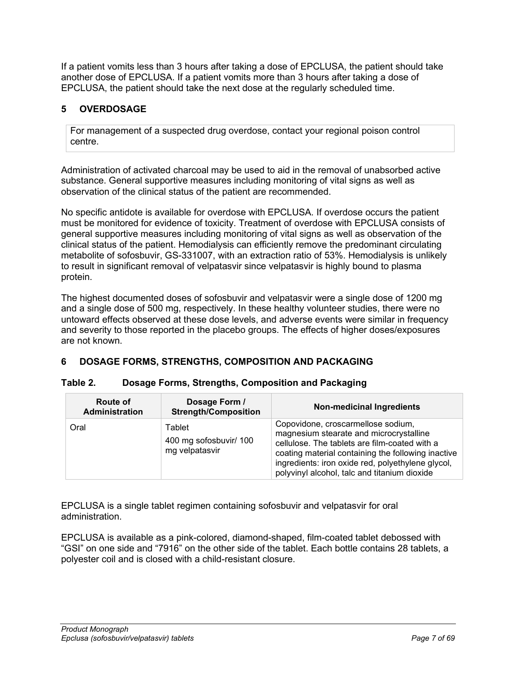If a patient vomits less than 3 hours after taking a dose of EPCLUSA, the patient should take another dose of EPCLUSA. If a patient vomits more than 3 hours after taking a dose of EPCLUSA, the patient should take the next dose at the regularly scheduled time.

# <span id="page-6-0"></span>**5 OVERDOSAGE**

For management of a suspected drug overdose, contact your regional poison control centre.

Administration of activated charcoal may be used to aid in the removal of unabsorbed active substance. General supportive measures including monitoring of vital signs as well as observation of the clinical status of the patient are recommended.

No specific antidote is available for overdose with EPCLUSA. If overdose occurs the patient must be monitored for evidence of toxicity. Treatment of overdose with EPCLUSA consists of general supportive measures including monitoring of vital signs as well as observation of the clinical status of the patient. Hemodialysis can efficiently remove the predominant circulating metabolite of sofosbuvir, GS-331007, with an extraction ratio of 53%. Hemodialysis is unlikely to result in significant removal of velpatasvir since velpatasvir is highly bound to plasma protein.

The highest documented doses of sofosbuvir and velpatasvir were a single dose of 1200 mg and a single dose of 500 mg, respectively. In these healthy volunteer studies, there were no untoward effects observed at these dose levels, and adverse events were similar in frequency and severity to those reported in the placebo groups. The effects of higher doses/exposures are not known.

# <span id="page-6-1"></span>**6 DOSAGE FORMS, STRENGTHS, COMPOSITION AND PACKAGING**

| <b>Route of</b><br>Administration | Dosage Form /<br><b>Strength/Composition</b>       | <b>Non-medicinal Ingredients</b>                                                                                                                                                                                                                                                          |
|-----------------------------------|----------------------------------------------------|-------------------------------------------------------------------------------------------------------------------------------------------------------------------------------------------------------------------------------------------------------------------------------------------|
| Oral                              | Tablet<br>400 mg sofosbuvir/ 100<br>mg velpatasvir | Copovidone, croscarmellose sodium,<br>magnesium stearate and microcrystalline<br>cellulose. The tablets are film-coated with a<br>coating material containing the following inactive<br>ingredients: iron oxide red, polyethylene glycol,<br>polyvinyl alcohol, talc and titanium dioxide |

## **Table 2. Dosage Forms, Strengths, Composition and Packaging**

EPCLUSA is a single tablet regimen containing sofosbuvir and velpatasvir for oral administration.

EPCLUSA is available as a pink-colored, diamond-shaped, film-coated tablet debossed with "GSI" on one side and "7916" on the other side of the tablet. Each bottle contains 28 tablets, a polyester coil and is closed with a child-resistant closure.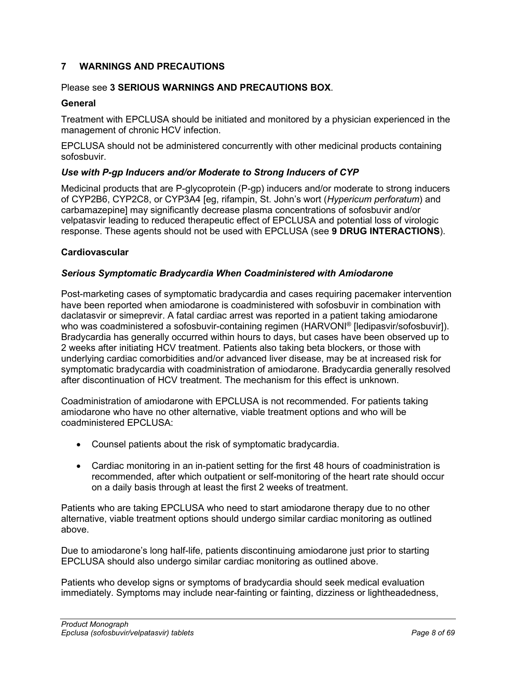## <span id="page-7-0"></span>**7 WARNINGS AND PRECAUTIONS**

## Please see **3 [SERIOUS WARNINGS AND PRECAUTIONS BOX](#page-4-0)**.

## **General**

Treatment with EPCLUSA should be initiated and monitored by a physician experienced in the management of chronic HCV infection.

EPCLUSA should not be administered concurrently with other medicinal products containing sofosbuvir.

## *Use with P-gp Inducers and/or Moderate to Strong Inducers of CYP*

Medicinal products that are P-glycoprotein (P-gp) inducers and/or moderate to strong inducers of CYP2B6, CYP2C8, or CYP3A4 [eg, rifampin, St. John's wort (*Hypericum perforatum*) and carbamazepine] may significantly decrease plasma concentrations of sofosbuvir and/or velpatasvir leading to reduced therapeutic effect of EPCLUSA and potential loss of virologic response. These agents should not be used with EPCLUSA (see **9 [DRUG INTERACTIONS](#page-17-1)**).

### **Cardiovascular**

## *Serious Symptomatic Bradycardia When Coadministered with Amiodarone*

Post-marketing cases of symptomatic bradycardia and cases requiring pacemaker intervention have been reported when amiodarone is coadministered with sofosbuvir in combination with daclatasvir or simeprevir. A fatal cardiac arrest was reported in a patient taking amiodarone who was coadministered a sofosbuvir-containing regimen (HARVONI® [ledipasvir/sofosbuvir]). Bradycardia has generally occurred within hours to days, but cases have been observed up to 2 weeks after initiating HCV treatment. Patients also taking beta blockers, or those with underlying cardiac comorbidities and/or advanced liver disease, may be at increased risk for symptomatic bradycardia with coadministration of amiodarone. Bradycardia generally resolved after discontinuation of HCV treatment. The mechanism for this effect is unknown.

Coadministration of amiodarone with EPCLUSA is not recommended. For patients taking amiodarone who have no other alternative, viable treatment options and who will be coadministered FPCLUSA:

- Counsel patients about the risk of symptomatic bradycardia.
- Cardiac monitoring in an in-patient setting for the first 48 hours of coadministration is recommended, after which outpatient or self-monitoring of the heart rate should occur on a daily basis through at least the first 2 weeks of treatment.

Patients who are taking EPCLUSA who need to start amiodarone therapy due to no other alternative, viable treatment options should undergo similar cardiac monitoring as outlined above.

Due to amiodarone's long half-life, patients discontinuing amiodarone just prior to starting EPCLUSA should also undergo similar cardiac monitoring as outlined above.

Patients who develop signs or symptoms of bradycardia should seek medical evaluation immediately. Symptoms may include near-fainting or fainting, dizziness or lightheadedness,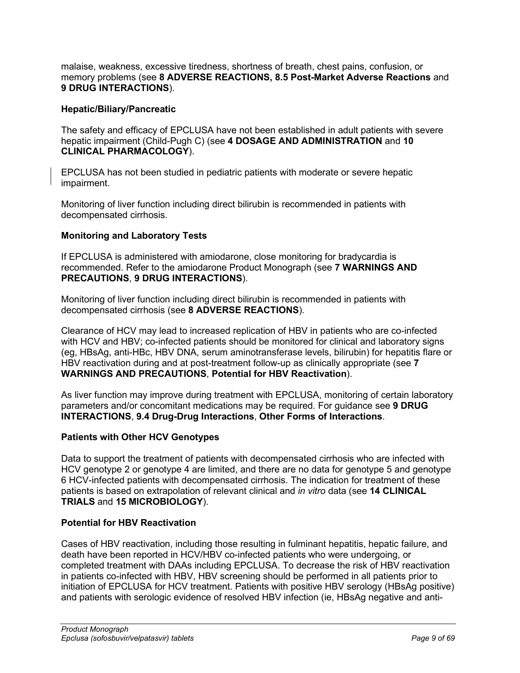malaise, weakness, excessive tiredness, shortness of breath, chest pains, confusion, or memory problems (see **8 [ADVERSE REACTIONS,](#page-10-3) 8.5 Post-Market Adverse Reactions** and **9 [DRUG INTERACTIONS](#page-17-1)**).

## **Hepatic/Biliary/Pancreatic**

The safety and efficacy of EPCLUSA have not been established in adult patients with severe hepatic impairment (Child-Pugh C) (see **4 [DOSAGE AND ADMINISTRATION](#page-4-1)** and **10 [CLINICAL PHARMACOLOGY](#page-31-1)**).

EPCLUSA has not been studied in pediatric patients with moderate or severe hepatic impairment.

Monitoring of liver function including direct bilirubin is recommended in patients with decompensated cirrhosis.

## **Monitoring and Laboratory Tests**

If EPCLUSA is administered with amiodarone, close monitoring for bradycardia is recommended. Refer to the amiodarone Product Monograph (see **7 [WARNINGS AND](#page-7-0)  [PRECAUTIONS](#page-7-0)**, **9 [DRUG INTERACTIONS](#page-17-1)**).

Monitoring of liver function including direct bilirubin is recommended in patients with decompensated cirrhosis (see **8 [ADVERSE REACTIONS](#page-10-3)**).

Clearance of HCV may lead to increased replication of HBV in patients who are co-infected with HCV and HBV; co-infected patients should be monitored for clinical and laboratory signs (eg, HBsAg, anti-HBc, HBV DNA, serum aminotransferase levels, bilirubin) for hepatitis flare or HBV reactivation during and at post-treatment follow-up as clinically appropriate (see **7 [WARNINGS AND PRECAUTIONS](#page-7-0)**, **Potential for HBV Reactivation**).

As liver function may improve during treatment with EPCLUSA, monitoring of certain laboratory parameters and/or concomitant medications may be required. For guidance see **[9](#page-17-1) [DRUG](#page-17-1)  [INTERACTIONS](#page-17-1)**, **9.4 Drug-Drug Interactions**, **Other Forms of Interactions**.

## **Patients with Other HCV Genotypes**

Data to support the treatment of patients with decompensated cirrhosis who are infected with HCV genotype 2 or genotype 4 are limited, and there are no data for genotype 5 and genotype 6 HCV-infected patients with decompensated cirrhosis. The indication for treatment of these patients is based on extrapolation of relevant clinical and *in vitro* data (see **14 [CLINICAL](#page-38-0)  [TRIALS](#page-38-0)** and **15 [MICROBIOLOGY](#page-56-0)**).

## **Potential for HBV Reactivation**

Cases of HBV reactivation, including those resulting in fulminant hepatitis, hepatic failure, and death have been reported in HCV/HBV co-infected patients who were undergoing, or completed treatment with DAAs including EPCLUSA. To decrease the risk of HBV reactivation in patients co-infected with HBV, HBV screening should be performed in all patients prior to initiation of EPCLUSA for HCV treatment. Patients with positive HBV serology (HBsAg positive) and patients with serologic evidence of resolved HBV infection (ie, HBsAg negative and anti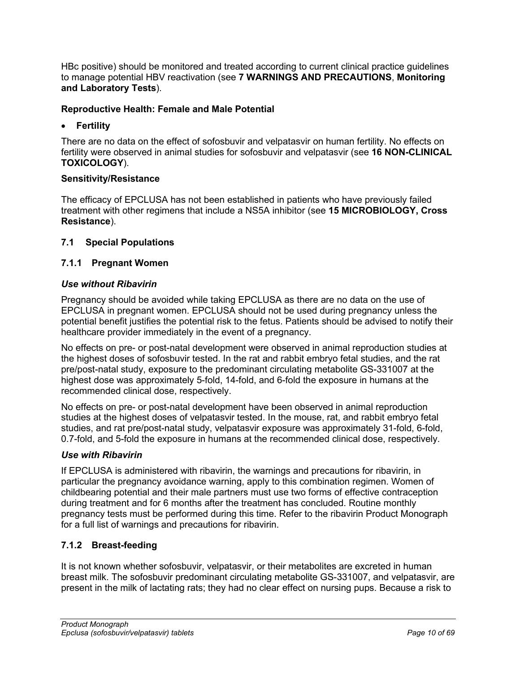HBc positive) should be monitored and treated according to current clinical practice guidelines to manage potential HBV reactivation (see **7 [WARNINGS AND PRECAUTIONS](#page-7-0)**, **Monitoring and Laboratory Tests**).

## **Reproductive Health: Female and Male Potential**

## • **Fertility**

There are no data on the effect of sofosbuvir and velpatasvir on human fertility. No effects on fertility were observed in animal studies for sofosbuvir and velpatasvir (see **16 [NON-CLINICAL](#page-61-0)  [TOXICOLOGY](#page-61-0)**).

## **Sensitivity/Resistance**

The efficacy of EPCLUSA has not been established in patients who have previously failed treatment with other regimens that include a NS5A inhibitor (see **15 [MICROBIOLOGY,](#page-56-0) Cross Resistance**).

## <span id="page-9-0"></span>**7.1 Special Populations**

## <span id="page-9-1"></span>**7.1.1 Pregnant Women**

## *Use without Ribavirin*

Pregnancy should be avoided while taking EPCLUSA as there are no data on the use of EPCLUSA in pregnant women. EPCLUSA should not be used during pregnancy unless the potential benefit justifies the potential risk to the fetus. Patients should be advised to notify their healthcare provider immediately in the event of a pregnancy.

No effects on pre- or post-natal development were observed in animal reproduction studies at the highest doses of sofosbuvir tested. In the rat and rabbit embryo fetal studies, and the rat pre/post-natal study, exposure to the predominant circulating metabolite GS-331007 at the highest dose was approximately 5-fold, 14-fold, and 6-fold the exposure in humans at the recommended clinical dose, respectively.

No effects on pre- or post-natal development have been observed in animal reproduction studies at the highest doses of velpatasvir tested. In the mouse, rat, and rabbit embryo fetal studies, and rat pre/post-natal study, velpatasvir exposure was approximately 31-fold, 6-fold, 0.7-fold, and 5-fold the exposure in humans at the recommended clinical dose, respectively.

## *Use with Ribavirin*

If EPCLUSA is administered with ribavirin, the warnings and precautions for ribavirin, in particular the pregnancy avoidance warning, apply to this combination regimen. Women of childbearing potential and their male partners must use two forms of effective contraception during treatment and for 6 months after the treatment has concluded. Routine monthly pregnancy tests must be performed during this time. Refer to the ribavirin Product Monograph for a full list of warnings and precautions for ribavirin.

## <span id="page-9-2"></span>**7.1.2 Breast-feeding**

It is not known whether sofosbuvir, velpatasvir, or their metabolites are excreted in human breast milk. The sofosbuvir predominant circulating metabolite GS-331007, and velpatasvir, are present in the milk of lactating rats; they had no clear effect on nursing pups. Because a risk to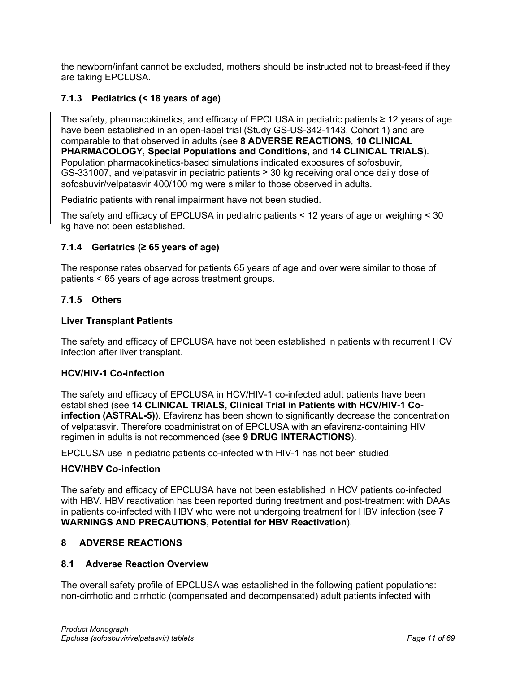the newborn/infant cannot be excluded, mothers should be instructed not to breast-feed if they are taking EPCLUSA.

# <span id="page-10-0"></span>**7.1.3 Pediatrics (< 18 years of age)**

The safety, pharmacokinetics, and efficacy of EPCLUSA in pediatric patients ≥ 12 years of age have been established in an open-label trial (Study GS-US-342-1143, Cohort 1) and are comparable to that observed in adults (see **8 [ADVERSE REACTIONS](#page-10-3)**, **10 [CLINICAL](#page-31-1)  [PHARMACOLOGY](#page-31-1)**, **Special Populations and Conditions**, and **14 [CLINICAL TRIALS](#page-38-0)**). Population pharmacokinetics-based simulations indicated exposures of sofosbuvir, GS-331007, and velpatasvir in pediatric patients ≥ 30 kg receiving oral once daily dose of sofosbuvir/velpatasvir 400/100 mg were similar to those observed in adults.

Pediatric patients with renal impairment have not been studied.

The safety and efficacy of EPCLUSA in pediatric patients < 12 years of age or weighing < 30 kg have not been established.

## <span id="page-10-1"></span>**7.1.4 Geriatrics (≥ 65 years of age)**

The response rates observed for patients 65 years of age and over were similar to those of patients < 65 years of age across treatment groups.

## <span id="page-10-2"></span>**7.1.5 Others**

## **Liver Transplant Patients**

The safety and efficacy of EPCLUSA have not been established in patients with recurrent HCV infection after liver transplant.

## **HCV/HIV-1 Co-infection**

The safety and efficacy of EPCLUSA in HCV/HIV-1 co-infected adult patients have been established (see **14 [CLINICAL TRIALS,](#page-38-0) Clinical Trial in Patients with HCV/HIV-1 Coinfection (ASTRAL-5)**). Efavirenz has been shown to significantly decrease the concentration of velpatasvir. Therefore coadministration of EPCLUSA with an efavirenz-containing HIV regimen in adults is not recommended (see **9 [DRUG INTERACTIONS](#page-17-1)**).

EPCLUSA use in pediatric patients co-infected with HIV-1 has not been studied.

## **HCV/HBV Co-infection**

The safety and efficacy of EPCLUSA have not been established in HCV patients co-infected with HBV. HBV reactivation has been reported during treatment and post-treatment with DAAs in patients co-infected with HBV who were not undergoing treatment for HBV infection (see **7 [WARNINGS AND PRECAUTIONS](#page-7-0)**, **Potential for HBV Reactivation**).

## <span id="page-10-3"></span>**8 ADVERSE REACTIONS**

#### <span id="page-10-4"></span>**8.1 Adverse Reaction Overview**

The overall safety profile of EPCLUSA was established in the following patient populations: non-cirrhotic and cirrhotic (compensated and decompensated) adult patients infected with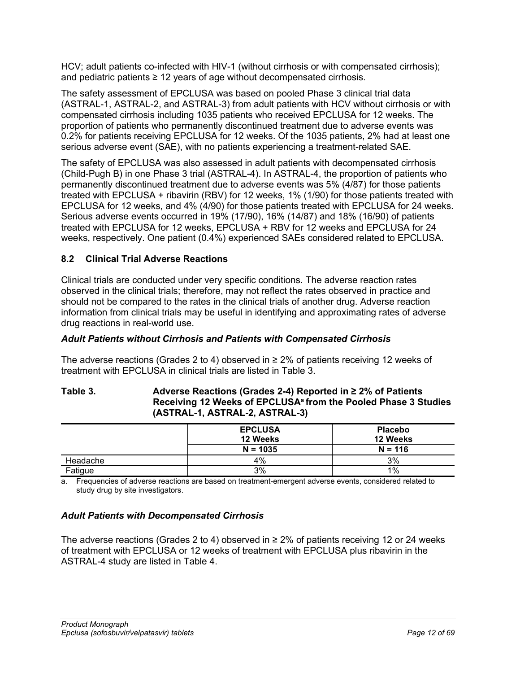HCV; adult patients co-infected with HIV-1 (without cirrhosis or with compensated cirrhosis); and pediatric patients  $\geq 12$  years of age without decompensated cirrhosis.

The safety assessment of EPCLUSA was based on pooled Phase 3 clinical trial data (ASTRAL-1, ASTRAL-2, and ASTRAL-3) from adult patients with HCV without cirrhosis or with compensated cirrhosis including 1035 patients who received EPCLUSA for 12 weeks. The proportion of patients who permanently discontinued treatment due to adverse events was 0.2% for patients receiving EPCLUSA for 12 weeks. Of the 1035 patients, 2% had at least one serious adverse event (SAE), with no patients experiencing a treatment-related SAE.

The safety of EPCLUSA was also assessed in adult patients with decompensated cirrhosis (Child-Pugh B) in one Phase 3 trial (ASTRAL-4). In ASTRAL-4, the proportion of patients who permanently discontinued treatment due to adverse events was 5% (4/87) for those patients treated with EPCLUSA + ribavirin (RBV) for 12 weeks, 1% (1/90) for those patients treated with EPCLUSA for 12 weeks, and 4% (4/90) for those patients treated with EPCLUSA for 24 weeks. Serious adverse events occurred in 19% (17/90), 16% (14/87) and 18% (16/90) of patients treated with EPCLUSA for 12 weeks, EPCLUSA + RBV for 12 weeks and EPCLUSA for 24 weeks, respectively. One patient (0.4%) experienced SAEs considered related to EPCLUSA.

## <span id="page-11-0"></span>**8.2 Clinical Trial Adverse Reactions**

Clinical trials are conducted under very specific conditions. The adverse reaction rates observed in the clinical trials; therefore, may not reflect the rates observed in practice and should not be compared to the rates in the clinical trials of another drug. Adverse reaction information from clinical trials may be useful in identifying and approximating rates of adverse drug reactions in real-world use.

## *Adult Patients without Cirrhosis and Patients with Compensated Cirrhosis*

The adverse reactions (Grades 2 to 4) observed in  $\geq 2\%$  of patients receiving 12 weeks of treatment with EPCLUSA in clinical trials are listed in [Table 3.](#page-11-1)

### <span id="page-11-1"></span>**Table 3. Adverse Reactions (Grades 2-4) Reported in ≥ 2% of Patients**  Receiving 12 Weeks of EPCLUSA<sup>a</sup> from the Pooled Phase 3 Studies **(ASTRAL-1, ASTRAL-2, ASTRAL-3)**

|          | <b>EPCLUSA</b><br>12 Weeks | <b>Placebo</b><br>12 Weeks |  |
|----------|----------------------------|----------------------------|--|
|          | $N = 1035$                 | $N = 116$                  |  |
| Headache | 4%                         | 3%                         |  |
| Fatigue  | 3%                         | 1%                         |  |

a. Frequencies of adverse reactions are based on treatment-emergent adverse events, considered related to study drug by site investigators.

## *Adult Patients with Decompensated Cirrhosis*

The adverse reactions (Grades 2 to 4) observed in  $\geq 2\%$  of patients receiving 12 or 24 weeks of treatment with EPCLUSA or 12 weeks of treatment with EPCLUSA plus ribavirin in the ASTRAL-4 study are listed in [Table 4.](#page-12-2)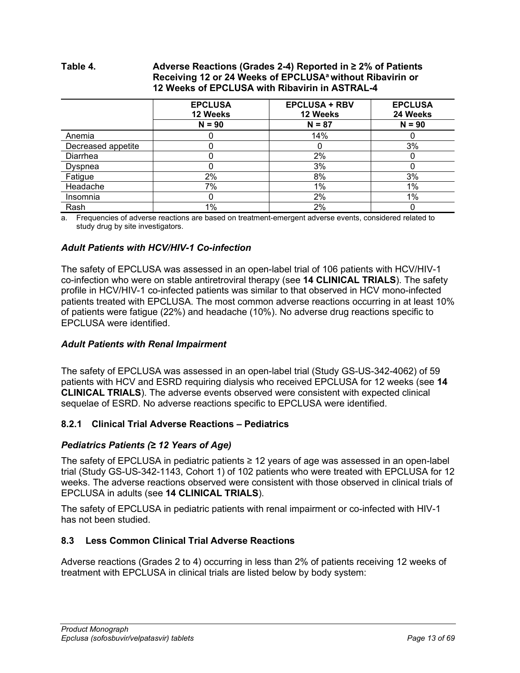### <span id="page-12-2"></span>**Table 4. Adverse Reactions (Grades 2-4) Reported in ≥ 2% of Patients Receiving 12 or 24 Weeks of EPCLUSAa without Ribavirin or 12 Weeks of EPCLUSA with Ribavirin in ASTRAL-4**

|                    | <b>EPCLUSA</b><br>12 Weeks | <b>EPCLUSA + RBV</b><br>12 Weeks | <b>EPCLUSA</b><br>24 Weeks |
|--------------------|----------------------------|----------------------------------|----------------------------|
|                    | $N = 90$                   | $N = 87$                         | $N = 90$                   |
| Anemia             | 0                          | 14%                              |                            |
| Decreased appetite |                            |                                  | 3%                         |
| Diarrhea           |                            | 2%                               |                            |
| Dyspnea            |                            | 3%                               |                            |
| Fatigue            | 2%                         | 8%                               | 3%                         |
| Headache           | 7%                         | $1\%$                            | 1%                         |
| Insomnia           | 0                          | 2%                               | 1%                         |
| Rash               | $1\%$                      | 2%                               |                            |

a. Frequencies of adverse reactions are based on treatment-emergent adverse events, considered related to study drug by site investigators.

## *Adult Patients with HCV/HIV-1 Co-infection*

The safety of EPCLUSA was assessed in an open-label trial of 106 patients with HCV/HIV-1 co-infection who were on stable antiretroviral therapy (see **14 [CLINICAL TRIALS](#page-38-0)**). The safety profile in HCV/HIV-1 co-infected patients was similar to that observed in HCV mono-infected patients treated with EPCLUSA. The most common adverse reactions occurring in at least 10% of patients were fatigue (22%) and headache (10%). No adverse drug reactions specific to EPCLUSA were identified.

## *Adult Patients with Renal Impairment*

The safety of EPCLUSA was assessed in an open-label trial (Study GS-US-342-4062) of 59 patients with HCV and ESRD requiring dialysis who received EPCLUSA for 12 weeks (see **14 [CLINICAL TRIALS](#page-38-0)**). The adverse events observed were consistent with expected clinical sequelae of ESRD. No adverse reactions specific to EPCLUSA were identified.

## <span id="page-12-0"></span>**8.2.1 Clinical Trial Adverse Reactions – Pediatrics**

## *Pediatrics Patients (≥ 12 Years of Age)*

The safety of EPCLUSA in pediatric patients ≥ 12 years of age was assessed in an open-label trial (Study GS-US-342-1143, Cohort 1) of 102 patients who were treated with EPCLUSA for 12 weeks. The adverse reactions observed were consistent with those observed in clinical trials of EPCLUSA in adults (see **14 [CLINICAL TRIALS](#page-38-0)**).

The safety of EPCLUSA in pediatric patients with renal impairment or co-infected with HIV-1 has not been studied.

## <span id="page-12-1"></span>**8.3 Less Common Clinical Trial Adverse Reactions**

Adverse reactions (Grades 2 to 4) occurring in less than 2% of patients receiving 12 weeks of treatment with EPCLUSA in clinical trials are listed below by body system: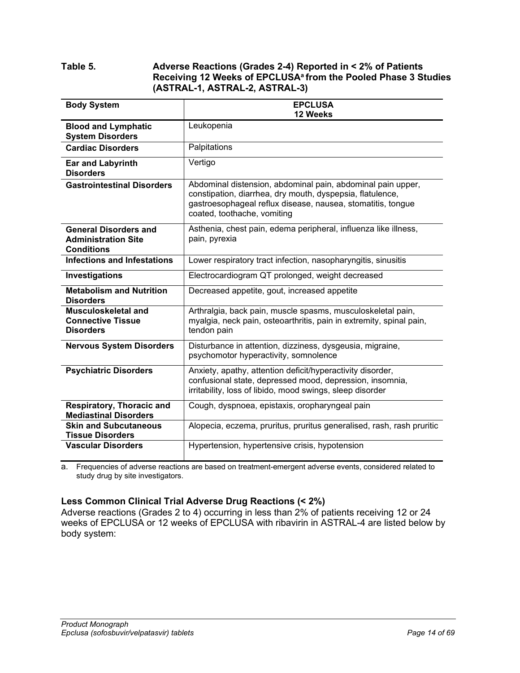## **Table 5. Adverse Reactions (Grades 2-4) Reported in < 2% of Patients**  Receiving 12 Weeks of EPCLUSA<sup>a</sup> from the Pooled Phase 3 Studies **(ASTRAL-1, ASTRAL-2, ASTRAL-3)**

| <b>Body System</b>                                                              | <b>EPCLUSA</b>                                                                                                                                                                                                         |  |
|---------------------------------------------------------------------------------|------------------------------------------------------------------------------------------------------------------------------------------------------------------------------------------------------------------------|--|
| <b>Blood and Lymphatic</b>                                                      | 12 Weeks<br>Leukopenia                                                                                                                                                                                                 |  |
| <b>System Disorders</b>                                                         |                                                                                                                                                                                                                        |  |
| <b>Cardiac Disorders</b>                                                        | Palpitations                                                                                                                                                                                                           |  |
| <b>Ear and Labyrinth</b><br><b>Disorders</b>                                    | Vertigo                                                                                                                                                                                                                |  |
| <b>Gastrointestinal Disorders</b>                                               | Abdominal distension, abdominal pain, abdominal pain upper,<br>constipation, diarrhea, dry mouth, dyspepsia, flatulence,<br>gastroesophageal reflux disease, nausea, stomatitis, tongue<br>coated, toothache, vomiting |  |
| <b>General Disorders and</b><br><b>Administration Site</b><br><b>Conditions</b> | Asthenia, chest pain, edema peripheral, influenza like illness,<br>pain, pyrexia                                                                                                                                       |  |
| <b>Infections and Infestations</b>                                              | Lower respiratory tract infection, nasopharyngitis, sinusitis                                                                                                                                                          |  |
| Investigations                                                                  | Electrocardiogram QT prolonged, weight decreased                                                                                                                                                                       |  |
| <b>Metabolism and Nutrition</b><br><b>Disorders</b>                             | Decreased appetite, gout, increased appetite                                                                                                                                                                           |  |
| Musculoskeletal and<br><b>Connective Tissue</b><br><b>Disorders</b>             | Arthralgia, back pain, muscle spasms, musculoskeletal pain,<br>myalgia, neck pain, osteoarthritis, pain in extremity, spinal pain,<br>tendon pain                                                                      |  |
| <b>Nervous System Disorders</b>                                                 | Disturbance in attention, dizziness, dysgeusia, migraine,<br>psychomotor hyperactivity, somnolence                                                                                                                     |  |
| <b>Psychiatric Disorders</b>                                                    | Anxiety, apathy, attention deficit/hyperactivity disorder,<br>confusional state, depressed mood, depression, insomnia,<br>irritability, loss of libido, mood swings, sleep disorder                                    |  |
| Respiratory, Thoracic and                                                       | Cough, dyspnoea, epistaxis, oropharyngeal pain                                                                                                                                                                         |  |
| <b>Mediastinal Disorders</b><br><b>Skin and Subcutaneous</b>                    | Alopecia, eczema, pruritus, pruritus generalised, rash, rash pruritic                                                                                                                                                  |  |
| <b>Tissue Disorders</b>                                                         |                                                                                                                                                                                                                        |  |
| <b>Vascular Disorders</b>                                                       | Hypertension, hypertensive crisis, hypotension                                                                                                                                                                         |  |

a. Frequencies of adverse reactions are based on treatment-emergent adverse events, considered related to study drug by site investigators.

## **Less Common Clinical Trial Adverse Drug Reactions (< 2%)**

Adverse reactions (Grades 2 to 4) occurring in less than 2% of patients receiving 12 or 24 weeks of EPCLUSA or 12 weeks of EPCLUSA with ribavirin in ASTRAL-4 are listed below by body system: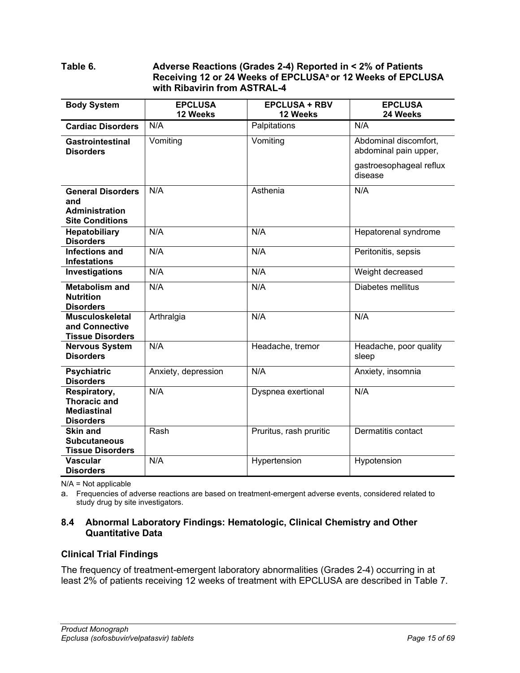## **Table 6. Adverse Reactions (Grades 2-4) Reported in < 2% of Patients**  Receiving 12 or 24 Weeks of EPCLUSA<sup>a</sup> or 12 Weeks of EPCLUSA **with Ribavirin from ASTRAL-4**

| <b>Body System</b>                         | <b>EPCLUSA</b>      | <b>EPCLUSA + RBV</b>    | <b>EPCLUSA</b>                     |
|--------------------------------------------|---------------------|-------------------------|------------------------------------|
|                                            | 12 Weeks            | 12 Weeks                | 24 Weeks                           |
| <b>Cardiac Disorders</b>                   | N/A                 | Palpitations            | N/A                                |
| <b>Gastrointestinal</b>                    | Vomiting            | Vomiting                | Abdominal discomfort,              |
| <b>Disorders</b>                           |                     |                         | abdominal pain upper,              |
|                                            |                     |                         | gastroesophageal reflux<br>disease |
| <b>General Disorders</b>                   | N/A                 | Asthenia                | N/A                                |
| and                                        |                     |                         |                                    |
| <b>Administration</b>                      |                     |                         |                                    |
| <b>Site Conditions</b>                     |                     |                         |                                    |
| Hepatobiliary                              | N/A                 | N/A                     | Hepatorenal syndrome               |
| <b>Disorders</b>                           |                     |                         |                                    |
| <b>Infections and</b>                      | N/A                 | N/A                     | Peritonitis, sepsis                |
| <b>Infestations</b>                        |                     |                         |                                    |
| Investigations                             | N/A                 | N/A                     | Weight decreased                   |
| <b>Metabolism and</b>                      | N/A                 | N/A                     | Diabetes mellitus                  |
| <b>Nutrition</b>                           |                     |                         |                                    |
| <b>Disorders</b>                           |                     |                         |                                    |
| <b>Musculoskeletal</b>                     | Arthralgia          | N/A                     | N/A                                |
| and Connective                             |                     |                         |                                    |
| <b>Tissue Disorders</b>                    |                     |                         |                                    |
| <b>Nervous System</b><br><b>Disorders</b>  | N/A                 | Headache, tremor        | Headache, poor quality             |
|                                            |                     |                         | sleep                              |
| <b>Psychiatric</b>                         | Anxiety, depression | N/A                     | Anxiety, insomnia                  |
| <b>Disorders</b>                           |                     |                         |                                    |
| Respiratory,                               | N/A                 | Dyspnea exertional      | N/A                                |
| <b>Thoracic and</b>                        |                     |                         |                                    |
| <b>Mediastinal</b>                         |                     |                         |                                    |
| <b>Disorders</b>                           |                     |                         |                                    |
| <b>Skin and</b>                            | Rash                | Pruritus, rash pruritic | Dermatitis contact                 |
| <b>Subcutaneous</b>                        |                     |                         |                                    |
| <b>Tissue Disorders</b><br><b>Vascular</b> | N/A                 |                         |                                    |
|                                            |                     | Hypertension            | Hypotension                        |
| <b>Disorders</b>                           |                     |                         |                                    |

N/A = Not applicable

a. Frequencies of adverse reactions are based on treatment-emergent adverse events, considered related to study drug by site investigators.

## <span id="page-14-0"></span>**8.4 Abnormal Laboratory Findings: Hematologic, Clinical Chemistry and Other Quantitative Data**

## **Clinical Trial Findings**

The frequency of treatment-emergent laboratory abnormalities (Grades 2-4) occurring in at least 2% of patients receiving 12 weeks of treatment with EPCLUSA are described in [Table](#page-15-0) 7.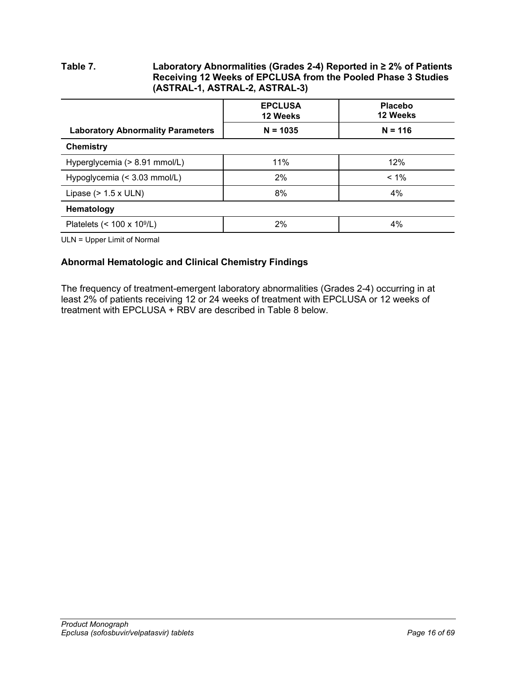## <span id="page-15-0"></span>**Table 7. Laboratory Abnormalities (Grades 2-4) Reported in ≥ 2% of Patients Receiving 12 Weeks of EPCLUSA from the Pooled Phase 3 Studies (ASTRAL-1, ASTRAL-2, ASTRAL-3)**

|                                          | <b>EPCLUSA</b><br>12 Weeks | <b>Placebo</b><br>12 Weeks |
|------------------------------------------|----------------------------|----------------------------|
| <b>Laboratory Abnormality Parameters</b> | $N = 1035$                 | $N = 116$                  |
| <b>Chemistry</b>                         |                            |                            |
| Hyperglycemia (> 8.91 mmol/L)            | 11%                        | 12%                        |
| Hypoglycemia (< 3.03 mmol/L)             | 2%                         | $< 1\%$                    |
| Lipase $(> 1.5 x$ ULN)                   | 8%                         | 4%                         |
| Hematology                               |                            |                            |
| Platelets $(< 100 \times 10^9/L)$        | 2%                         | 4%                         |

ULN = Upper Limit of Normal

## **Abnormal Hematologic and Clinical Chemistry Findings**

The frequency of treatment-emergent laboratory abnormalities (Grades 2-4) occurring in at least 2% of patients receiving 12 or 24 weeks of treatment with EPCLUSA or 12 weeks of treatment with EPCLUSA + RBV are described in [Table](#page-16-0) 8 below.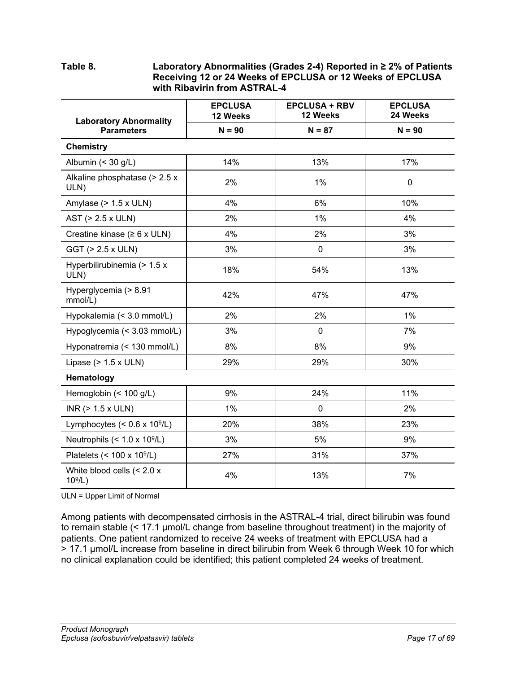## <span id="page-16-0"></span>**Table 8. Laboratory Abnormalities (Grades 2-4) Reported in ≥ 2% of Patients Receiving 12 or 24 Weeks of EPCLUSA or 12 Weeks of EPCLUSA with Ribavirin from ASTRAL-4**

| <b>Laboratory Abnormality</b>              | <b>EPCLUSA</b><br>12 Weeks | <b>EPCLUSA + RBV</b><br>12 Weeks | <b>EPCLUSA</b><br>24 Weeks |
|--------------------------------------------|----------------------------|----------------------------------|----------------------------|
| <b>Parameters</b>                          | $N = 90$                   | $N = 87$                         | $N = 90$                   |
| <b>Chemistry</b>                           |                            |                                  |                            |
| Albumin $(30 \text{ g/L})$                 | 14%                        | 13%                              | 17%                        |
| Alkaline phosphatase (> 2.5 x<br>ULN)      | 2%                         | 1%                               | $\mathbf 0$                |
| Amylase $(> 1.5 x$ ULN)                    | 4%                         | 6%                               | 10%                        |
| AST (> 2.5 x ULN)                          | 2%                         | 1%                               | 4%                         |
| Creatine kinase ( $\geq 6$ x ULN)          | 4%                         | 2%                               | 3%                         |
| GGT (> 2.5 x ULN)                          | 3%                         | $\mathbf 0$                      | 3%                         |
| Hyperbilirubinemia (> 1.5 x<br>ULN)        | 18%                        | 54%                              | 13%                        |
| Hyperglycemia (> 8.91<br>mmol/L)           | 42%                        | 47%                              | 47%                        |
| Hypokalemia (< 3.0 mmol/L)                 | 2%                         | 2%                               | 1%                         |
| Hypoglycemia (< 3.03 mmol/L)               | 3%                         | $\mathbf 0$                      | 7%                         |
| Hyponatremia (< 130 mmol/L)                | 8%                         | $8\%$                            | 9%                         |
| Lipase $(> 1.5 x$ ULN)                     | 29%                        | 29%                              | 30%                        |
| Hematology                                 |                            |                                  |                            |
| Hemoglobin (< 100 g/L)                     | 9%                         | 24%                              | 11%                        |
| INR $($ > 1.5 x ULN $)$                    | 1%                         | $\mathbf 0$                      | 2%                         |
| Lymphocytes $(< 0.6 \times 10^9/L)$        | 20%                        | 38%                              | 23%                        |
| Neutrophils $(< 1.0 \times 10^9/L)$        | 3%                         | 5%                               | 9%                         |
| Platelets $(< 100 \times 10^9/L)$          | 27%                        | 31%                              | 37%                        |
| White blood cells $(< 2.0 x$<br>$10^9$ /L) | 4%                         | 13%                              | 7%                         |

ULN = Upper Limit of Normal

Among patients with decompensated cirrhosis in the ASTRAL-4 trial, direct bilirubin was found to remain stable (< 17.1 µmol/L change from baseline throughout treatment) in the majority of patients. One patient randomized to receive 24 weeks of treatment with EPCLUSA had a > 17.1 µmol/L increase from baseline in direct bilirubin from Week 6 through Week 10 for which no clinical explanation could be identified; this patient completed 24 weeks of treatment.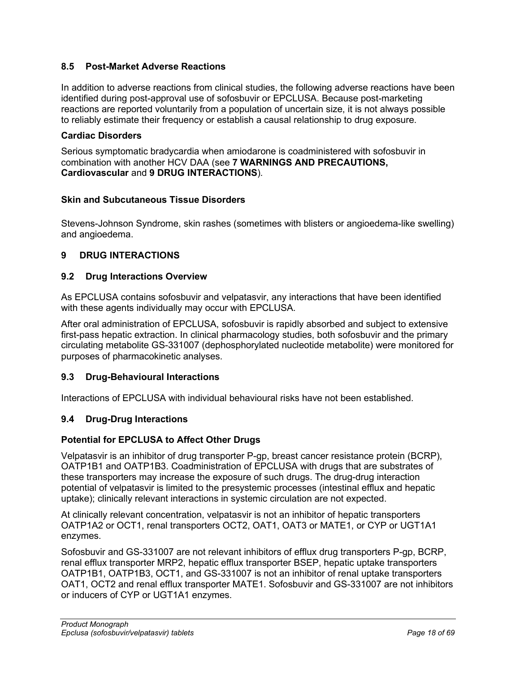## <span id="page-17-0"></span>**8.5 Post-Market Adverse Reactions**

In addition to adverse reactions from clinical studies, the following adverse reactions have been identified during post-approval use of sofosbuvir or EPCLUSA. Because post-marketing reactions are reported voluntarily from a population of uncertain size, it is not always possible to reliably estimate their frequency or establish a causal relationship to drug exposure.

## **Cardiac Disorders**

Serious symptomatic bradycardia when amiodarone is coadministered with sofosbuvir in combination with another HCV DAA (see **7 [WARNINGS AND PRECAUTIONS,](#page-7-0) Cardiovascular** and **9 [DRUG INTERACTIONS](#page-17-1)**)*.*

## **Skin and Subcutaneous Tissue Disorders**

Stevens-Johnson Syndrome, skin rashes (sometimes with blisters or angioedema-like swelling) and angioedema.

## <span id="page-17-1"></span>**9 DRUG INTERACTIONS**

## <span id="page-17-2"></span>**9.2 Drug Interactions Overview**

As EPCLUSA contains sofosbuvir and velpatasvir, any interactions that have been identified with these agents individually may occur with EPCLUSA.

After oral administration of EPCLUSA, sofosbuvir is rapidly absorbed and subject to extensive first-pass hepatic extraction. In clinical pharmacology studies, both sofosbuvir and the primary circulating metabolite GS-331007 (dephosphorylated nucleotide metabolite) were monitored for purposes of pharmacokinetic analyses.

## <span id="page-17-3"></span>**9.3 Drug-Behavioural Interactions**

Interactions of EPCLUSA with individual behavioural risks have not been established.

## <span id="page-17-4"></span>**9.4 Drug-Drug Interactions**

## **Potential for EPCLUSA to Affect Other Drugs**

Velpatasvir is an inhibitor of drug transporter P-gp, breast cancer resistance protein (BCRP), OATP1B1 and OATP1B3. Coadministration of EPCLUSA with drugs that are substrates of these transporters may increase the exposure of such drugs. The drug-drug interaction potential of velpatasvir is limited to the presystemic processes (intestinal efflux and hepatic uptake); clinically relevant interactions in systemic circulation are not expected.

At clinically relevant concentration, velpatasvir is not an inhibitor of hepatic transporters OATP1A2 or OCT1, renal transporters OCT2, OAT1, OAT3 or MATE1, or CYP or UGT1A1 enzymes.

Sofosbuvir and GS-331007 are not relevant inhibitors of efflux drug transporters P-gp, BCRP, renal efflux transporter MRP2, hepatic efflux transporter BSEP, hepatic uptake transporters OATP1B1, OATP1B3, OCT1, and GS-331007 is not an inhibitor of renal uptake transporters OAT1, OCT2 and renal efflux transporter MATE1. Sofosbuvir and GS-331007 are not inhibitors or inducers of CYP or UGT1A1 enzymes.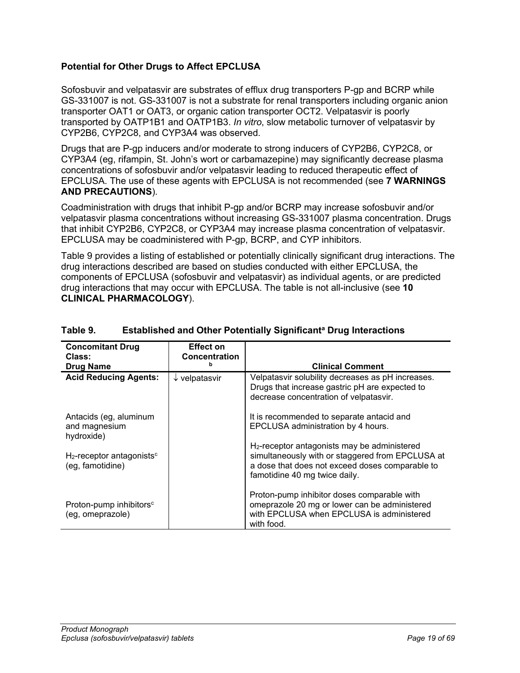## **Potential for Other Drugs to Affect EPCLUSA**

Sofosbuvir and velpatasvir are substrates of efflux drug transporters P-gp and BCRP while GS-331007 is not. GS-331007 is not a substrate for renal transporters including organic anion transporter OAT1 or OAT3, or organic cation transporter OCT2. Velpatasvir is poorly transported by OATP1B1 and OATP1B3. *In vitro*, slow metabolic turnover of velpatasvir by CYP2B6, CYP2C8, and CYP3A4 was observed.

Drugs that are P-gp inducers and/or moderate to strong inducers of CYP2B6, CYP2C8, or CYP3A4 (eg, rifampin, St. John's wort or carbamazepine) may significantly decrease plasma concentrations of sofosbuvir and/or velpatasvir leading to reduced therapeutic effect of EPCLUSA. The use of these agents with EPCLUSA is not recommended (see **7 [WARNINGS](#page-7-0)  [AND PRECAUTIONS](#page-7-0)**).

Coadministration with drugs that inhibit P-gp and/or BCRP may increase sofosbuvir and/or velpatasvir plasma concentrations without increasing GS-331007 plasma concentration. Drugs that inhibit CYP2B6, CYP2C8, or CYP3A4 may increase plasma concentration of velpatasvir. EPCLUSA may be coadministered with P-gp, BCRP, and CYP inhibitors.

[Table](#page-18-0) 9 provides a listing of established or potentially clinically significant drug interactions. The drug interactions described are based on studies conducted with either EPCLUSA, the components of EPCLUSA (sofosbuvir and velpatasvir) as individual agents, or are predicted drug interactions that may occur with EPCLUSA. The table is not all-inclusive (see **10 [CLINICAL PHARMACOLOGY](#page-31-1)**).

| <b>Concomitant Drug</b><br>Class:                            | <b>Effect on</b><br>Concentration |                                                                                                                                                                                                  |
|--------------------------------------------------------------|-----------------------------------|--------------------------------------------------------------------------------------------------------------------------------------------------------------------------------------------------|
| <b>Drug Name</b>                                             |                                   | <b>Clinical Comment</b>                                                                                                                                                                          |
| <b>Acid Reducing Agents:</b>                                 | $\downarrow$ velpatasvir          | Velpatasvir solubility decreases as pH increases.<br>Drugs that increase gastric pH are expected to<br>decrease concentration of velpatasvir.                                                    |
| Antacids (eg, aluminum<br>and magnesium<br>hydroxide)        |                                   | It is recommended to separate antacid and<br>EPCLUSA administration by 4 hours.                                                                                                                  |
| $H_2$ -receptor antagonists <sup>c</sup><br>(eg, famotidine) |                                   | H <sub>2</sub> -receptor antagonists may be administered<br>simultaneously with or staggered from EPCLUSA at<br>a dose that does not exceed doses comparable to<br>famotidine 40 mg twice daily. |
| Proton-pump inhibitors <sup>c</sup><br>(eg, omeprazole)      |                                   | Proton-pump inhibitor doses comparable with<br>omeprazole 20 mg or lower can be administered<br>with EPCLUSA when EPCLUSA is administered<br>with food.                                          |

### <span id="page-18-0"></span>**Table 9. Established and Other Potentially Significanta Drug Interactions**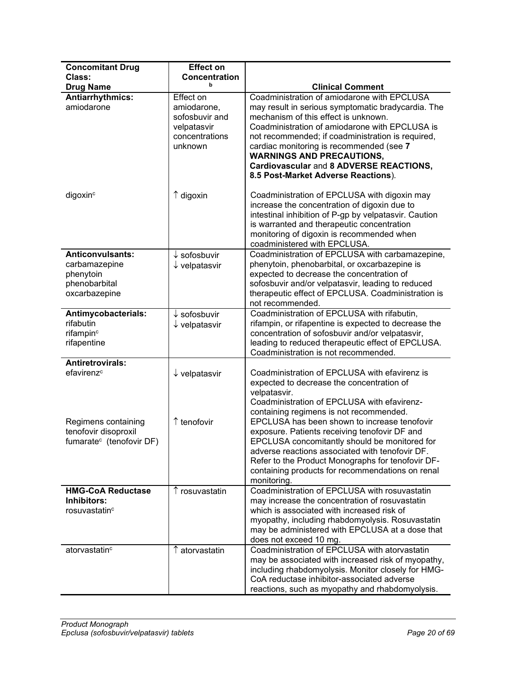| <b>Concomitant Drug</b>                                                                 | <b>Effect on</b>                                                                       |                                                                                                                                                                                                                                                                                                                                                                                                                    |
|-----------------------------------------------------------------------------------------|----------------------------------------------------------------------------------------|--------------------------------------------------------------------------------------------------------------------------------------------------------------------------------------------------------------------------------------------------------------------------------------------------------------------------------------------------------------------------------------------------------------------|
| Class:                                                                                  | <b>Concentration</b>                                                                   |                                                                                                                                                                                                                                                                                                                                                                                                                    |
| <b>Drug Name</b>                                                                        | b                                                                                      | <b>Clinical Comment</b>                                                                                                                                                                                                                                                                                                                                                                                            |
| <b>Antiarrhythmics:</b><br>amiodarone                                                   | Effect on<br>amiodarone,<br>sofosbuvir and<br>velpatasvir<br>concentrations<br>unknown | Coadministration of amiodarone with EPCLUSA<br>may result in serious symptomatic bradycardia. The<br>mechanism of this effect is unknown.<br>Coadministration of amiodarone with EPCLUSA is<br>not recommended; if coadministration is required,<br>cardiac monitoring is recommended (see 7<br><b>WARNINGS AND PRECAUTIONS,</b><br>Cardiovascular and 8 ADVERSE REACTIONS,<br>8.5 Post-Market Adverse Reactions). |
| digoxin <sup>c</sup>                                                                    | $\uparrow$ digoxin                                                                     | Coadministration of EPCLUSA with digoxin may<br>increase the concentration of digoxin due to<br>intestinal inhibition of P-gp by velpatasvir. Caution<br>is warranted and therapeutic concentration<br>monitoring of digoxin is recommended when<br>coadministered with EPCLUSA.                                                                                                                                   |
| <b>Anticonvulsants:</b><br>carbamazepine<br>phenytoin<br>phenobarbital<br>oxcarbazepine | $\downarrow$ sofosbuvir<br>$\downarrow$ velpatasvir                                    | Coadministration of EPCLUSA with carbamazepine,<br>phenytoin, phenobarbital, or oxcarbazepine is<br>expected to decrease the concentration of<br>sofosbuvir and/or velpatasvir, leading to reduced<br>therapeutic effect of EPCLUSA. Coadministration is<br>not recommended.                                                                                                                                       |
| Antimycobacterials:<br>rifabutin<br>rifampin <sup>c</sup><br>rifapentine                | $\downarrow$ sofosbuvir<br>$\downarrow$ velpatasvir                                    | Coadministration of EPCLUSA with rifabutin,<br>rifampin, or rifapentine is expected to decrease the<br>concentration of sofosbuvir and/or velpatasvir,<br>leading to reduced therapeutic effect of EPCLUSA.<br>Coadministration is not recommended.                                                                                                                                                                |
| <b>Antiretrovirals:</b><br>efavirenz <sup>c</sup>                                       | $\downarrow$ velpatasvir                                                               | Coadministration of EPCLUSA with efavirenz is<br>expected to decrease the concentration of<br>velpatasvir.<br>Coadministration of EPCLUSA with efavirenz-<br>containing regimens is not recommended.                                                                                                                                                                                                               |
| Regimens containing<br>tenofovir disoproxil<br>fumarate <sup>c</sup> (tenofovir DF)     | $\uparrow$ tenofovir                                                                   | EPCLUSA has been shown to increase tenofovir<br>exposure. Patients receiving tenofovir DF and<br>EPCLUSA concomitantly should be monitored for<br>adverse reactions associated with tenofovir DF.<br>Refer to the Product Monographs for tenofovir DF-<br>containing products for recommendations on renal<br>monitoring.                                                                                          |
| <b>HMG-CoA Reductase</b><br>Inhibitors:<br>rosuvastatin <sup>c</sup>                    | ↑ rosuvastatin                                                                         | Coadministration of EPCLUSA with rosuvastatin<br>may increase the concentration of rosuvastatin<br>which is associated with increased risk of<br>myopathy, including rhabdomyolysis. Rosuvastatin<br>may be administered with EPCLUSA at a dose that<br>does not exceed 10 mg.                                                                                                                                     |
| atorvastatin <sup>c</sup>                                                               | ↑ atorvastatin                                                                         | Coadministration of EPCLUSA with atorvastatin<br>may be associated with increased risk of myopathy,<br>including rhabdomyolysis. Monitor closely for HMG-<br>CoA reductase inhibitor-associated adverse<br>reactions, such as myopathy and rhabdomyolysis.                                                                                                                                                         |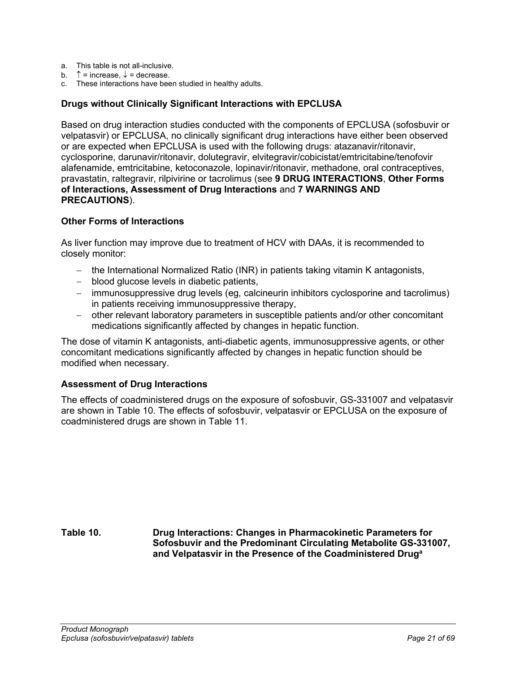- a. This table is not all-inclusive.
- b.  $\uparrow$  = increase,  $\downarrow$  = decrease.
- c. These interactions have been studied in healthy adults.

## **Drugs without Clinically Significant Interactions with EPCLUSA**

Based on drug interaction studies conducted with the components of EPCLUSA (sofosbuvir or velpatasvir) or EPCLUSA, no clinically significant drug interactions have either been observed or are expected when EPCLUSA is used with the following drugs: atazanavir/ritonavir, cyclosporine, darunavir/ritonavir, dolutegravir, elvitegravir/cobicistat/emtricitabine/tenofovir alafenamide, emtricitabine, ketoconazole, lopinavir/ritonavir, methadone, oral contraceptives, pravastatin, raltegravir, rilpivirine or tacrolimus (see **9 [DRUG INTERACTIONS](#page-17-1)**, **Other Forms of Interactions, Assessment of Drug Interactions** and **7 [WARNINGS AND](#page-7-0)  [PRECAUTIONS](#page-7-0)**).

### **Other Forms of Interactions**

As liver function may improve due to treatment of HCV with DAAs, it is recommended to closely monitor:

- − the International Normalized Ratio (INR) in patients taking vitamin K antagonists,
- − blood glucose levels in diabetic patients,
- − immunosuppressive drug levels (eg, calcineurin inhibitors cyclosporine and tacrolimus) in patients receiving immunosuppressive therapy,
- − other relevant laboratory parameters in susceptible patients and/or other concomitant medications significantly affected by changes in hepatic function.

The dose of vitamin K antagonists, anti-diabetic agents, immunosuppressive agents, or other concomitant medications significantly affected by changes in hepatic function should be modified when necessary.

#### **Assessment of Drug Interactions**

The effects of coadministered drugs on the exposure of sofosbuvir, GS-331007 and velpatasvir are shown in [Table](#page-20-0) 10. The effects of sofosbuvir, velpatasvir or EPCLUSA on the exposure of coadministered drugs are shown in [Table](#page-26-0) 11.

<span id="page-20-0"></span>**Table 10. Drug Interactions: Changes in Pharmacokinetic Parameters for Sofosbuvir and the Predominant Circulating Metabolite GS-331007, and Velpatasvir in the Presence of the Coadministered Druga**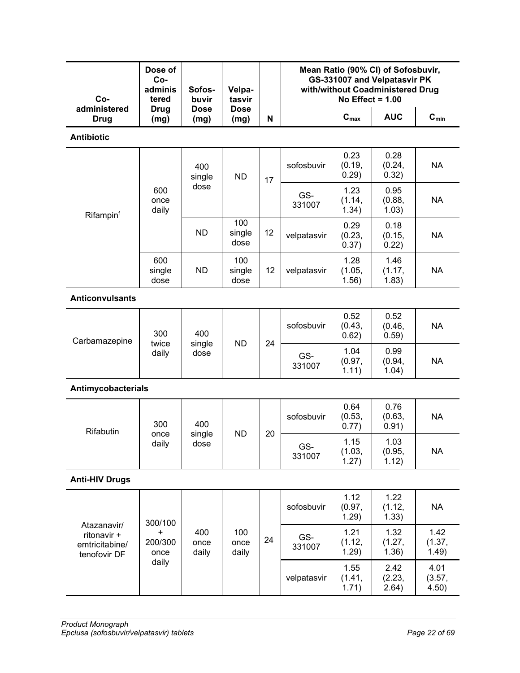| Co-                                                          | Dose of<br>Co-<br>adminis<br>Sofos-<br>Velpa-<br>buvir<br>tasvir<br>tered |                       |                       | Mean Ratio (90% CI) of Sofosbuvir,<br>GS-331007 and Velpatasvir PK<br>with/without Coadministered Drug<br>No Effect = $1.00$ |               |                         |                         |                           |  |  |
|--------------------------------------------------------------|---------------------------------------------------------------------------|-----------------------|-----------------------|------------------------------------------------------------------------------------------------------------------------------|---------------|-------------------------|-------------------------|---------------------------|--|--|
| administered<br><b>Drug</b>                                  | <b>Drug</b><br>(mg)                                                       | <b>Dose</b><br>(mg)   | <b>Dose</b><br>(mg)   | N                                                                                                                            |               | $C_{max}$               | <b>AUC</b>              | $\mathbf{C}_{\text{min}}$ |  |  |
| <b>Antibiotic</b>                                            |                                                                           |                       |                       |                                                                                                                              |               |                         |                         |                           |  |  |
|                                                              |                                                                           | 400<br>single         | <b>ND</b>             | 17                                                                                                                           | sofosbuvir    | 0.23<br>(0.19,<br>0.29) | 0.28<br>(0.24,<br>0.32) | <b>NA</b>                 |  |  |
| Rifampinf                                                    | 600<br>once<br>daily                                                      | dose                  |                       |                                                                                                                              | GS-<br>331007 | 1.23<br>(1.14,<br>1.34) | 0.95<br>(0.88,<br>1.03) | <b>NA</b>                 |  |  |
|                                                              |                                                                           | <b>ND</b>             | 100<br>single<br>dose | 12                                                                                                                           | velpatasvir   | 0.29<br>(0.23,<br>0.37) | 0.18<br>(0.15,<br>0.22) | <b>NA</b>                 |  |  |
|                                                              | 600<br>single<br>dose                                                     | <b>ND</b>             | 100<br>single<br>dose | 12                                                                                                                           | velpatasvir   | 1.28<br>(1.05,<br>1.56) | 1.46<br>(1.17,<br>1.83) | <b>NA</b>                 |  |  |
| <b>Anticonvulsants</b>                                       |                                                                           |                       |                       |                                                                                                                              |               |                         |                         |                           |  |  |
| Carbamazepine                                                | 300<br>twice<br>daily                                                     | 400<br>single<br>dose | <b>ND</b>             | 24                                                                                                                           | sofosbuvir    | 0.52<br>(0.43,<br>0.62) | 0.52<br>(0.46,<br>0.59) | <b>NA</b>                 |  |  |
|                                                              |                                                                           |                       |                       |                                                                                                                              | GS-<br>331007 | 1.04<br>(0.97,<br>1.11) | 0.99<br>(0.94,<br>1.04) | <b>NA</b>                 |  |  |
| Antimycobacterials                                           |                                                                           |                       |                       |                                                                                                                              |               |                         |                         |                           |  |  |
| Rifabutin                                                    | 300<br>once                                                               | 400<br>single         | <b>ND</b>             | 20                                                                                                                           | sofosbuvir    | 0.64<br>(0.53,<br>0.77) | 0.76<br>(0.63,<br>0.91) | <b>NA</b>                 |  |  |
|                                                              | daily                                                                     | dose                  |                       |                                                                                                                              | GS-<br>331007 | 1.15<br>(1.03,<br>1.27) | 1.03<br>(0.95,<br>1.12) | <b>NA</b>                 |  |  |
| <b>Anti-HIV Drugs</b>                                        |                                                                           |                       |                       |                                                                                                                              |               |                         |                         |                           |  |  |
|                                                              | 300/100                                                                   |                       |                       |                                                                                                                              | sofosbuvir    | 1.12<br>(0.97,<br>1.29) | 1.22<br>(1.12,<br>1.33) | <b>NA</b>                 |  |  |
| Atazanavir/<br>ritonavir +<br>emtricitabine/<br>tenofovir DF | +<br>200/300<br>once                                                      | 400<br>once<br>daily  | 100<br>once<br>daily  | 24                                                                                                                           | GS-<br>331007 | 1.21<br>(1.12,<br>1.29) | 1.32<br>(1.27,<br>1.36) | 1.42<br>(1.37,<br>1.49)   |  |  |
|                                                              | daily                                                                     |                       |                       |                                                                                                                              | velpatasvir   | 1.55<br>(1.41,<br>1.71) | 2.42<br>(2.23,<br>2.64) | 4.01<br>(3.57,<br>4.50)   |  |  |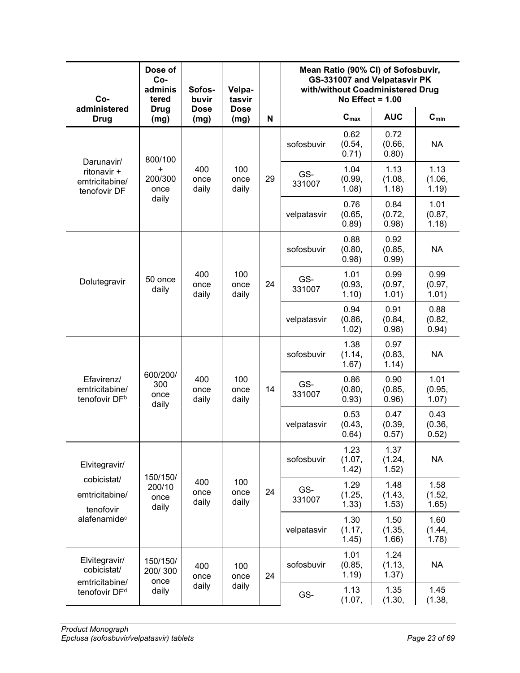| Co-                                                       | Dose of<br>Co-<br>adminis<br>tered                                     | Sofos-<br>buvir      | Velpa-<br>tasvir     |                         |                         | No Effect = $1.00$      | Mean Ratio (90% CI) of Sofosbuvir,<br>GS-331007 and Velpatasvir PK<br>with/without Coadministered Drug |                         |
|-----------------------------------------------------------|------------------------------------------------------------------------|----------------------|----------------------|-------------------------|-------------------------|-------------------------|--------------------------------------------------------------------------------------------------------|-------------------------|
| administered<br><b>Drug</b>                               | <b>Drug</b><br>(mg)                                                    | <b>Dose</b><br>(mg)  | <b>Dose</b><br>(mg)  | N                       |                         | $C_{\text{max}}$        | <b>AUC</b>                                                                                             | $C_{min}$               |
| Darunavir/                                                | 800/100                                                                |                      |                      | sofosbuvir              | 0.62<br>(0.54,<br>0.71) | 0.72<br>(0.66,<br>0.80) | <b>NA</b>                                                                                              |                         |
| ritonavir +<br>emtricitabine/<br>tenofovir DF             | +<br>200/300<br>once                                                   | 400<br>once<br>daily | 100<br>once<br>daily | 29                      | GS-<br>331007           | 1.04<br>(0.99,<br>1.08) | 1.13<br>(1.08,<br>1.18)                                                                                | 1.13<br>(1.06,<br>1.19) |
|                                                           | daily                                                                  |                      |                      |                         | velpatasvir             | 0.76<br>(0.65,<br>0.89) | 0.84<br>(0.72,<br>0.98)                                                                                | 1.01<br>(0.87,<br>1.18) |
|                                                           |                                                                        |                      |                      |                         | sofosbuvir              | 0.88<br>(0.80,<br>0.98) | 0.92<br>(0.85,<br>0.99)                                                                                | <b>NA</b>               |
| Dolutegravir                                              | 100<br>400<br>50 once<br>24<br>once<br>once<br>daily<br>daily<br>daily |                      | GS-<br>331007        | 1.01<br>(0.93,<br>1.10) | 0.99<br>(0.97,<br>1.01) | 0.99<br>(0.97,<br>1.01) |                                                                                                        |                         |
|                                                           |                                                                        |                      |                      |                         | velpatasvir             | 0.94<br>(0.86,<br>1.02) | 0.91<br>(0.84,<br>0.98)                                                                                | 0.88<br>(0.82,<br>0.94) |
|                                                           | 600/200/<br>300<br>once<br>daily                                       |                      |                      |                         | sofosbuvir              | 1.38<br>(1.14,<br>1.67) | 0.97<br>(0.83,<br>1.14)                                                                                | <b>NA</b>               |
| Efavirenz/<br>emtricitabine/<br>tenofovir DF <sup>b</sup> |                                                                        | 400<br>once<br>daily | 100<br>once<br>daily | 14                      | GS-<br>331007           | 0.86<br>(0.80,<br>0.93) | 0.90<br>(0.85,<br>0.96)                                                                                | 1.01<br>(0.95,<br>1.07) |
|                                                           |                                                                        |                      |                      |                         | velpatasvir             | 0.53<br>(0.43,<br>0.64) | 0.47<br>(0.39,<br>0.57)                                                                                | 0.43<br>(0.36,<br>0.52) |
| Elvitegravir/                                             |                                                                        |                      |                      |                         | sofosbuvir              | 1.23<br>(1.07,<br>1.42) | 1.37<br>(1.24,<br>1.52)                                                                                | <b>NA</b>               |
| cobicistat/<br>emtricitabine/<br>tenofovir                | 150/150/<br>200/10<br>once<br>daily                                    | 400<br>once<br>daily | 100<br>once<br>daily | 24                      | GS-<br>331007           | 1.29<br>(1.25,<br>1.33) | 1.48<br>(1.43,<br>1.53)                                                                                | 1.58<br>(1.52,<br>1.65) |
| alafenamide <sup>c</sup>                                  |                                                                        |                      |                      |                         | velpatasvir             | 1.30<br>(1.17,<br>1.45) | 1.50<br>(1.35,<br>1.66)                                                                                | 1.60<br>(1.44,<br>1.78) |
| Elvitegravir/<br>cobicistat/                              | 150/150/<br>100<br>400<br>200/300<br>24<br>once<br>once                |                      | sofosbuvir           | 1.01<br>(0.85,<br>1.19) | 1.24<br>(1.13,<br>1.37) | <b>NA</b>               |                                                                                                        |                         |
| emtricitabine/<br>tenofovir DF <sup>d</sup>               | once<br>daily                                                          | daily                | daily                |                         | GS-                     | 1.13<br>(1.07,          | 1.35<br>(1.30,                                                                                         | 1.45<br>(1.38,          |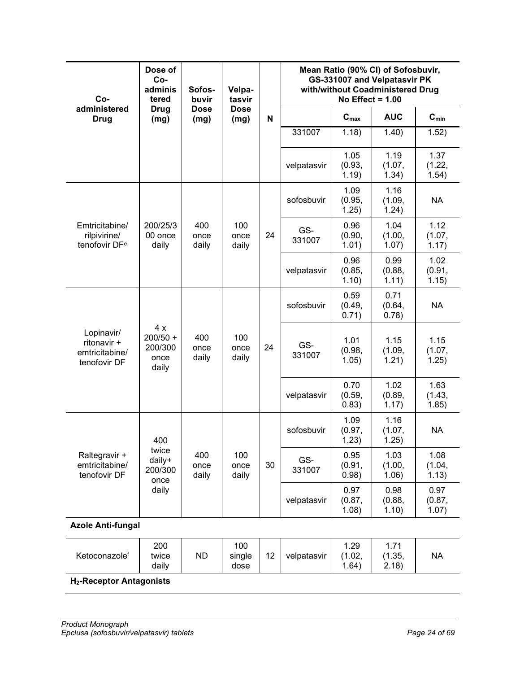| Co-                                                                                                                                         | Dose of<br>Co-<br>adminis<br>tered           | Sofos-<br>buvir      | Velpa-<br>tasvir<br><b>Dose</b><br>(mg) |                         | Mean Ratio (90% CI) of Sofosbuvir,<br>GS-331007 and Velpatasvir PK<br>with/without Coadministered Drug<br>No Effect = $1.00$ |                         |                         |                         |  |
|---------------------------------------------------------------------------------------------------------------------------------------------|----------------------------------------------|----------------------|-----------------------------------------|-------------------------|------------------------------------------------------------------------------------------------------------------------------|-------------------------|-------------------------|-------------------------|--|
| administered<br><b>Drug</b>                                                                                                                 | <b>Drug</b><br>(mg)                          | <b>Dose</b><br>(mg)  |                                         | $\mathbf N$             |                                                                                                                              | $C_{max}$               | <b>AUC</b>              | $C_{min}$               |  |
|                                                                                                                                             |                                              |                      |                                         |                         | 331007                                                                                                                       | 1.18)                   | 1.40)                   | 1.52)                   |  |
|                                                                                                                                             |                                              |                      |                                         |                         | velpatasvir                                                                                                                  | 1.05<br>(0.93,<br>1.19) | 1.19<br>(1.07,<br>1.34) | 1.37<br>(1.22,<br>1.54) |  |
|                                                                                                                                             |                                              |                      |                                         | sofosbuvir              | 1.09<br>(0.95,<br>1.25)                                                                                                      | 1.16<br>(1.09,<br>1.24) | <b>NA</b>               |                         |  |
| 400<br>100<br>Emtricitabine/<br>200/25/3<br>rilpivirine/<br>00 once<br>once<br>once<br>tenofovir DF <sup>e</sup><br>daily<br>daily<br>daily | 24                                           | GS-<br>331007        | 0.96<br>(0.90,<br>1.01)                 | 1.04<br>(1.00,<br>1.07) | 1.12<br>(1.07,<br>1.17)                                                                                                      |                         |                         |                         |  |
|                                                                                                                                             |                                              |                      | velpatasvir                             | 0.96<br>(0.85,<br>1.10) | 0.99<br>(0.88,<br>1.11)                                                                                                      | 1.02<br>(0.91,<br>1.15) |                         |                         |  |
|                                                                                                                                             | 4x<br>$200/50 +$<br>200/300<br>once<br>daily |                      | 100<br>once<br>daily                    |                         | sofosbuvir                                                                                                                   | 0.59<br>(0.49,<br>0.71) | 0.71<br>(0.64,<br>0.78) | <b>NA</b>               |  |
| Lopinavir/<br>ritonavir +<br>emtricitabine/<br>tenofovir DF                                                                                 |                                              | 400<br>once<br>daily |                                         | 24                      | GS-<br>331007                                                                                                                | 1.01<br>(0.98,<br>1.05) | 1.15<br>(1.09,<br>1.21) | 1.15<br>(1.07,<br>1.25) |  |
|                                                                                                                                             |                                              |                      |                                         |                         | velpatasvir                                                                                                                  | 0.70<br>(0.59,<br>0.83) | 1.02<br>(0.89,<br>1.17) | 1.63<br>(1.43,<br>1.85) |  |
|                                                                                                                                             | 400                                          |                      |                                         |                         | sofosbuvir                                                                                                                   | 1.09<br>(0.97,<br>1.23) | 1.16<br>(1.07,<br>1.25) | <b>NA</b>               |  |
| Raltegravir +<br>emtricitabine/<br>tenofovir DF                                                                                             | twice<br>daily+<br>200/300<br>once           | 400<br>once<br>daily | 100<br>once<br>daily                    | 30                      | GS-<br>331007                                                                                                                | 0.95<br>(0.91,<br>0.98) | 1.03<br>(1.00,<br>1.06) | 1.08<br>(1.04,<br>1.13) |  |
|                                                                                                                                             | daily                                        |                      |                                         |                         | velpatasvir                                                                                                                  | 0.97<br>(0.87,<br>1.08) | 0.98<br>(0.88,<br>1.10) | 0.97<br>(0.87,<br>1.07) |  |
| <b>Azole Anti-fungal</b>                                                                                                                    |                                              |                      |                                         |                         |                                                                                                                              |                         |                         |                         |  |
| Ketoconazolef                                                                                                                               | 200<br>twice<br>daily                        | <b>ND</b>            | 100<br>single<br>dose                   | 12                      | velpatasvir                                                                                                                  | 1.29<br>(1.02,<br>1.64) | 1.71<br>(1.35,<br>2.18) | <b>NA</b>               |  |
| <b>H<sub>2</sub>-Receptor Antagonists</b>                                                                                                   |                                              |                      |                                         |                         |                                                                                                                              |                         |                         |                         |  |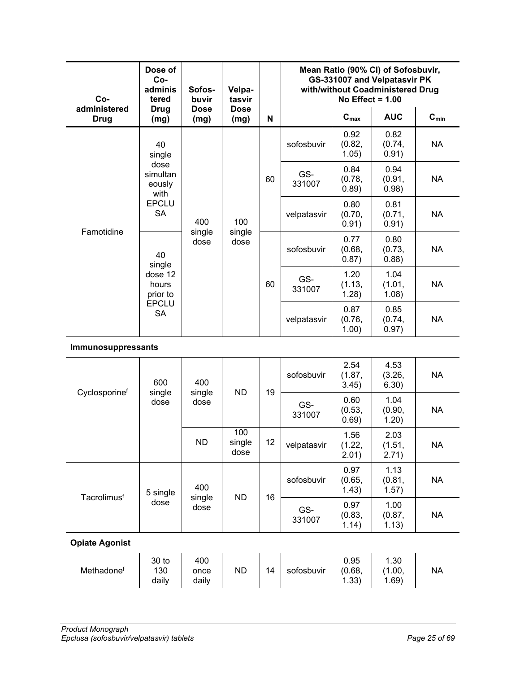| Co-                         | Dose of<br>Co-<br>adminis<br>Sofos-<br>Velpa-<br>buvir<br>tasvir<br>tered |                      |                       |    |               | No Effect = $1.00$      | Mean Ratio (90% CI) of Sofosbuvir,<br>GS-331007 and Velpatasvir PK<br>with/without Coadministered Drug |           |
|-----------------------------|---------------------------------------------------------------------------|----------------------|-----------------------|----|---------------|-------------------------|--------------------------------------------------------------------------------------------------------|-----------|
| administered<br><b>Drug</b> | <b>Drug</b><br>(mg)                                                       | <b>Dose</b><br>(mg)  | <b>Dose</b><br>(mg)   | N  |               | $C_{max}$               | <b>AUC</b>                                                                                             | $C_{min}$ |
|                             | 40<br>single<br>dose<br>simultan<br>eously<br>with                        |                      |                       |    | sofosbuvir    | 0.92<br>(0.82,<br>1.05) | 0.82<br>(0.74,<br>0.91)                                                                                | <b>NA</b> |
|                             |                                                                           |                      |                       | 60 | GS-<br>331007 | 0.84<br>(0.78,<br>0.89) | 0.94<br>(0.91,<br>0.98)                                                                                | <b>NA</b> |
| Famotidine                  | <b>EPCLU</b><br><b>SA</b>                                                 | 400<br>single        | 100<br>single         |    | velpatasvir   | 0.80<br>(0.70,<br>0.91) | 0.81<br>(0.71,<br>0.91)                                                                                | <b>NA</b> |
|                             | 40<br>single                                                              | dose                 | dose                  |    | sofosbuvir    | 0.77<br>(0.68,<br>0.87) | 0.80<br>(0.73,<br>0.88)                                                                                | <b>NA</b> |
|                             | dose 12<br>hours<br>prior to                                              |                      |                       | 60 | GS-<br>331007 | 1.20<br>(1.13,<br>1.28) | 1.04<br>(1.01,<br>1.08)                                                                                | <b>NA</b> |
|                             | <b>EPCLU</b><br><b>SA</b>                                                 |                      |                       |    | velpatasvir   | 0.87<br>(0.76,<br>1.00) | 0.85<br>(0.74,<br>0.97)                                                                                | <b>NA</b> |
| Immunosuppressants          |                                                                           |                      |                       |    |               |                         |                                                                                                        |           |
| Cyclosporinef               | 600                                                                       | 400<br>single        | <b>ND</b>             | 19 | sofosbuvir    | 2.54<br>(1.87,<br>3.45) | 4.53<br>(3.26,<br>6.30)                                                                                | <b>NA</b> |
|                             | single<br>dose                                                            | dose                 |                       |    | GS-<br>331007 | 0.60<br>(0.53,<br>0.69) | 1.04<br>(0.90,<br>1.20)                                                                                | <b>NA</b> |
|                             |                                                                           | <b>ND</b>            | 100<br>single<br>dose | 12 | velpatasvir   | 1.56<br>(1.22,<br>2.01) | 2.03<br>(1.51,<br>2.71)                                                                                | <b>NA</b> |
| Tacrolimusf                 | 5 single                                                                  | 400                  | <b>ND</b>             | 16 | sofosbuvir    | 0.97<br>(0.65,<br>1.43) | 1.13<br>(0.81,<br>1.57)                                                                                | <b>NA</b> |
|                             | dose                                                                      | single<br>dose       |                       |    | GS-<br>331007 | 0.97<br>(0.83,<br>1.14) | 1.00<br>(0.87,<br>1.13)                                                                                | <b>NA</b> |
| <b>Opiate Agonist</b>       |                                                                           |                      |                       |    |               |                         |                                                                                                        |           |
| Methadonef                  | 30 to<br>130<br>daily                                                     | 400<br>once<br>daily | <b>ND</b>             | 14 | sofosbuvir    | 0.95<br>(0.68,<br>1.33) | 1.30<br>(1.00,<br>1.69)                                                                                | <b>NA</b> |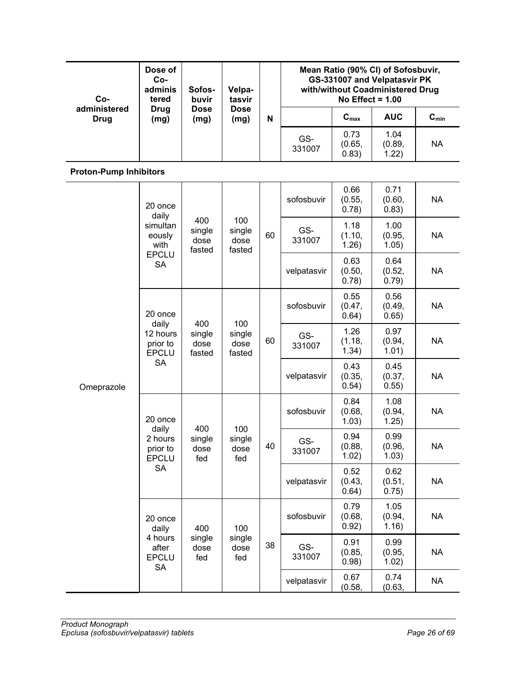| Co-                           | Dose of<br>Co-<br>adminis<br>tered                                    | Sofos-<br>buvir                 | Velpa-<br>tasvir                |                         |                         | No Effect = $1.00$      |                         | Mean Ratio (90% CI) of Sofosbuvir,<br>GS-331007 and Velpatasvir PK<br>with/without Coadministered Drug |  |
|-------------------------------|-----------------------------------------------------------------------|---------------------------------|---------------------------------|-------------------------|-------------------------|-------------------------|-------------------------|--------------------------------------------------------------------------------------------------------|--|
| administered<br><b>Drug</b>   | <b>Drug</b><br>(mg)                                                   | <b>Dose</b><br>(mg)             | <b>Dose</b><br>(mg)             | N                       |                         | $C_{max}$               | <b>AUC</b>              | $C_{min}$                                                                                              |  |
|                               |                                                                       |                                 | GS-<br>331007                   | 0.73<br>(0.65,<br>0.83) | 1.04<br>(0.89,<br>1.22) | <b>NA</b>               |                         |                                                                                                        |  |
| <b>Proton-Pump Inhibitors</b> |                                                                       |                                 |                                 |                         |                         |                         |                         |                                                                                                        |  |
|                               | 20 once<br>daily                                                      |                                 |                                 |                         | sofosbuvir              | 0.66<br>(0.55,<br>0.78) | 0.71<br>(0.60,<br>0.83) | <b>NA</b>                                                                                              |  |
|                               | simultan<br>eously<br>with                                            | 400<br>single<br>dose<br>fasted | 100<br>single<br>dose<br>fasted | 60                      | GS-<br>331007           | 1.18<br>(1.10,<br>1.26) | 1.00<br>(0.95,<br>1.05) | <b>NA</b>                                                                                              |  |
|                               | <b>EPCLU</b><br><b>SA</b>                                             |                                 |                                 |                         | velpatasvir             | 0.63<br>(0.50,<br>0.78) | 0.64<br>(0.52,<br>0.79) | <b>NA</b>                                                                                              |  |
|                               | 20 once<br>daily<br>12 hours<br>prior to<br><b>EPCLU</b><br><b>SA</b> | 400<br>single<br>dose<br>fasted | 100                             |                         | sofosbuvir              | 0.55<br>(0.47,<br>0.64) | 0.56<br>(0.49,<br>0.65) | <b>NA</b>                                                                                              |  |
|                               |                                                                       |                                 | single<br>dose<br>fasted        | 60                      | GS-<br>331007           | 1.26<br>(1.18,<br>1.34) | 0.97<br>(0.94,<br>1.01) | <b>NA</b>                                                                                              |  |
| Omeprazole                    |                                                                       |                                 |                                 |                         | velpatasvir             | 0.43<br>(0.35,<br>0.54) | 0.45<br>(0.37,<br>0.55) | <b>NA</b>                                                                                              |  |
|                               | 20 once<br>daily                                                      | 400                             |                                 |                         | sofosbuvir              | 0.84<br>(0.68,<br>1.03) | 1.08<br>(0.94,<br>1.25) | <b>NA</b>                                                                                              |  |
|                               | 2 hours<br>prior to<br><b>EPCLU</b>                                   | single<br>dose<br>fed           | 100<br>single<br>dose<br>fed    | 40                      | GS-<br>331007           | 0.94<br>(0.88,<br>1.02) | 0.99<br>(0.96,<br>1.03) | <b>NA</b>                                                                                              |  |
|                               | <b>SA</b>                                                             |                                 |                                 |                         | velpatasvir             | 0.52<br>(0.43,<br>0.64) | 0.62<br>(0.51,<br>0.75) | <b>NA</b>                                                                                              |  |
|                               | 20 once<br>daily                                                      | 400                             | 100                             |                         | sofosbuvir              | 0.79<br>(0.68,<br>0.92) | 1.05<br>(0.94,<br>1.16) | <b>NA</b>                                                                                              |  |
|                               | 4 hours<br>after<br><b>EPCLU</b><br><b>SA</b>                         | single<br>dose<br>fed           | single<br>dose<br>fed           | 38                      | GS-<br>331007           | 0.91<br>(0.85,<br>0.98) | 0.99<br>(0.95,<br>1.02) | <b>NA</b>                                                                                              |  |
|                               |                                                                       |                                 |                                 |                         | velpatasvir             | 0.67<br>(0.58,          | 0.74<br>(0.63,          | <b>NA</b>                                                                                              |  |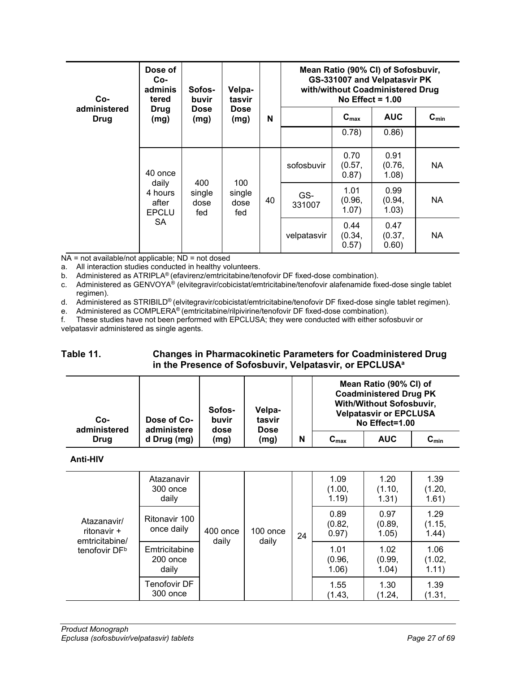| Co-                         | Dose of<br>Co-<br>adminis<br>tered        | Sofos-<br>buvir              | Velpa-<br>tasvir<br><b>Dose</b><br>(mg) |                         | Mean Ratio (90% CI) of Sofosbuvir,<br>GS-331007 and Velpatasvir PK<br>with/without Coadministered Drug<br>No Effect = $1.00$ |                         |                         |           |  |  |
|-----------------------------|-------------------------------------------|------------------------------|-----------------------------------------|-------------------------|------------------------------------------------------------------------------------------------------------------------------|-------------------------|-------------------------|-----------|--|--|
| administered<br><b>Drug</b> | Drug<br>(mg)                              | <b>Dose</b><br>(mg)          |                                         | N                       |                                                                                                                              | $C_{\text{max}}$        | <b>AUC</b>              | $C_{min}$ |  |  |
|                             |                                           |                              |                                         | 0.78)                   | 0.86)                                                                                                                        |                         |                         |           |  |  |
|                             | 40 once                                   | 400<br>single<br>dose<br>fed | 100<br>single<br>dose<br>fed            |                         | sofosbuvir                                                                                                                   | 0.70<br>(0.57,<br>0.87) | 0.91<br>(0.76,<br>1.08) | NA.       |  |  |
|                             | daily<br>4 hours<br>after<br><b>EPCLU</b> |                              |                                         | 40                      | GS-<br>331007                                                                                                                | 1.01<br>(0.96,<br>1.07) | 0.99<br>(0.94,<br>1.03) | NA.       |  |  |
| SA.                         |                                           |                              | velpatasvir                             | 0.44<br>(0.34,<br>0.57) | 0.47<br>(0.37,<br>0.60)                                                                                                      | NA.                     |                         |           |  |  |

 $NA$  = not available/not applicable;  $ND$  = not dosed

a. All interaction studies conducted in healthy volunteers.

b. Administered as ATRIPLA® (efavirenz/emtricitabine/tenofovir DF fixed-dose combination).

c. Administered as GENVOYA® (elvitegravir/cobicistat/emtricitabine/tenofovir alafenamide fixed-dose single tablet regimen).

d. Administered as STRIBILD® (elvitegravir/cobicistat/emtricitabine/tenofovir DF fixed-dose single tablet regimen).

e. Administered as COMPLERA<sup>®</sup> (emtricitabine/rilpivirine/tenofovir DF fixed-dose combination).

f. These studies have not been performed with EPCLUSA; they were conducted with either sofosbuvir or velpatasvir administered as single agents.

## <span id="page-26-0"></span>**Table 11. Changes in Pharmacokinetic Parameters for Coadministered Drug in the Presence of Sofosbuvir, Velpatasvir, or EPCLUSAa**

| Co-<br>administered | Dose of Co-<br>administere | Sofos-<br>buvir<br>dose | Velpa-<br>tasvir<br><b>Dose</b> |   |                  | Mean Ratio (90% CI) of<br><b>Coadministered Drug PK</b><br><b>With/Without Sofosbuvir,</b><br><b>Velpatasvir or EPCLUSA</b><br>No Effect=1.00 |                    |
|---------------------|----------------------------|-------------------------|---------------------------------|---|------------------|-----------------------------------------------------------------------------------------------------------------------------------------------|--------------------|
| Drug                | d Drug (mg)                | (mg)                    | (mg)                            | N | $C_{\text{max}}$ | <b>AUC</b>                                                                                                                                    | $\mathbf{C_{min}}$ |

**Anti-HIV**

| Atazanavir/<br>ritonavir +<br>emtricitabine/<br>tenofovir DF <sup>b</sup> | Atazanavir<br>300 once<br>daily    |                   |                   |    | 1.09<br>(1.00,<br>1.19) | 1.20<br>(1.10,<br>1.31) | 1.39<br>(1.20,<br>1.61) |
|---------------------------------------------------------------------------|------------------------------------|-------------------|-------------------|----|-------------------------|-------------------------|-------------------------|
|                                                                           | Ritonavir 100<br>once daily        | 400 once<br>daily | 100 once<br>daily | 24 | 0.89<br>(0.82,<br>0.97) | 0.97<br>(0.89,<br>1.05) | 1.29<br>(1.15,<br>1.44) |
|                                                                           | Emtricitabine<br>200 once<br>daily |                   |                   |    | 1.01<br>(0.96,<br>1.06) | 1.02<br>(0.99,<br>1.04) | 1.06<br>(1.02,<br>1.11) |
|                                                                           | Tenofovir DF<br>300 once           |                   |                   |    | 1.55<br>(1.43,          | 1.30<br>(1.24,          | 1.39<br>(1.31,          |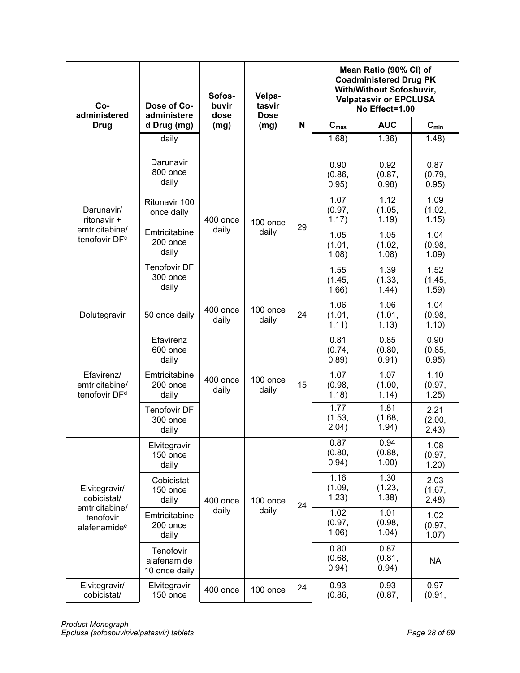| $Co-$<br>administered                                                    | Dose of Co-<br>administere                | Sofos-<br>buvir<br>dose | Velpa-<br>tasvir<br><b>Dose</b> |    | Mean Ratio (90% CI) of<br><b>Coadministered Drug PK</b><br><b>With/Without Sofosbuvir,</b><br><b>Velpatasvir or EPCLUSA</b><br>No Effect=1.00 |                         |                         |  |
|--------------------------------------------------------------------------|-------------------------------------------|-------------------------|---------------------------------|----|-----------------------------------------------------------------------------------------------------------------------------------------------|-------------------------|-------------------------|--|
| <b>Drug</b>                                                              | d Drug (mg)                               | (mg)                    | (mg)                            | N  | $C_{max}$                                                                                                                                     | <b>AUC</b>              | $C_{min}$               |  |
|                                                                          | daily                                     |                         |                                 |    | 1.68)                                                                                                                                         | 1.36)                   | 1.48)                   |  |
|                                                                          | Darunavir<br>800 once<br>daily            |                         |                                 |    | 0.90<br>(0.86,<br>0.95)                                                                                                                       | 0.92<br>(0.87,<br>0.98) | 0.87<br>(0.79,<br>0.95) |  |
| Darunavir/<br>ritonavir +<br>emtricitabine/<br>tenofovir DF <sup>c</sup> | Ritonavir 100<br>once daily               | 400 once                | 100 once                        | 29 | 1.07<br>(0.97,<br>1.17)                                                                                                                       | 1.12<br>(1.05,<br>1.19) | 1.09<br>(1.02,<br>1.15) |  |
|                                                                          | Emtricitabine<br>200 once<br>daily        | daily                   | daily                           |    | 1.05<br>(1.01,<br>1.08)                                                                                                                       | 1.05<br>(1.02,<br>1.08) | 1.04<br>(0.98,<br>1.09) |  |
|                                                                          | <b>Tenofovir DF</b><br>300 once<br>daily  |                         |                                 |    | 1.55<br>(1.45,<br>1.66)                                                                                                                       | 1.39<br>(1.33,<br>1.44) | 1.52<br>(1.45,<br>1.59) |  |
| Dolutegravir                                                             | 50 once daily                             | 400 once<br>daily       | 100 once<br>daily               | 24 | 1.06<br>(1.01,<br>1.11)                                                                                                                       | 1.06<br>(1.01,<br>1.13) | 1.04<br>(0.98,<br>1.10) |  |
|                                                                          | Efavirenz<br>600 once<br>daily            |                         |                                 |    | 0.81<br>(0.74,<br>0.89)                                                                                                                       | 0.85<br>(0.80,<br>0.91) | 0.90<br>(0.85,<br>0.95) |  |
| Efavirenz/<br>emtricitabine/<br>tenofovir DF <sup>d</sup>                | Emtricitabine<br>200 once<br>daily        | 400 once<br>daily       | 100 once<br>daily               | 15 | 1.07<br>(0.98,<br>1.18)                                                                                                                       | 1.07<br>(1.00,<br>1.14) | 1.10<br>(0.97,<br>1.25) |  |
|                                                                          | <b>Tenofovir DF</b><br>300 once<br>daily  |                         |                                 |    | 1.77<br>(1.53,<br>2.04)                                                                                                                       | 1.81<br>(1.68,<br>1.94) | 2.21<br>(2.00,<br>2.43) |  |
|                                                                          | Elvitegravir<br>150 once<br>daily         |                         |                                 |    | 0.87<br>(0.80,<br>0.94)                                                                                                                       | 0.94<br>(0.88,<br>1.00) | 1.08<br>(0.97,<br>1.20) |  |
| Elvitegravir/<br>cobicistat/                                             | Cobicistat<br>150 once<br>daily           | 400 once                | 100 once                        | 24 | 1.16<br>(1.09,<br>1.23)                                                                                                                       | 1.30<br>(1.23,<br>1.38) | 2.03<br>(1.67,<br>2.48) |  |
| emtricitabine/<br>tenofovir<br>alafenamide <sup>e</sup>                  | Emtricitabine<br>200 once<br>daily        | daily                   | daily                           |    | 1.02<br>(0.97,<br>1.06)                                                                                                                       | 1.01<br>(0.98,<br>1.04) | 1.02<br>(0.97,<br>1.07) |  |
|                                                                          | Tenofovir<br>alafenamide<br>10 once daily |                         |                                 |    | 0.80<br>(0.68,<br>0.94)                                                                                                                       | 0.87<br>(0.81,<br>0.94) | <b>NA</b>               |  |
| Elvitegravir/<br>cobicistat/                                             | Elvitegravir<br>150 once                  | 400 once                | 100 once                        | 24 | 0.93<br>(0.86,                                                                                                                                | 0.93<br>(0.87,          | 0.97<br>(0.91,          |  |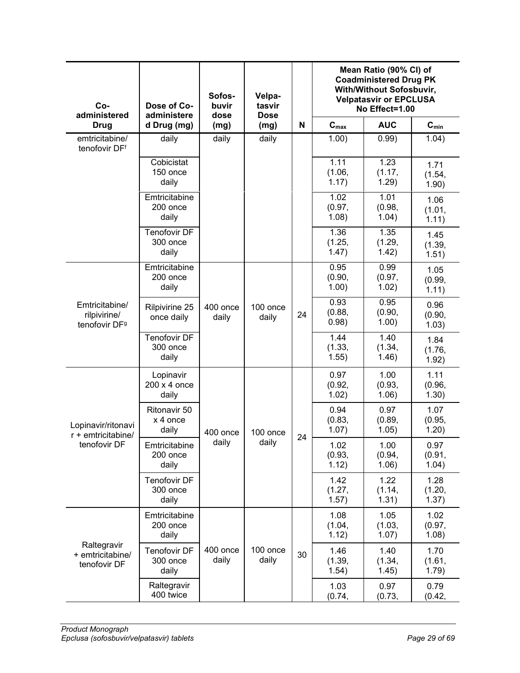| $Co-$<br>administered                                       | Dose of Co-<br>administere               | Sofos-<br>buvir<br>dose | Velpa-<br>tasvir<br><b>Dose</b> |    | Mean Ratio (90% CI) of<br><b>Coadministered Drug PK</b><br>With/Without Sofosbuvir,<br><b>Velpatasvir or EPCLUSA</b><br>No Effect=1.00 |                         |                           |  |
|-------------------------------------------------------------|------------------------------------------|-------------------------|---------------------------------|----|----------------------------------------------------------------------------------------------------------------------------------------|-------------------------|---------------------------|--|
| <b>Drug</b>                                                 | d Drug (mg)                              | (mg)                    | (mg)                            |    | $C_{\text{max}}$                                                                                                                       | <b>AUC</b>              | $\mathbf{C}_{\text{min}}$ |  |
| emtricitabine/<br>tenofovir DFf                             | daily                                    | daily                   | daily                           |    | 1.00)                                                                                                                                  | 0.99)                   | 1.04)                     |  |
|                                                             | Cobicistat<br>150 once<br>daily          |                         |                                 |    | 1.11<br>(1.06,<br>1.17)                                                                                                                | 1.23<br>(1.17,<br>1.29) | 1.71<br>(1.54,<br>1.90)   |  |
|                                                             | Emtricitabine<br>200 once<br>daily       |                         |                                 |    | 1.02<br>(0.97,<br>1.08)                                                                                                                | 1.01<br>(0.98,<br>1.04) | 1.06<br>(1.01,<br>1.11)   |  |
|                                                             | <b>Tenofovir DF</b><br>300 once<br>daily |                         |                                 |    | 1.36<br>(1.25,<br>1.47)                                                                                                                | 1.35<br>(1.29,<br>1.42) | 1.45<br>(1.39,<br>1.51)   |  |
|                                                             | Emtricitabine<br>200 once<br>daily       |                         |                                 |    | 0.95<br>(0.90,<br>1.00)                                                                                                                | 0.99<br>(0.97,<br>1.02) | 1.05<br>(0.99,<br>1.11)   |  |
| Emtricitabine/<br>rilpivirine/<br>tenofovir DF <sup>9</sup> | Rilpivirine 25<br>once daily             | 400 once<br>daily       | 100 once<br>daily               | 24 | 0.93<br>(0.88,<br>0.98)                                                                                                                | 0.95<br>(0.90,<br>1.00) | 0.96<br>(0.90,<br>1.03)   |  |
|                                                             | Tenofovir DF<br>300 once<br>daily        |                         |                                 |    | 1.44<br>(1.33,<br>1.55)                                                                                                                | 1.40<br>(1.34,<br>1.46) | 1.84<br>(1.76,<br>1.92)   |  |
|                                                             | Lopinavir<br>200 x 4 once<br>daily       |                         |                                 |    | 0.97<br>(0.92,<br>1.02)                                                                                                                | 1.00<br>(0.93,<br>1.06) | 1.11<br>(0.96,<br>1.30)   |  |
| Lopinavir/ritonavi<br>$r +$ emtricitabine/                  | Ritonavir 50<br>x 4 once<br>daily        | 400 once                | 100 once                        | 24 | 0.94<br>(0.83,<br>1.07)                                                                                                                | 0.97<br>(0.89,<br>1.05) | 1.07<br>(0.95,<br>1.20)   |  |
| tenofovir DF                                                | Emtricitabine<br>200 once<br>daily       | daily                   | daily                           |    | 1.02<br>(0.93,<br>1.12)                                                                                                                | 1.00<br>(0.94,<br>1.06) | 0.97<br>(0.91,<br>1.04)   |  |
|                                                             | Tenofovir DF<br>300 once<br>daily        |                         |                                 |    | 1.42<br>(1.27,<br>1.57)                                                                                                                | 1.22<br>(1.14,<br>1.31) | 1.28<br>(1.20,<br>1.37)   |  |
| Raltegravir<br>+ emtricitabine/<br>tenofovir DF             | Emtricitabine<br>200 once<br>daily       |                         |                                 |    | 1.08<br>(1.04,<br>1.12)                                                                                                                | 1.05<br>(1.03,<br>1.07) | 1.02<br>(0.97,<br>1.08)   |  |
|                                                             | Tenofovir DF<br>300 once<br>daily        | 400 once<br>daily       | 100 once<br>daily               | 30 | 1.46<br>(1.39,<br>1.54)                                                                                                                | 1.40<br>(1.34,<br>1.45) | 1.70<br>(1.61,<br>1.79)   |  |
|                                                             | Raltegravir<br>400 twice                 |                         |                                 |    | 1.03<br>(0.74,                                                                                                                         | 0.97<br>(0.73,          | 0.79<br>(0.42,            |  |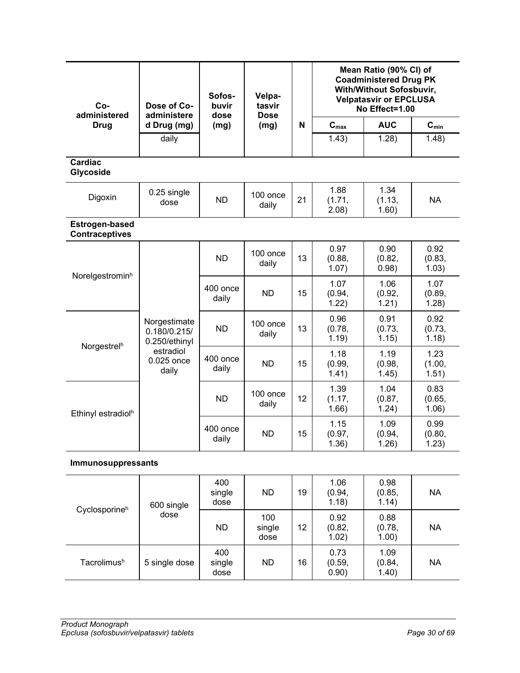| Co-<br>administered                            | Dose of Co-<br>administere                    | Sofos-<br>buvir<br>dose | Velpa-<br>tasvir<br><b>Dose</b> |    | Mean Ratio (90% CI) of<br><b>Coadministered Drug PK</b><br>With/Without Sofosbuvir,<br><b>Velpatasvir or EPCLUSA</b><br>No Effect=1.00 |                         |                         |  |
|------------------------------------------------|-----------------------------------------------|-------------------------|---------------------------------|----|----------------------------------------------------------------------------------------------------------------------------------------|-------------------------|-------------------------|--|
| <b>Drug</b>                                    | d Drug (mg)                                   | (mg)                    | (mg)                            | N  | $C_{\text{max}}$                                                                                                                       | <b>AUC</b>              | $C_{min}$               |  |
|                                                | daily                                         |                         |                                 |    | 1.43)                                                                                                                                  | 1.28)                   | 1.48)                   |  |
| <b>Cardiac</b><br>Glycoside                    |                                               |                         |                                 |    |                                                                                                                                        |                         |                         |  |
| Digoxin                                        | 0.25 single<br>dose                           | <b>ND</b>               | 100 once<br>daily               | 21 | 1.88<br>(1.71,<br>2.08)                                                                                                                | 1.34<br>(1.13,<br>1.60) | <b>NA</b>               |  |
| <b>Estrogen-based</b><br><b>Contraceptives</b> |                                               |                         |                                 |    |                                                                                                                                        |                         |                         |  |
|                                                |                                               | <b>ND</b>               | 100 once<br>daily               | 13 | 0.97<br>(0.88,<br>1.07)                                                                                                                | 0.90<br>(0.82,<br>0.98) | 0.92<br>(0.83,<br>1.03) |  |
| Norelgestrominh                                |                                               | 400 once<br>daily       | <b>ND</b>                       | 15 | 1.07<br>(0.94,<br>1.22)                                                                                                                | 1.06<br>(0.92,<br>1.21) | 1.07<br>(0.89,<br>1.28) |  |
|                                                | Norgestimate<br>0.180/0.215/<br>0.250/ethinyl | <b>ND</b>               | 100 once<br>daily               | 13 | 0.96<br>(0.78,<br>1.19)                                                                                                                | 0.91<br>(0.73,<br>1.15) | 0.92<br>(0.73,<br>1.18) |  |
| Norgestrelh                                    | estradiol<br>0.025 once<br>daily              | 400 once<br>daily       | <b>ND</b>                       | 15 | 1.18<br>(0.99,<br>1.41)                                                                                                                | 1.19<br>(0.98,<br>1.45) | 1.23<br>(1.00,<br>1.51) |  |
| Ethinyl estradiol <sup>h</sup>                 |                                               | <b>ND</b>               | 100 once<br>daily               | 12 | 1.39<br>(1.17,<br>1.66)                                                                                                                | 1.04<br>(0.87,<br>1.24) | 0.83<br>(0.65,<br>1.06) |  |
|                                                |                                               | 400 once<br>daily       | <b>ND</b>                       | 15 | 1.15<br>(0.97,<br>1.36)                                                                                                                | 1.09<br>(0.94,<br>1.26) | 0.99<br>(0.80,<br>1.23) |  |
| <b>Immunosuppressants</b>                      |                                               |                         |                                 |    |                                                                                                                                        |                         |                         |  |
|                                                | 600 single                                    | 400<br>single<br>dose   | <b>ND</b>                       | 19 | 1.06<br>(0.94,<br>1.18)                                                                                                                | 0.98<br>(0.85,<br>1.14) | <b>NA</b>               |  |
| Cyclosporineh                                  | dose                                          | <b>ND</b>               | 100<br>single<br>dose           | 12 | 0.92<br>(0.82,<br>1.02)                                                                                                                | 0.88<br>(0.78,<br>1.00) | <b>NA</b>               |  |
| Tacrolimush                                    | 5 single dose                                 | 400<br>single<br>dose   | <b>ND</b>                       | 16 | 0.73<br>(0.59,<br>0.90)                                                                                                                | 1.09<br>(0.84,<br>1.40) | <b>NA</b>               |  |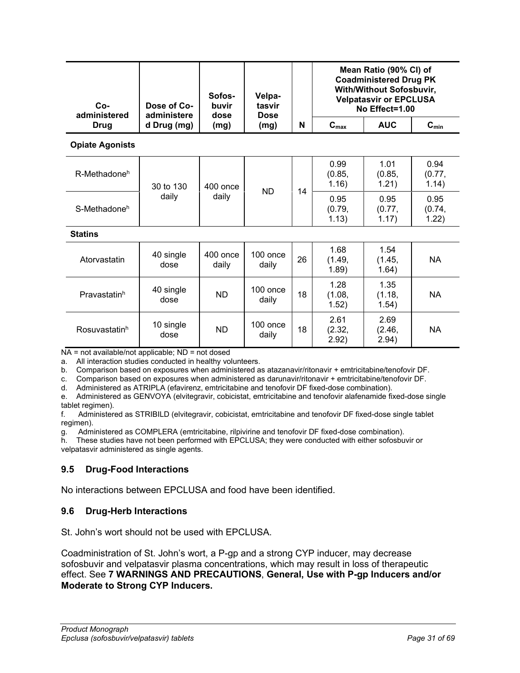| $Co-$<br>administered    | Dose of Co-<br>administere | Sofos-<br>buvir<br>dose | Velpa-<br>tasvir    | <b>Dose</b> |                         | Mean Ratio (90% CI) of<br><b>Coadministered Drug PK</b><br><b>With/Without Sofosbuvir,</b><br><b>Velpatasvir or EPCLUSA</b><br>No Effect=1.00 |                         |  |
|--------------------------|----------------------------|-------------------------|---------------------|-------------|-------------------------|-----------------------------------------------------------------------------------------------------------------------------------------------|-------------------------|--|
| Drug                     | d Drug (mg)                | (mg)                    | (mg)                | N           | $C_{max}$               | <b>AUC</b>                                                                                                                                    | $C_{min}$               |  |
| <b>Opiate Agonists</b>   |                            |                         |                     |             |                         |                                                                                                                                               |                         |  |
| R-Methadone <sup>h</sup> | 30 to 130                  | 400 once<br>daily       | <b>ND</b>           | 14          | 0.99<br>(0.85,<br>1.16) | 1.01<br>(0.85,<br>1.21)                                                                                                                       | 0.94<br>(0.77,<br>1.14) |  |
| S-Methadone <sup>h</sup> | daily                      |                         |                     |             | 0.95<br>(0.79,<br>1.13) | 0.95<br>(0.77,<br>1.17)                                                                                                                       | 0.95<br>(0.74,<br>1.22) |  |
| <b>Statins</b>           |                            |                         |                     |             |                         |                                                                                                                                               |                         |  |
| Atorvastatin             | 40 single<br>dose          | 400 once<br>daily       | $100$ once<br>daily | 26          | 1.68<br>(1.49,<br>1.89) | 1.54<br>(1.45,<br>1.64)                                                                                                                       | <b>NA</b>               |  |
| Pravastatinh             | 40 single<br>dose          | <b>ND</b>               | $100$ once<br>daily | 18          | 1.28<br>(1.08,<br>1.52) | 1.35<br>(1.18,<br>1.54)                                                                                                                       | <b>NA</b>               |  |
| Rosuvastatinh            | 10 single<br>dose          | <b>ND</b>               | $100$ once<br>daily | 18          | 2.61<br>(2.32,<br>2.92) | 2.69<br>(2.46,<br>2.94)                                                                                                                       | <b>NA</b>               |  |

NA = not available/not applicable: ND = not dosed

a. All interaction studies conducted in healthy volunteers.

b. Comparison based on exposures when administered as atazanavir/ritonavir + emtricitabine/tenofovir DF.

c. Comparison based on exposures when administered as darunavir/ritonavir + emtricitabine/tenofovir DF.

d. Administered as ATRIPLA (efavirenz, emtricitabine and tenofovir DF fixed-dose combination).

e. Administered as GENVOYA (elvitegravir, cobicistat, emtricitabine and tenofovir alafenamide fixed-dose single tablet regimen).

f. Administered as STRIBILD (elvitegravir, cobicistat, emtricitabine and tenofovir DF fixed-dose single tablet regimen).

g. Administered as COMPLERA (emtricitabine, rilpivirine and tenofovir DF fixed-dose combination).<br>h. These studies have not been performed with EPCLUSA: they were conducted with either sofosbu

These studies have not been performed with EPCLUSA; they were conducted with either sofosbuvir or velpatasvir administered as single agents.

## <span id="page-30-0"></span>**9.5 Drug-Food Interactions**

No interactions between EPCLUSA and food have been identified.

#### <span id="page-30-1"></span>**9.6 Drug-Herb Interactions**

St. John's wort should not be used with EPCLUSA.

Coadministration of St. John's wort, a P-gp and a strong CYP inducer, may decrease sofosbuvir and velpatasvir plasma concentrations, which may result in loss of therapeutic effect. See **7 [WARNINGS AND](#page-7-0) PRECAUTIONS**, **General, Use with P-gp Inducers and/or Moderate to Strong CYP Inducers.**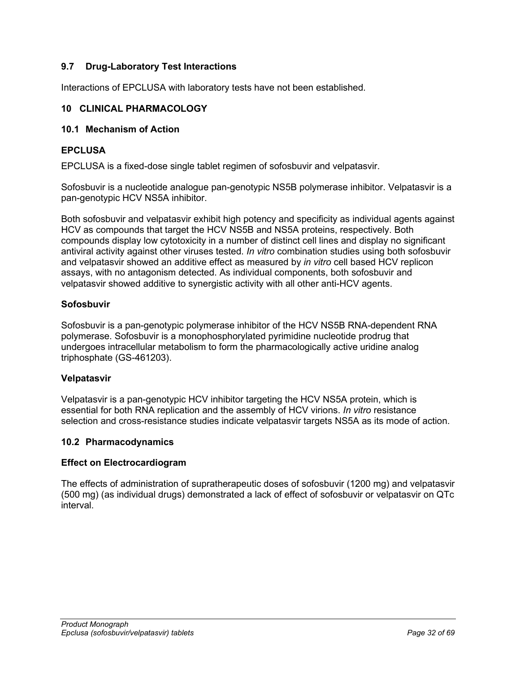## <span id="page-31-0"></span>**9.7 Drug-Laboratory Test Interactions**

Interactions of EPCLUSA with laboratory tests have not been established.

### <span id="page-31-1"></span>**10 CLINICAL PHARMACOLOGY**

### <span id="page-31-2"></span>**10.1 Mechanism of Action**

### **EPCLUSA**

EPCLUSA is a fixed-dose single tablet regimen of sofosbuvir and velpatasvir.

Sofosbuvir is a nucleotide analogue pan-genotypic NS5B polymerase inhibitor. Velpatasvir is a pan-genotypic HCV NS5A inhibitor.

Both sofosbuvir and velpatasvir exhibit high potency and specificity as individual agents against HCV as compounds that target the HCV NS5B and NS5A proteins, respectively. Both compounds display low cytotoxicity in a number of distinct cell lines and display no significant antiviral activity against other viruses tested. *In vitro* combination studies using both sofosbuvir and velpatasvir showed an additive effect as measured by *in vitro* cell based HCV replicon assays, with no antagonism detected. As individual components, both sofosbuvir and velpatasvir showed additive to synergistic activity with all other anti-HCV agents.

### **Sofosbuvir**

Sofosbuvir is a pan-genotypic polymerase inhibitor of the HCV NS5B RNA-dependent RNA polymerase. Sofosbuvir is a monophosphorylated pyrimidine nucleotide prodrug that undergoes intracellular metabolism to form the pharmacologically active uridine analog triphosphate (GS-461203).

#### **Velpatasvir**

Velpatasvir is a pan-genotypic HCV inhibitor targeting the HCV NS5A protein, which is essential for both RNA replication and the assembly of HCV virions. *In vitro* resistance selection and cross-resistance studies indicate velpatasvir targets NS5A as its mode of action.

#### <span id="page-31-3"></span>**10.2 Pharmacodynamics**

#### **Effect on Electrocardiogram**

The effects of administration of supratherapeutic doses of sofosbuvir (1200 mg) and velpatasvir (500 mg) (as individual drugs) demonstrated a lack of effect of sofosbuvir or velpatasvir on QTc interval.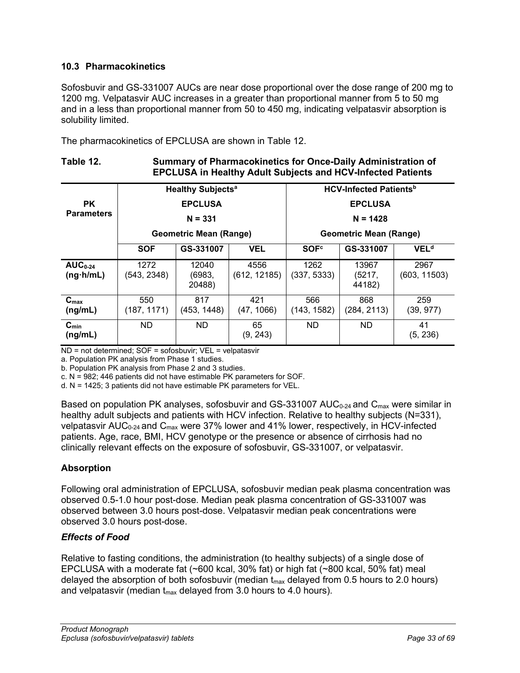## <span id="page-32-0"></span>**10.3 Pharmacokinetics**

Sofosbuvir and GS-331007 AUCs are near dose proportional over the dose range of 200 mg to 1200 mg. Velpatasvir AUC increases in a greater than proportional manner from 5 to 50 mg and in a less than proportional manner from 50 to 450 mg, indicating velpatasvir absorption is solubility limited.

The pharmacokinetics of EPCLUSA are shown in [Table](#page-32-1) 12.

## <span id="page-32-1"></span>**Table 12. Summary of Pharmacokinetics for Once-Daily Administration of EPCLUSA in Healthy Adult Subjects and HCV-Infected Patients**

|                                   |                             | <b>Healthy Subjects<sup>a</sup></b> |                              | <b>HCV-Infected Patients</b> <sup>b</sup> |                           |                        |
|-----------------------------------|-----------------------------|-------------------------------------|------------------------------|-------------------------------------------|---------------------------|------------------------|
| <b>PK</b>                         | <b>EPCLUSA</b><br>$N = 331$ |                                     | <b>EPCLUSA</b><br>$N = 1428$ |                                           |                           |                        |
| <b>Parameters</b>                 |                             |                                     |                              |                                           |                           |                        |
|                                   |                             | <b>Geometric Mean (Range)</b>       |                              | <b>Geometric Mean (Range)</b>             |                           |                        |
|                                   | <b>SOF</b>                  | GS-331007                           | <b>VEL</b>                   | <b>SOF<sup>c</sup></b>                    | GS-331007                 | <b>VEL<sup>d</sup></b> |
| $AUC_{0-24}$<br>$(ng \cdot h/mL)$ | 1272<br>(543, 2348)         | 12040<br>(6983,<br>20488)           | 4556<br>(612, 12185)         | 1262<br>(337, 5333)                       | 13967<br>(5217,<br>44182) | 2967<br>(603, 11503)   |
| $C_{\text{max}}$<br>(ng/mL)       | 550<br>(187, 1171)          | 817<br>(453, 1448)                  | 421<br>(47, 1066)            | 566<br>(143, 1582)                        | 868<br>(284, 2113)        | 259<br>(39, 977)       |
| $C_{min}$<br>(ng/mL)              | ND.                         | <b>ND</b>                           | 65<br>(9, 243)               | <b>ND</b>                                 | <b>ND</b>                 | 41<br>(5, 236)         |

ND = not determined; SOF = sofosbuvir; VEL = velpatasvir

a. Population PK analysis from Phase 1 studies.

b. Population PK analysis from Phase 2 and 3 studies.

c. N = 982; 446 patients did not have estimable PK parameters for SOF.

d. N = 1425; 3 patients did not have estimable PK parameters for VEL.

Based on population PK analyses, sofosbuvir and GS-331007 AUC<sub>0-24</sub> and C<sub>max</sub> were similar in healthy adult subjects and patients with HCV infection. Relative to healthy subjects (N=331), velpatasvir AUC<sub>0-24</sub> and C<sub>max</sub> were 37% lower and 41% lower, respectively, in HCV-infected patients. Age, race, BMI, HCV genotype or the presence or absence of cirrhosis had no clinically relevant effects on the exposure of sofosbuvir, GS-331007, or velpatasvir.

## **Absorption**

Following oral administration of EPCLUSA, sofosbuvir median peak plasma concentration was observed 0.5-1.0 hour post-dose. Median peak plasma concentration of GS-331007 was observed between 3.0 hours post-dose. Velpatasvir median peak concentrations were observed 3.0 hours post-dose.

## *Effects of Food*

Relative to fasting conditions, the administration (to healthy subjects) of a single dose of EPCLUSA with a moderate fat (~600 kcal, 30% fat) or high fat (~800 kcal, 50% fat) meal delayed the absorption of both sofosbuvir (median  $t_{max}$  delayed from 0.5 hours to 2.0 hours) and velpatasvir (median  $t_{max}$  delayed from 3.0 hours to 4.0 hours).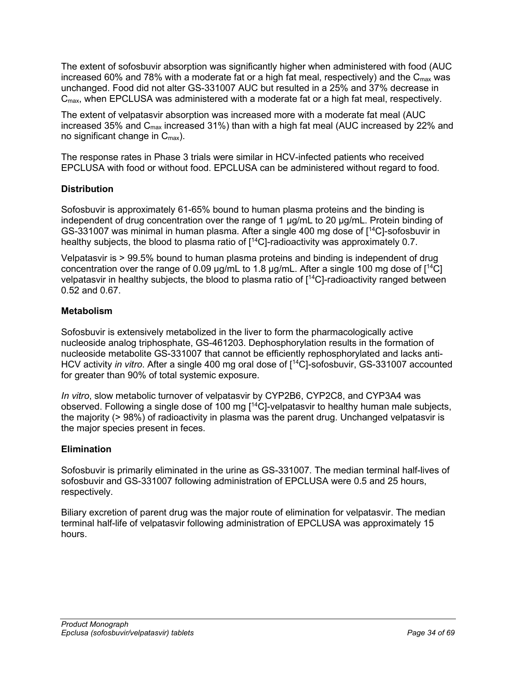The extent of sofosbuvir absorption was significantly higher when administered with food (AUC increased 60% and 78% with a moderate fat or a high fat meal, respectively) and the  $C_{\text{max}}$  was unchanged. Food did not alter GS-331007 AUC but resulted in a 25% and 37% decrease in C<sub>max</sub>, when EPCLUSA was administered with a moderate fat or a high fat meal, respectively.

The extent of velpatasvir absorption was increased more with a moderate fat meal (AUC increased 35% and  $C_{\text{max}}$  increased 31%) than with a high fat meal (AUC increased by 22% and no significant change in  $C_{\text{max}}$ ).

The response rates in Phase 3 trials were similar in HCV-infected patients who received EPCLUSA with food or without food. EPCLUSA can be administered without regard to food.

## **Distribution**

Sofosbuvir is approximately 61-65% bound to human plasma proteins and the binding is independent of drug concentration over the range of 1 µg/mL to 20 µg/mL. Protein binding of GS-331007 was minimal in human plasma. After a single 400 mg dose of [14C]-sofosbuvir in healthy subjects, the blood to plasma ratio of [ 14C]-radioactivity was approximately 0.7.

Velpatasvir is > 99.5% bound to human plasma proteins and binding is independent of drug concentration over the range of 0.09  $\mu$ g/mL to 1.8  $\mu$ g/mL. After a single 100 mg dose of  $[14C]$ velpatasvir in healthy subjects, the blood to plasma ratio of [ 14C]-radioactivity ranged between 0.52 and 0.67.

## **Metabolism**

Sofosbuvir is extensively metabolized in the liver to form the pharmacologically active nucleoside analog triphosphate, GS-461203. Dephosphorylation results in the formation of nucleoside metabolite GS-331007 that cannot be efficiently rephosphorylated and lacks anti-HCV activity *in vitro*. After a single 400 mg oral dose of [14C]-sofosbuvir, GS-331007 accounted for greater than 90% of total systemic exposure.

*In vitro*, slow metabolic turnover of velpatasvir by CYP2B6, CYP2C8, and CYP3A4 was observed. Following a single dose of 100 mg [14C]-velpatasvir to healthy human male subjects, the majority (> 98%) of radioactivity in plasma was the parent drug. Unchanged velpatasvir is the major species present in feces.

## **Elimination**

Sofosbuvir is primarily eliminated in the urine as GS-331007. The median terminal half-lives of sofosbuvir and GS-331007 following administration of EPCLUSA were 0.5 and 25 hours, respectively.

Biliary excretion of parent drug was the major route of elimination for velpatasvir. The median terminal half-life of velpatasvir following administration of EPCLUSA was approximately 15 hours.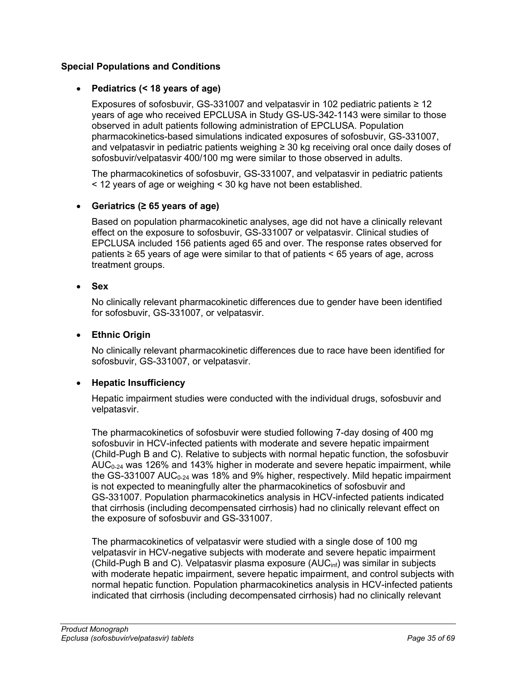## **Special Populations and Conditions**

## • **Pediatrics (< 18 years of age)**

Exposures of sofosbuvir, GS-331007 and velpatasvir in 102 pediatric patients ≥ 12 years of age who received EPCLUSA in Study GS-US-342-1143 were similar to those observed in adult patients following administration of EPCLUSA. Population pharmacokinetics-based simulations indicated exposures of sofosbuvir, GS-331007, and velpatasvir in pediatric patients weighing ≥ 30 kg receiving oral once daily doses of sofosbuvir/velpatasvir 400/100 mg were similar to those observed in adults.

The pharmacokinetics of sofosbuvir, GS-331007, and velpatasvir in pediatric patients < 12 years of age or weighing < 30 kg have not been established.

## • **Geriatrics (≥ 65 years of age)**

Based on population pharmacokinetic analyses, age did not have a clinically relevant effect on the exposure to sofosbuvir, GS-331007 or velpatasvir. Clinical studies of EPCLUSA included 156 patients aged 65 and over. The response rates observed for patients ≥ 65 years of age were similar to that of patients < 65 years of age, across treatment groups.

## • **Sex**

No clinically relevant pharmacokinetic differences due to gender have been identified for sofosbuvir, GS-331007, or velpatasvir.

### • **Ethnic Origin**

No clinically relevant pharmacokinetic differences due to race have been identified for sofosbuvir, GS-331007, or velpatasvir.

## • **Hepatic Insufficiency**

Hepatic impairment studies were conducted with the individual drugs, sofosbuvir and velpatasvir.

The pharmacokinetics of sofosbuvir were studied following 7-day dosing of 400 mg sofosbuvir in HCV-infected patients with moderate and severe hepatic impairment (Child-Pugh B and C). Relative to subjects with normal hepatic function, the sofosbuvir AUC<sub>0-24</sub> was 126% and 143% higher in moderate and severe hepatic impairment, while the GS-331007 AUC<sub>0-24</sub> was 18% and 9% higher, respectively. Mild hepatic impairment is not expected to meaningfully alter the pharmacokinetics of sofosbuvir and GS-331007. Population pharmacokinetics analysis in HCV-infected patients indicated that cirrhosis (including decompensated cirrhosis) had no clinically relevant effect on the exposure of sofosbuvir and GS-331007.

The pharmacokinetics of velpatasvir were studied with a single dose of 100 mg velpatasvir in HCV-negative subjects with moderate and severe hepatic impairment (Child-Pugh B and C). Velpatasvir plasma exposure (AUCinf) was similar in subjects with moderate hepatic impairment, severe hepatic impairment, and control subjects with normal hepatic function. Population pharmacokinetics analysis in HCV-infected patients indicated that cirrhosis (including decompensated cirrhosis) had no clinically relevant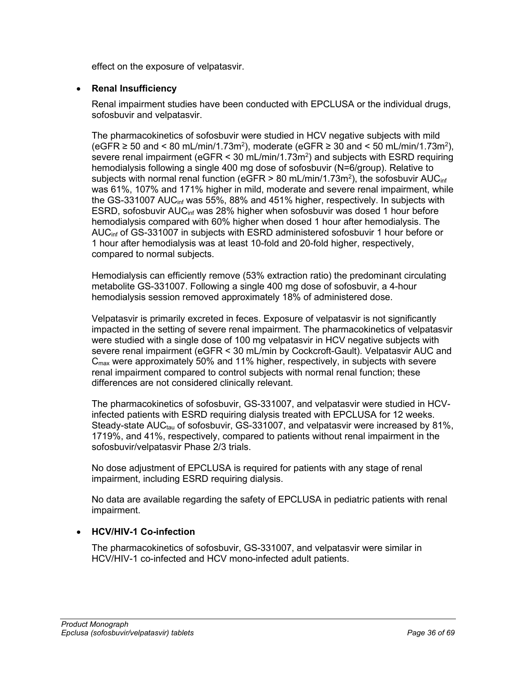effect on the exposure of velpatasvir.

## • **Renal Insufficiency**

Renal impairment studies have been conducted with EPCLUSA or the individual drugs, sofosbuvir and velpatasvir.

The pharmacokinetics of sofosbuvir were studied in HCV negative subjects with mild (eGFR ≥ 50 and < 80 mL/min/1.73m<sup>2</sup>), moderate (eGFR ≥ 30 and < 50 mL/min/1.73m<sup>2</sup>), severe renal impairment (eGFR < 30 mL/min/1.73m<sup>2</sup>) and subjects with ESRD requiring hemodialysis following a single 400 mg dose of sofosbuvir (N=6/group). Relative to subjects with normal renal function (eGFR > 80 mL/min/1.73m<sup>2</sup>), the sofosbuvir AUC $_{\sf inf}$ was 61%, 107% and 171% higher in mild, moderate and severe renal impairment, while the GS-331007 AUCinf was 55%, 88% and 451% higher, respectively. In subjects with ESRD, sofosbuvir AUCinf was 28% higher when sofosbuvir was dosed 1 hour before hemodialysis compared with 60% higher when dosed 1 hour after hemodialysis. The AUC<sub>inf</sub> of GS-331007 in subjects with ESRD administered sofosbuvir 1 hour before or 1 hour after hemodialysis was at least 10-fold and 20-fold higher, respectively, compared to normal subjects.

Hemodialysis can efficiently remove (53% extraction ratio) the predominant circulating metabolite GS-331007. Following a single 400 mg dose of sofosbuvir, a 4-hour hemodialysis session removed approximately 18% of administered dose.

Velpatasvir is primarily excreted in feces. Exposure of velpatasvir is not significantly impacted in the setting of severe renal impairment. The pharmacokinetics of velpatasvir were studied with a single dose of 100 mg velpatasvir in HCV negative subjects with severe renal impairment (eGFR < 30 mL/min by Cockcroft-Gault). Velpatasvir AUC and  $C_{\text{max}}$  were approximately 50% and 11% higher, respectively, in subjects with severe renal impairment compared to control subjects with normal renal function; these differences are not considered clinically relevant.

The pharmacokinetics of sofosbuvir, GS-331007, and velpatasvir were studied in HCVinfected patients with ESRD requiring dialysis treated with EPCLUSA for 12 weeks. Steady-state  $AUC_{tau}$  of sofosbuvir, GS-331007, and velpatasvir were increased by 81%, 1719%, and 41%, respectively, compared to patients without renal impairment in the sofosbuvir/velpatasvir Phase 2/3 trials.

No dose adjustment of EPCLUSA is required for patients with any stage of renal impairment, including ESRD requiring dialysis.

No data are available regarding the safety of EPCLUSA in pediatric patients with renal impairment.

## • **HCV/HIV-1 Co-infection**

The pharmacokinetics of sofosbuvir, GS-331007, and velpatasvir were similar in HCV/HIV-1 co-infected and HCV mono-infected adult patients.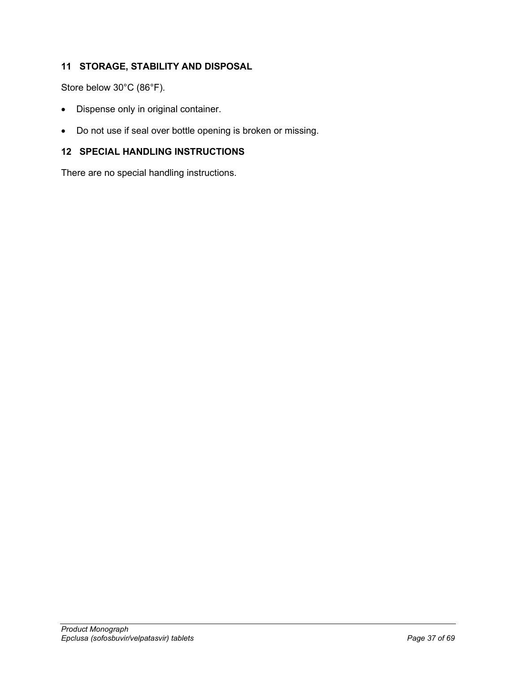# <span id="page-36-0"></span>**11 STORAGE, STABILITY AND DISPOSAL**

Store below 30°C (86°F).

- Dispense only in original container.
- Do not use if seal over bottle opening is broken or missing.

## <span id="page-36-1"></span>**12 SPECIAL HANDLING INSTRUCTIONS**

There are no special handling instructions.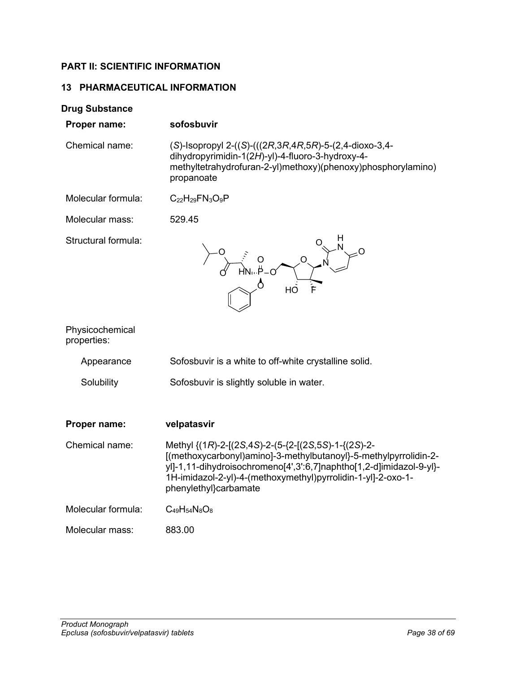## <span id="page-37-0"></span>**PART II: SCIENTIFIC INFORMATION**

## <span id="page-37-1"></span>**13 PHARMACEUTICAL INFORMATION**

| <b>Drug Substance</b>          |                                                                                                                                                                                                                                                                                    |
|--------------------------------|------------------------------------------------------------------------------------------------------------------------------------------------------------------------------------------------------------------------------------------------------------------------------------|
| Proper name:                   | sofosbuvir                                                                                                                                                                                                                                                                         |
| Chemical name:                 | (S)-Isopropyl 2-((S)-(((2R,3R,4R,5R)-5-(2,4-dioxo-3,4-<br>dihydropyrimidin-1(2H)-yl)-4-fluoro-3-hydroxy-4-<br>methyltetrahydrofuran-2-yl)methoxy)(phenoxy)phosphorylamino)<br>propanoate                                                                                           |
| Molecular formula:             | $C_{22}H_{29}FN_{3}O_{9}P$                                                                                                                                                                                                                                                         |
| Molecular mass:                | 529.45                                                                                                                                                                                                                                                                             |
| Structural formula:            |                                                                                                                                                                                                                                                                                    |
| Physicochemical<br>properties: |                                                                                                                                                                                                                                                                                    |
| Appearance                     | Sofosbuvir is a white to off-white crystalline solid.                                                                                                                                                                                                                              |
| Solubility                     | Sofosbuvir is slightly soluble in water.                                                                                                                                                                                                                                           |
| Proper name:                   | velpatasvir                                                                                                                                                                                                                                                                        |
| Chemical name:                 | Methyl $\{(1R)-2-[2S,4S)-2-[5-[2-[2S,5S)-1-2]$<br>[(methoxycarbonyl)amino]-3-methylbutanoyl}-5-methylpyrrolidin-2-<br>yl]-1,11-dihydroisochromeno[4',3':6,7]naphtho[1,2-d]imidazol-9-yl}-<br>1H-imidazol-2-yl)-4-(methoxymethyl)pyrrolidin-1-yl]-2-oxo-1-<br>phenylethyl}carbamate |
| Molecular formula:             | $C_{49}H_{54}N_8O_8$                                                                                                                                                                                                                                                               |
| Molecular mass:                | 883.00                                                                                                                                                                                                                                                                             |
|                                |                                                                                                                                                                                                                                                                                    |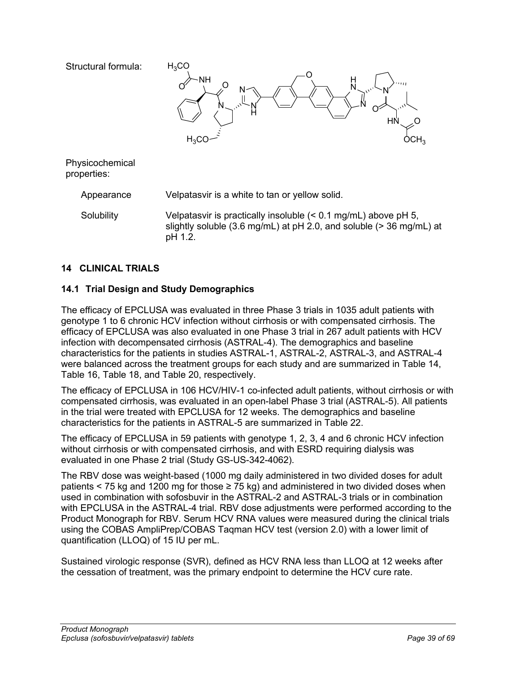

Solubility Velpatasvir is practically insoluble (< 0.1 mg/mL) above pH 5, slightly soluble (3.6 mg/mL) at pH 2.0, and soluble (> 36 mg/mL) at pH 1.2.

## <span id="page-38-0"></span>**14 CLINICAL TRIALS**

## <span id="page-38-1"></span>**14.1 Trial Design and Study Demographics**

The efficacy of EPCLUSA was evaluated in three Phase 3 trials in 1035 adult patients with genotype 1 to 6 chronic HCV infection without cirrhosis or with compensated cirrhosis. The efficacy of EPCLUSA was also evaluated in one Phase 3 trial in 267 adult patients with HCV infection with decompensated cirrhosis (ASTRAL-4). The demographics and baseline characteristics for the patients in studies ASTRAL-1, ASTRAL-2, ASTRAL-3, and ASTRAL-4 were balanced across the treatment groups for each study and are summarized in [Table](#page-39-0) 14, [Table](#page-41-0) 16, [Table](#page-42-0) 18, and [Table](#page-44-0) 20, respectively.

The efficacy of EPCLUSA in 106 HCV/HIV-1 co-infected adult patients, without cirrhosis or with compensated cirrhosis, was evaluated in an open-label Phase 3 trial (ASTRAL-5). All patients in the trial were treated with EPCLUSA for 12 weeks. The demographics and baseline characteristics for the patients in ASTRAL-5 are summarized in [Table](#page-45-0) 22.

The efficacy of EPCLUSA in 59 patients with genotype 1, 2, 3, 4 and 6 chronic HCV infection without cirrhosis or with compensated cirrhosis, and with ESRD requiring dialysis was evaluated in one Phase 2 trial (Study GS-US-342-4062).

The RBV dose was weight-based (1000 mg daily administered in two divided doses for adult patients < 75 kg and 1200 mg for those  $\geq$  75 kg) and administered in two divided doses when used in combination with sofosbuvir in the ASTRAL-2 and ASTRAL-3 trials or in combination with EPCLUSA in the ASTRAL-4 trial. RBV dose adjustments were performed according to the Product Monograph for RBV. Serum HCV RNA values were measured during the clinical trials using the COBAS AmpliPrep/COBAS Taqman HCV test (version 2.0) with a lower limit of quantification (LLOQ) of 15 IU per mL.

Sustained virologic response (SVR), defined as HCV RNA less than LLOQ at 12 weeks after the cessation of treatment, was the primary endpoint to determine the HCV cure rate.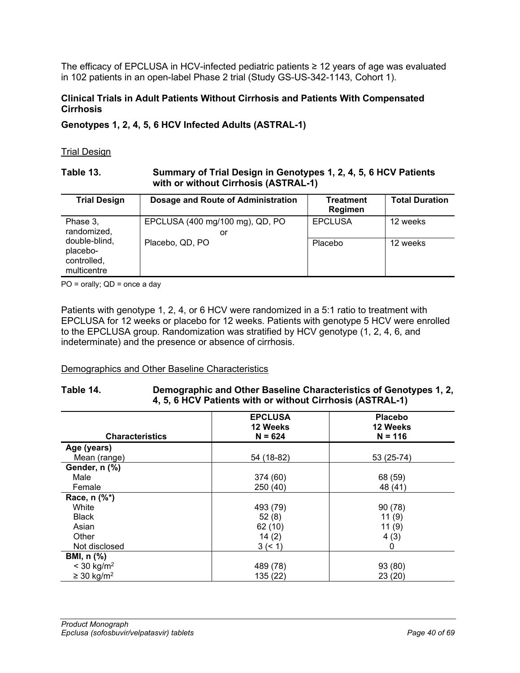The efficacy of EPCLUSA in HCV-infected pediatric patients ≥ 12 years of age was evaluated in 102 patients in an open-label Phase 2 trial (Study GS-US-342-1143, Cohort 1).

### **Clinical Trials in Adult Patients Without Cirrhosis and Patients With Compensated Cirrhosis**

**Genotypes 1, 2, 4, 5, 6 HCV Infected Adults (ASTRAL-1)**

### Trial Design

### **Table 13. Summary of Trial Design in Genotypes 1, 2, 4, 5, 6 HCV Patients with or without Cirrhosis (ASTRAL-1)**

| <b>Trial Design</b>                                     | Dosage and Route of Administration    | Treatment<br>Regimen | <b>Total Duration</b> |
|---------------------------------------------------------|---------------------------------------|----------------------|-----------------------|
| Phase 3,<br>randomized,                                 | EPCLUSA (400 mg/100 mg), QD, PO<br>or | <b>EPCLUSA</b>       | 12 weeks              |
| double-blind,<br>placebo-<br>controlled,<br>multicentre | Placebo, QD, PO                       | Placebo              | 12 weeks              |

PO = orally; QD = once a day

Patients with genotype 1, 2, 4, or 6 HCV were randomized in a 5:1 ratio to treatment with EPCLUSA for 12 weeks or placebo for 12 weeks. Patients with genotype 5 HCV were enrolled to the EPCLUSA group. Randomization was stratified by HCV genotype (1, 2, 4, 6, and indeterminate) and the presence or absence of cirrhosis.

## Demographics and Other Baseline Characteristics

### <span id="page-39-0"></span>**Table 14. Demographic and Other Baseline Characteristics of Genotypes 1, 2, 4, 5, 6 HCV Patients with or without Cirrhosis (ASTRAL-1)**

| <b>Characteristics</b>      | <b>EPCLUSA</b><br>12 Weeks<br>$N = 624$ | <b>Placebo</b><br>12 Weeks<br>$N = 116$ |
|-----------------------------|-----------------------------------------|-----------------------------------------|
| Age (years)                 |                                         |                                         |
| Mean (range)                | 54 (18-82)                              | 53 (25-74)                              |
| Gender, n (%)               |                                         |                                         |
| Male                        | 374 (60)                                | 68 (59)                                 |
| Female                      | 250 (40)                                | 48 (41)                                 |
| Race, n (%*)                |                                         |                                         |
| White                       | 493 (79)                                | 90(78)                                  |
| <b>Black</b>                | 52(8)                                   | 11(9)                                   |
| Asian                       | 62(10)                                  | 11(9)                                   |
| Other                       | 14(2)                                   | 4(3)                                    |
| Not disclosed               | 3 (< 1)                                 | 0                                       |
| <b>BMI, n (%)</b>           |                                         |                                         |
| $< 30$ kg/m <sup>2</sup>    | 489 (78)                                | 93 (80)                                 |
| $\geq$ 30 kg/m <sup>2</sup> | 135 (22)                                | 23(20)                                  |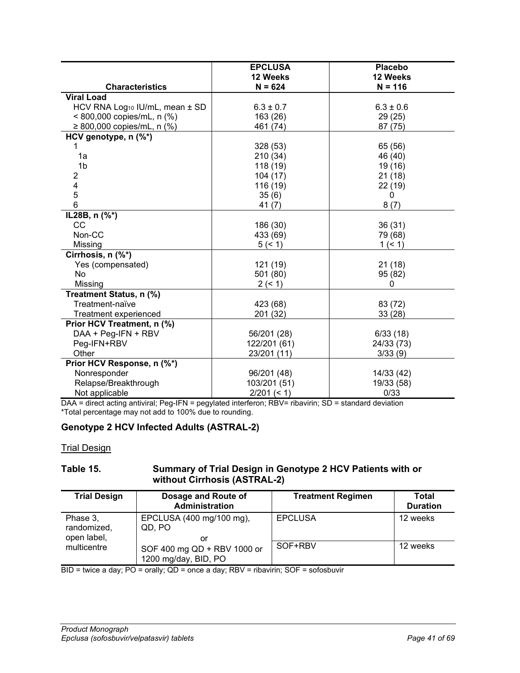|                                            | <b>EPCLUSA</b> | <b>Placebo</b> |
|--------------------------------------------|----------------|----------------|
|                                            | 12 Weeks       | 12 Weeks       |
| <b>Characteristics</b>                     | $N = 624$      | $N = 116$      |
| <b>Viral Load</b>                          |                |                |
| HCV RNA Log <sub>10</sub> IU/mL, mean ± SD | $6.3 \pm 0.7$  | $6.3 \pm 0.6$  |
| < 800,000 copies/mL, n (%)                 | 163 (26)       | 29(25)         |
| ≥ 800,000 copies/mL, n $(\%)$              | 461 (74)       | 87 (75)        |
| HCV genotype, n (%*)                       |                |                |
|                                            | 328 (53)       | 65 (56)        |
| 1a                                         | 210 (34)       | 46 (40)        |
| 1 <sub>b</sub>                             | 118 (19)       | 19 (16)        |
| 2                                          | 104 (17)       | 21(18)         |
| 4                                          | 116 (19)       | 22 (19)        |
| 5                                          | 35(6)          | 0              |
| 6                                          | 41 $(7)$       | 8(7)           |
| IL28B, n (%*)                              |                |                |
| CC                                         | 186 (30)       | 36(31)         |
| Non-CC                                     | 433 (69)       | 79 (68)        |
| Missing                                    | 5 (< 1)        | 1 (< 1)        |
| Cirrhosis, n (%*)                          |                |                |
| Yes (compensated)                          | 121 (19)       | 21(18)         |
| No                                         | 501 (80)       | 95 (82)        |
| Missing                                    | 2 (< 1)        | 0              |
| Treatment Status, n (%)                    |                |                |
| Treatment-naïve                            | 423 (68)       | 83 (72)        |
| Treatment experienced                      | 201 (32)       | 33(28)         |
| Prior HCV Treatment, n (%)                 |                |                |
| DAA + Peg-IFN + RBV                        | 56/201 (28)    | 6/33(18)       |
| Peg-IFN+RBV                                | 122/201 (61)   | 24/33 (73)     |
| Other                                      | 23/201 (11)    | 3/33(9)        |
| Prior HCV Response, n (%*)                 |                |                |
| Nonresponder                               | 96/201 (48)    | 14/33 (42)     |
| Relapse/Breakthrough                       | 103/201 (51)   | 19/33 (58)     |
| Not applicable                             | $2/201 (= 1)$  | 0/33           |

DAA = direct acting antiviral; Peg-IFN = pegylated interferon; RBV= ribavirin; SD = standard deviation \*Total percentage may not add to 100% due to rounding.

# **Genotype 2 HCV Infected Adults (ASTRAL-2)**

**Trial Design** 

## **Table 15. Summary of Trial Design in Genotype 2 HCV Patients with or without Cirrhosis (ASTRAL-2)**

| <b>Trial Design</b>                    | Dosage and Route of<br><b>Administration</b>        | <b>Treatment Regimen</b> | Total<br><b>Duration</b> |
|----------------------------------------|-----------------------------------------------------|--------------------------|--------------------------|
| Phase 3,<br>randomized,<br>open label, | EPCLUSA (400 mg/100 mg),<br>QD, PO<br>or            | <b>EPCLUSA</b>           | 12 weeks                 |
| multicentre                            | SOF 400 mg QD + RBV 1000 or<br>1200 mg/day, BID, PO | SOF+RBV                  | 12 weeks                 |

BID = twice a day; PO = orally; QD = once a day; RBV = ribavirin; SOF = sofosbuvir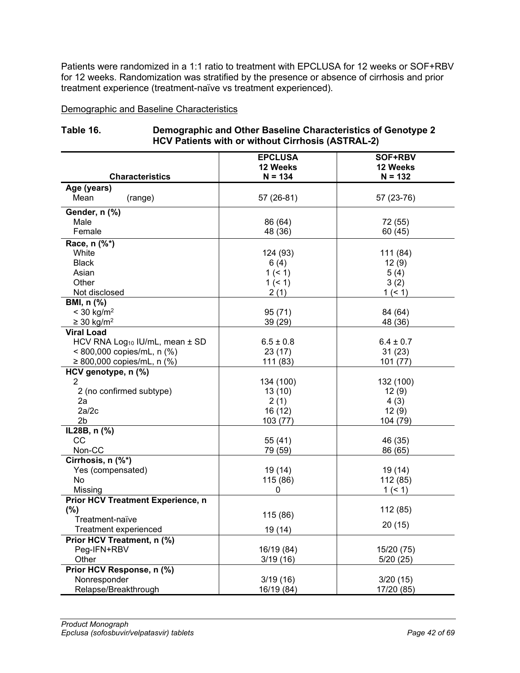Patients were randomized in a 1:1 ratio to treatment with EPCLUSA for 12 weeks or SOF+RBV for 12 weeks. Randomization was stratified by the presence or absence of cirrhosis and prior treatment experience (treatment-naïve vs treatment experienced).

Demographic and Baseline Characteristics

| $HUV$ Patients with of without Uninosis (ASTNAL-2)<br><b>EPCLUSA</b><br><b>SOF+RBV</b> |                |               |  |  |
|----------------------------------------------------------------------------------------|----------------|---------------|--|--|
|                                                                                        | 12 Weeks       | 12 Weeks      |  |  |
| <b>Characteristics</b>                                                                 | $N = 134$      | $N = 132$     |  |  |
| Age (years)                                                                            |                |               |  |  |
| Mean<br>(range)                                                                        | 57 (26-81)     | 57 (23-76)    |  |  |
| Gender, n (%)                                                                          |                |               |  |  |
| Male                                                                                   | 86 (64)        | 72 (55)       |  |  |
| Female                                                                                 | 48 (36)        | 60 (45)       |  |  |
| Race, n (%*)                                                                           |                |               |  |  |
| White                                                                                  | 124 (93)       | 111 (84)      |  |  |
| <b>Black</b>                                                                           | 6(4)           | 12(9)         |  |  |
| Asian                                                                                  | 1(51)          | 5(4)          |  |  |
| Other                                                                                  | 1(51)          | 3(2)          |  |  |
| Not disclosed                                                                          | 2(1)           | 1 (< 1)       |  |  |
| BMI, n (%)                                                                             |                |               |  |  |
| $<$ 30 kg/m <sup>2</sup>                                                               | 95(71)         | 84 (64)       |  |  |
| $\geq$ 30 kg/m <sup>2</sup>                                                            | 39 (29)        | 48 (36)       |  |  |
| <b>Viral Load</b>                                                                      |                |               |  |  |
| HCV RNA Log <sub>10</sub> IU/mL, mean ± SD                                             | $6.5 \pm 0.8$  | $6.4 \pm 0.7$ |  |  |
| < 800,000 copies/mL, n (%)                                                             | 23(17)         | 31(23)        |  |  |
| ≥ 800,000 copies/mL, n $(\%)$                                                          | 111 (83)       | 101(77)       |  |  |
| HCV genotype, n (%)                                                                    |                |               |  |  |
| 2<br>2 (no confirmed subtype)                                                          | 134 (100)      | 132 (100)     |  |  |
| 2a                                                                                     | 13(10)<br>2(1) | 12(9)<br>4(3) |  |  |
| 2a/2c                                                                                  | 16 (12)        | 12(9)         |  |  |
| 2 <sub>b</sub>                                                                         | 103 (77)       | 104 (79)      |  |  |
| IL28B, n (%)                                                                           |                |               |  |  |
| CC                                                                                     | 55 (41)        | 46 (35)       |  |  |
| Non-CC                                                                                 | 79 (59)        | 86 (65)       |  |  |
| Cirrhosis, n (%*)                                                                      |                |               |  |  |
| Yes (compensated)                                                                      | 19 (14)        | 19 (14)       |  |  |
| No                                                                                     | 115 (86)       | 112 (85)      |  |  |
| Missing                                                                                | 0              | 1 (< 1)       |  |  |
| <b>Prior HCV Treatment Experience, n</b>                                               |                |               |  |  |
| (%)                                                                                    |                | 112 (85)      |  |  |
| Treatment-naïve                                                                        | 115 (86)       |               |  |  |
| <b>Treatment experienced</b>                                                           | 19 (14)        | 20(15)        |  |  |
| Prior HCV Treatment, n (%)                                                             |                |               |  |  |
| Peg-IFN+RBV                                                                            | 16/19 (84)     | 15/20 (75)    |  |  |
| Other                                                                                  | 3/19(16)       | 5/20(25)      |  |  |
| Prior HCV Response, n (%)                                                              |                |               |  |  |
| Nonresponder                                                                           | 3/19(16)       | 3/20(15)      |  |  |
| Relapse/Breakthrough                                                                   | 16/19 (84)     | 17/20 (85)    |  |  |

<span id="page-41-0"></span>

| Table 16. | Demographic and Other Baseline Characteristics of Genotype 2 |
|-----------|--------------------------------------------------------------|
|           | <b>HCV Patients with or without Cirrhosis (ASTRAL-2)</b>     |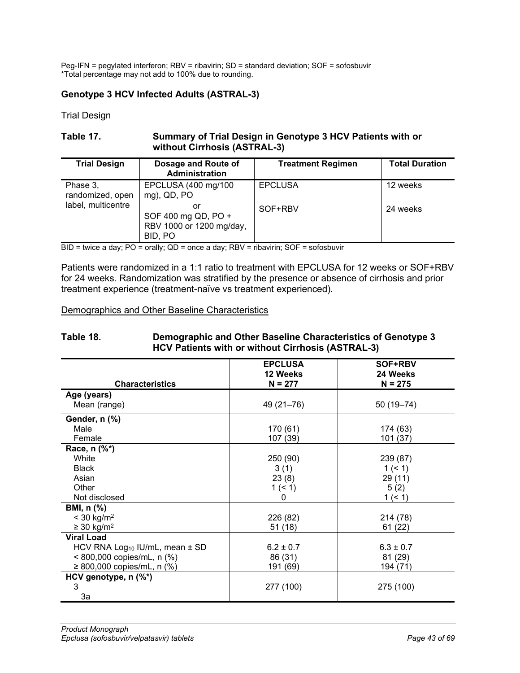Peg-IFN = pegylated interferon; RBV = ribavirin; SD = standard deviation; SOF = sofosbuvir \*Total percentage may not add to 100% due to rounding.

## **Genotype 3 HCV Infected Adults (ASTRAL-3)**

Trial Design

#### **Table 17. Summary of Trial Design in Genotype 3 HCV Patients with or without Cirrhosis (ASTRAL-3)**

| <b>Trial Design</b>          | Dosage and Route of<br><b>Administration</b>                     | <b>Treatment Regimen</b> | <b>Total Duration</b> |
|------------------------------|------------------------------------------------------------------|--------------------------|-----------------------|
| Phase 3,<br>randomized, open | EPCLUSA (400 mg/100<br>$mg$ ), QD, PO                            | <b>EPCLUSA</b>           | 12 weeks              |
| label, multicentre           | or<br>SOF 400 mg QD, PO +<br>RBV 1000 or 1200 mg/day,<br>BID. PO | SOF+RBV                  | 24 weeks              |

BID = twice a day; PO = orally; QD = once a day; RBV = ribavirin; SOF = sofosbuvir

Patients were randomized in a 1:1 ratio to treatment with EPCLUSA for 12 weeks or SOF+RBV for 24 weeks. Randomization was stratified by the presence or absence of cirrhosis and prior treatment experience (treatment-naïve vs treatment experienced).

#### Demographics and Other Baseline Characteristics

#### <span id="page-42-0"></span>**Table 18. Demographic and Other Baseline Characteristics of Genotype 3 HCV Patients with or without Cirrhosis (ASTRAL-3)**

|                                                | <b>EPCLUSA</b><br>12 Weeks | SOF+RBV<br>24 Weeks |
|------------------------------------------------|----------------------------|---------------------|
| <b>Characteristics</b>                         | $N = 277$                  | $N = 275$           |
| Age (years)                                    |                            |                     |
| Mean (range)                                   | 49 (21-76)                 | 50 (19 - 74)        |
| Gender, n (%)                                  |                            |                     |
| Male                                           | 170 (61)                   | 174 (63)            |
| Female                                         | 107 (39)                   | 101 (37)            |
| Race, n (%*)                                   |                            |                     |
| White                                          | 250 (90)                   | 239 (87)            |
| <b>Black</b>                                   | 3(1)                       | 1 (< 1)             |
| Asian                                          | 23(8)                      | 29 (11)             |
| Other                                          | 1 (< 1)                    | 5(2)                |
| Not disclosed                                  | 0                          | 1 (< 1)             |
| <b>BMI, n (%)</b>                              |                            |                     |
| $< 30$ kg/m <sup>2</sup>                       | 226 (82)                   | 214 (78)            |
| $\geq$ 30 kg/m <sup>2</sup>                    | 51(18)                     | 61(22)              |
| <b>Viral Load</b>                              |                            |                     |
| HCV RNA Log <sub>10</sub> IU/mL, mean $\pm$ SD | $6.2 \pm 0.7$              | $6.3 \pm 0.7$       |
| $< 800,000$ copies/mL, n (%)                   | 86 (31)                    | 81 (29)             |
| ≥ 800,000 copies/mL, n $(\%)$                  | 191 (69)                   | 194 (71)            |
| HCV genotype, n (%*)                           |                            |                     |
| 3                                              | 277 (100)                  | 275 (100)           |
| 3a                                             |                            |                     |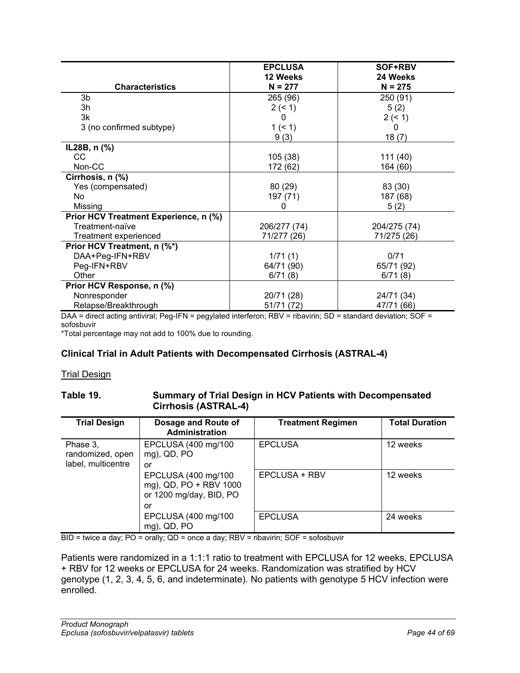|                                       | <b>EPCLUSA</b><br>12 Weeks | SOF+RBV<br>24 Weeks |
|---------------------------------------|----------------------------|---------------------|
| <b>Characteristics</b>                | $N = 277$                  | $N = 275$           |
| 3b                                    | 265 (96)                   | 250 (91)            |
| 3h                                    | 2 (< 1)                    | 5(2)                |
| 3k                                    | $\Omega$                   | 2 (< 1)             |
| 3 (no confirmed subtype)              | $1($ < 1)                  | 0                   |
|                                       | 9(3)                       | 18(7)               |
| IL28B, n (%)                          |                            |                     |
| CС                                    | 105 (38)                   | 111 (40)            |
| Non-CC                                | 172 (62)                   | 164 (60)            |
| Cirrhosis, n (%)                      |                            |                     |
| Yes (compensated)                     | 80(29)                     | 83 (30)             |
| <b>No</b>                             | 197 (71)                   | 187 (68)            |
| Missing                               | 0                          | 5(2)                |
| Prior HCV Treatment Experience, n (%) |                            |                     |
| Treatment-naïve                       | 206/277 (74)               | 204/275 (74)        |
| Treatment experienced                 | 71/277 (26)                | 71/275 (26)         |
| Prior HCV Treatment, n (%*)           |                            |                     |
| DAA+Peg-IFN+RBV                       | 1/71(1)                    | 0/71                |
| Peg-IFN+RBV                           | 64/71 (90)                 | 65/71 (92)          |
| Other                                 | 6/71(8)                    | 6/71(8)             |
| Prior HCV Response, n (%)             |                            |                     |
| Nonresponder                          | 20/71 (28)                 | 24/71 (34)          |
| Relapse/Breakthrough                  | 51/71 (72)                 | 47/71 (66)          |

DAA = direct acting antiviral; Peg-IFN = pegylated interferon; RBV = ribavirin; SD = standard deviation; SOF = sofosbuvir

\*Total percentage may not add to 100% due to rounding.

## **Clinical Trial in Adult Patients with Decompensated Cirrhosis (ASTRAL-4)**

#### **Trial Design**

#### **Table 19. Summary of Trial Design in HCV Patients with Decompensated Cirrhosis (ASTRAL-4)**

| <b>Trial Design</b>                                | Dosage and Route of<br>Administration                                          | <b>Treatment Regimen</b> | <b>Total Duration</b> |
|----------------------------------------------------|--------------------------------------------------------------------------------|--------------------------|-----------------------|
| Phase 3,<br>randomized, open<br>label, multicentre | EPCLUSA (400 mg/100<br>mg), QD, PO<br>or                                       | <b>EPCLUSA</b>           | 12 weeks              |
|                                                    | EPCLUSA (400 mg/100<br>mg), QD, PO + RBV 1000<br>or 1200 mg/day, BID, PO<br>or | EPCLUSA + RBV            | 12 weeks              |
|                                                    | EPCLUSA (400 mg/100<br>mg), QD, PO                                             | <b>EPCLUSA</b>           | 24 weeks              |

BID = twice a day; PO = orally; QD = once a day; RBV = ribavirin; SOF = sofosbuvir

Patients were randomized in a 1:1:1 ratio to treatment with EPCLUSA for 12 weeks, EPCLUSA + RBV for 12 weeks or EPCLUSA for 24 weeks. Randomization was stratified by HCV genotype (1, 2, 3, 4, 5, 6, and indeterminate). No patients with genotype 5 HCV infection were enrolled.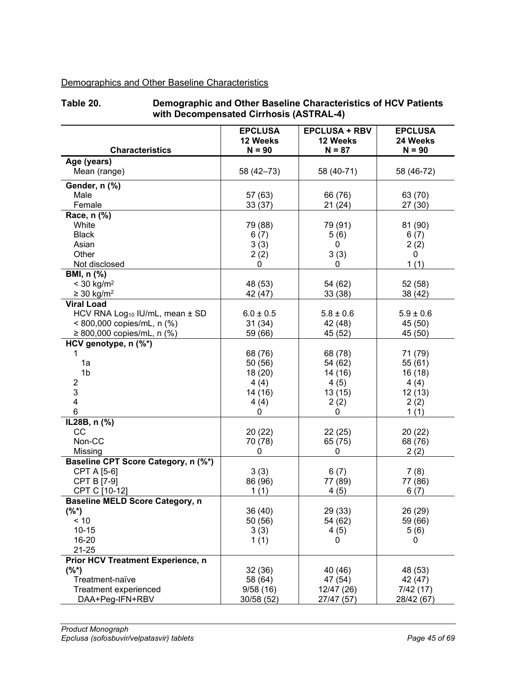# Demographics and Other Baseline Characteristics

#### <span id="page-44-0"></span>**Table 20. Demographic and Other Baseline Characteristics of HCV Patients with Decompensated Cirrhosis (ASTRAL-4)**

| <b>Characteristics</b>                     | <b>EPCLUSA</b><br>12 Weeks | <b>EPCLUSA + RBV</b><br>12 Weeks<br>$N = 87$ | <b>EPCLUSA</b><br>24 Weeks |
|--------------------------------------------|----------------------------|----------------------------------------------|----------------------------|
|                                            | $N = 90$                   |                                              | $N = 90$                   |
| Age (years)<br>Mean (range)                | 58 (42-73)                 | 58 (40-71)                                   | 58 (46-72)                 |
| Gender, n (%)                              |                            |                                              |                            |
| Male                                       | 57 (63)                    | 66 (76)                                      | 63 (70)                    |
| Female                                     | 33 (37)                    | 21(24)                                       | 27(30)                     |
| Race, n (%)                                |                            |                                              |                            |
| White                                      | 79 (88)                    | 79 (91)                                      | 81 (90)                    |
| <b>Black</b>                               | 6(7)                       | 5(6)                                         | 6(7)                       |
| Asian                                      | 3(3)                       | 0                                            | 2(2)                       |
| Other                                      | 2(2)                       | 3(3)                                         | 0                          |
| Not disclosed                              | 0                          | 0                                            | 1(1)                       |
| BMI, n (%)                                 |                            |                                              |                            |
| $< 30$ kg/m <sup>2</sup>                   | 48 (53)                    | 54 (62)                                      | 52 (58)                    |
| $\geq 30$ kg/m <sup>2</sup>                | 42 (47)                    | 33(38)                                       | 38 (42)                    |
| <b>Viral Load</b>                          |                            |                                              |                            |
| HCV RNA Log <sub>10</sub> IU/mL, mean ± SD | $6.0 \pm 0.5$              | $5.8 \pm 0.6$                                | $5.9 \pm 0.6$              |
| < 800,000 copies/mL, n (%)                 | 31(34)                     | 42 (48)                                      | 45 (50)                    |
| ≥ 800,000 copies/mL, n $(\%)$              | 59 (66)                    | 45 (52)                                      | 45 (50)                    |
| HCV genotype, n (%*)                       |                            |                                              |                            |
| 1                                          | 68 (76)                    | 68 (78)                                      | 71 (79)                    |
| 1a                                         | 50 (56)                    | 54 (62)                                      | 55 (61)                    |
| 1 <sub>b</sub>                             | 18 (20)                    | 14 (16)                                      | 16 (18)                    |
| $\overline{c}$                             | 4(4)                       | 4(5)                                         | 4(4)                       |
| $\ensuremath{\mathsf{3}}$                  | 14 (16)                    | 13(15)                                       | 12(13)                     |
| 4                                          | 4(4)                       | 2(2)                                         | 2(2)                       |
| 6                                          | 0                          | 0                                            | 1(1)                       |
| IL28B, n (%)                               |                            |                                              |                            |
| CC                                         | 20 (22)                    | 22(25)                                       | 20(22)                     |
| Non-CC                                     | 70 (78)                    | 65 (75)                                      | 68 (76)                    |
| Missing                                    | 0                          | 0                                            | 2(2)                       |
| Baseline CPT Score Category, n (%*)        |                            |                                              |                            |
| CPT A [5-6]                                | 3(3)                       | 6(7)                                         | 7(8)                       |
| CPT B [7-9]                                | 86 (96)                    | 77 (89)                                      | 77 (86)                    |
| CPT C [10-12]                              | 1(1)                       | 4(5)                                         | 6(7)                       |
| <b>Baseline MELD Score Category, n</b>     |                            |                                              |                            |
| $(%^*)$                                    | 36 (40)                    | 29 (33)                                      | 26 (29)                    |
| < 10                                       | 50 (56)                    | 54 (62)                                      | 59 (66)                    |
| $10 - 15$                                  | 3(3)                       | 4(5)                                         | 5(6)                       |
| 16-20                                      | 1(1)                       | 0                                            | 0                          |
| $21 - 25$                                  |                            |                                              |                            |
| Prior HCV Treatment Experience, n          |                            |                                              |                            |
| $(%^*)$                                    | 32 (36)                    | 40 (46)                                      | 48 (53)                    |
| Treatment-naïve                            | 58 (64)                    | 47 (54)                                      | 42 (47)                    |
| <b>Treatment experienced</b>               | 9/58(16)                   | 12/47 (26)                                   | 7/42(17)                   |
| DAA+Peg-IFN+RBV                            | 30/58 (52)                 | 27/47 (57)                                   | 28/42 (67)                 |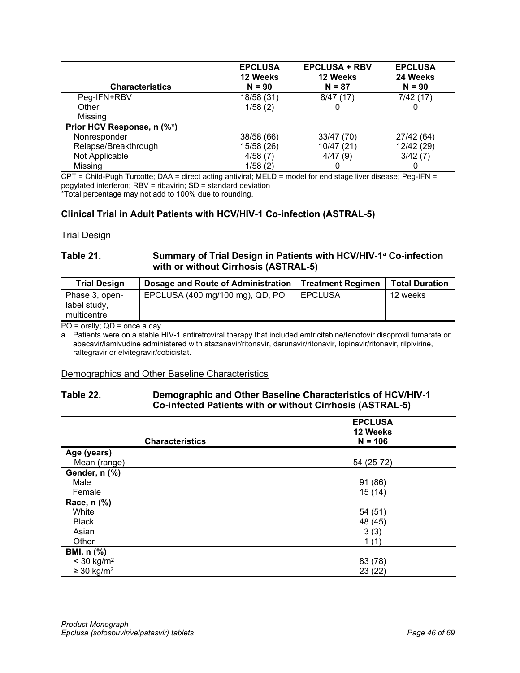| <b>Characteristics</b>     | <b>EPCLUSA</b><br>12 Weeks<br>$N = 90$ | <b>EPCLUSA + RBV</b><br>12 Weeks<br>$N = 87$ | <b>EPCLUSA</b><br>24 Weeks<br>$N = 90$ |
|----------------------------|----------------------------------------|----------------------------------------------|----------------------------------------|
| Peg-IFN+RBV                | 18/58 (31)                             | 8/47(17)                                     | 7/42(17)                               |
| Other                      | 1/58(2)                                |                                              |                                        |
| Missing                    |                                        |                                              |                                        |
| Prior HCV Response, n (%*) |                                        |                                              |                                        |
| Nonresponder               | 38/58 (66)                             | 33/47 (70)                                   | 27/42 (64)                             |
| Relapse/Breakthrough       | 15/58 (26)                             | 10/47(21)                                    | 12/42 (29)                             |
| Not Applicable             | 4/58(7)                                | 4/47(9)                                      | 3/42(7)                                |
| Missing                    | 1/58(2)                                |                                              |                                        |

CPT = Child-Pugh Turcotte; DAA = direct acting antiviral; MELD = model for end stage liver disease; Peg-IFN = pegylated interferon; RBV = ribavirin; SD = standard deviation

\*Total percentage may not add to 100% due to rounding.

## **Clinical Trial in Adult Patients with HCV/HIV-1 Co-infection (ASTRAL-5)**

**Trial Design** 

### **Table 21. Summary of Trial Design in Patients with HCV/HIV-1a Co-infection with or without Cirrhosis (ASTRAL-5)**

| <b>Trial Design</b>                           | Dosage and Route of Administration | <b>Treatment Regimen</b> | <b>Total Duration</b> |
|-----------------------------------------------|------------------------------------|--------------------------|-----------------------|
| Phase 3, open-<br>label study,<br>multicentre | EPCLUSA (400 mg/100 mg), QD, PO    | <b>EPCLUSA</b>           | 12 weeks              |

PO = orally; QD = once a day

a. Patients were on a stable HIV-1 antiretroviral therapy that included emtricitabine/tenofovir disoproxil fumarate or abacavir/lamivudine administered with atazanavir/ritonavir, darunavir/ritonavir, lopinavir/ritonavir, rilpivirine, raltegravir or elvitegravir/cobicistat.

#### Demographics and Other Baseline Characteristics

### <span id="page-45-0"></span>**Table 22. Demographic and Other Baseline Characteristics of HCV/HIV-1 Co-infected Patients with or without Cirrhosis (ASTRAL-5)**

| <b>Characteristics</b>      | <b>EPCLUSA</b><br>12 Weeks<br>$N = 106$ |
|-----------------------------|-----------------------------------------|
| Age (years)                 |                                         |
| Mean (range)                | 54 (25-72)                              |
| Gender, n (%)               |                                         |
| Male                        | 91 (86)                                 |
| Female                      | 15(14)                                  |
| Race, n (%)                 |                                         |
| White                       | 54 (51)                                 |
| <b>Black</b>                | 48 (45)                                 |
| Asian                       | 3(3)                                    |
| Other                       | 1(1)                                    |
| <b>BMI, n (%)</b>           |                                         |
| $<$ 30 kg/m <sup>2</sup>    | 83 (78)                                 |
| $\geq$ 30 kg/m <sup>2</sup> | 23(22)                                  |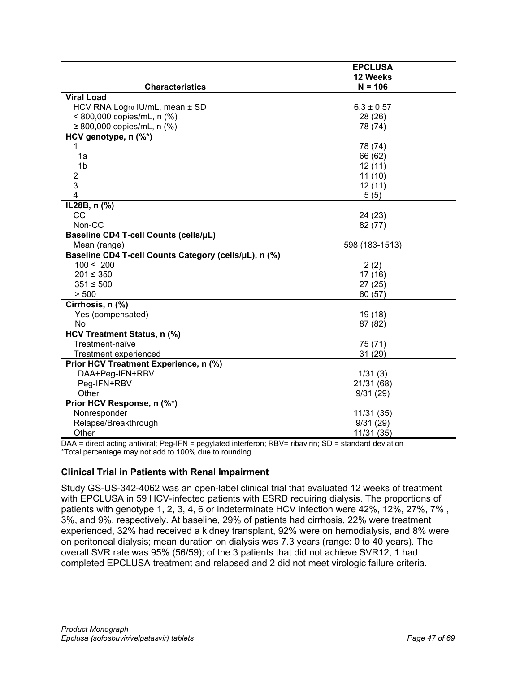|                                                       | <b>EPCLUSA</b> |
|-------------------------------------------------------|----------------|
|                                                       | 12 Weeks       |
| <b>Characteristics</b>                                | $N = 106$      |
| <b>Viral Load</b>                                     |                |
| HCV RNA Log <sub>10</sub> IU/mL, mean ± SD            | $6.3 \pm 0.57$ |
| < 800,000 copies/mL, n (%)                            | 28 (26)        |
| ≥ 800,000 copies/mL, n $(% )$                         | 78 (74)        |
| HCV genotype, n (%*)                                  |                |
|                                                       | 78 (74)        |
| 1a                                                    | 66 (62)        |
| 1 <sub>b</sub>                                        | 12(11)         |
| $\overline{2}$                                        | 11(10)         |
| 3                                                     | 12(11)         |
| 4                                                     | 5(5)           |
| IL28B, n (%)                                          |                |
| CC                                                    | 24 (23)        |
| Non-CC                                                | 82 (77)        |
| Baseline CD4 T-cell Counts (cells/µL)                 |                |
| Mean (range)                                          | 598 (183-1513) |
| Baseline CD4 T-cell Counts Category (cells/µL), n (%) |                |
| $100 \le 200$                                         | 2(2)           |
| $201 \leq 350$                                        | 17 (16)        |
| $351 \le 500$                                         | 27(25)         |
| > 500                                                 | 60(57)         |
| Cirrhosis, n (%)                                      |                |
| Yes (compensated)                                     | 19 (18)        |
| No                                                    | 87 (82)        |
| HCV Treatment Status, n (%)                           |                |
| Treatment-naïve                                       | 75 (71)        |
| Treatment experienced                                 | 31(29)         |
| Prior HCV Treatment Experience, n (%)                 |                |
| DAA+Peg-IFN+RBV                                       | 1/31(3)        |
| Peg-IFN+RBV                                           | 21/31 (68)     |
| Other                                                 | 9/31(29)       |
| Prior HCV Response, n (%*)                            |                |
| Nonresponder                                          | 11/31 (35)     |
| Relapse/Breakthrough                                  | 9/31(29)       |
| Other                                                 | 11/31 (35)     |

DAA = direct acting antiviral; Peg-IFN = pegylated interferon; RBV= ribavirin; SD = standard deviation \*Total percentage may not add to 100% due to rounding.

## **Clinical Trial in Patients with Renal Impairment**

Study GS-US-342-4062 was an open-label clinical trial that evaluated 12 weeks of treatment with EPCLUSA in 59 HCV-infected patients with ESRD requiring dialysis. The proportions of patients with genotype 1, 2, 3, 4, 6 or indeterminate HCV infection were 42%, 12%, 27%, 7% , 3%, and 9%, respectively. At baseline, 29% of patients had cirrhosis, 22% were treatment experienced, 32% had received a kidney transplant, 92% were on hemodialysis, and 8% were on peritoneal dialysis; mean duration on dialysis was 7.3 years (range: 0 to 40 years). The overall SVR rate was 95% (56/59); of the 3 patients that did not achieve SVR12, 1 had completed EPCLUSA treatment and relapsed and 2 did not meet virologic failure criteria.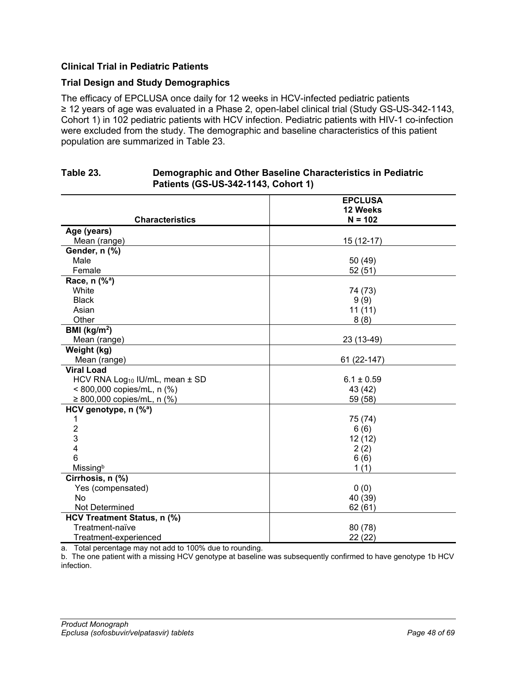## **Clinical Trial in Pediatric Patients**

## **Trial Design and Study Demographics**

The efficacy of EPCLUSA once daily for 12 weeks in HCV-infected pediatric patients ≥ 12 years of age was evaluated in a Phase 2, open-label clinical trial (Study GS-US-342-1143, Cohort 1) in 102 pediatric patients with HCV infection. Pediatric patients with HIV-1 co-infection were excluded from the study. The demographic and baseline characteristics of this patient population are summarized in [Table](#page-47-0) 23.

<span id="page-47-0"></span>

| Table 23. | Demographic and Other Baseline Characteristics in Pediatric<br>Patients (GS-US-342-1143, Cohort 1) |         |
|-----------|----------------------------------------------------------------------------------------------------|---------|
|           |                                                                                                    | FRALICA |

|                                            | <b>EPCLUSA</b> |
|--------------------------------------------|----------------|
|                                            | 12 Weeks       |
| <b>Characteristics</b>                     | $N = 102$      |
| Age (years)                                |                |
| Mean (range)                               | 15 (12-17)     |
| Gender, n (%)                              |                |
| Male                                       | 50 (49)        |
| Female                                     | 52(51)         |
| Race, $n$ (% <sup>a</sup> )                |                |
| White                                      | 74 (73)        |
| <b>Black</b>                               | 9(9)           |
| Asian                                      | 11(11)         |
| Other                                      | 8(8)           |
| BMI ( $kg/m2$ )                            |                |
| Mean (range)                               | 23 (13-49)     |
| Weight (kg)                                |                |
| Mean (range)                               | 61 (22-147)    |
| <b>Viral Load</b>                          |                |
| HCV RNA Log <sub>10</sub> IU/mL, mean ± SD | $6.1 \pm 0.59$ |
| < 800,000 copies/mL, n (%)                 | 43 (42)        |
| ≥ 800,000 copies/mL, n $(% )$              | 59 (58)        |
| HCV genotype, $n$ (% <sup>a</sup> )        |                |
| 1                                          | 75 (74)        |
| $\overline{2}$                             | 6(6)           |
| 3                                          | 12(12)         |
| $\overline{4}$                             | 2(2)           |
| 6                                          | 6(6)           |
| Missingb                                   | 1(1)           |
| Cirrhosis, n (%)                           |                |
| Yes (compensated)                          | 0(0)           |
| <b>No</b>                                  | 40 (39)        |
| Not Determined                             | 62(61)         |
| HCV Treatment Status, n (%)                |                |
| Treatment-naïve                            | 80 (78)        |
| Treatment-experienced                      | 22(22)         |

a. Total percentage may not add to 100% due to rounding.

b. The one patient with a missing HCV genotype at baseline was subsequently confirmed to have genotype 1b HCV infection.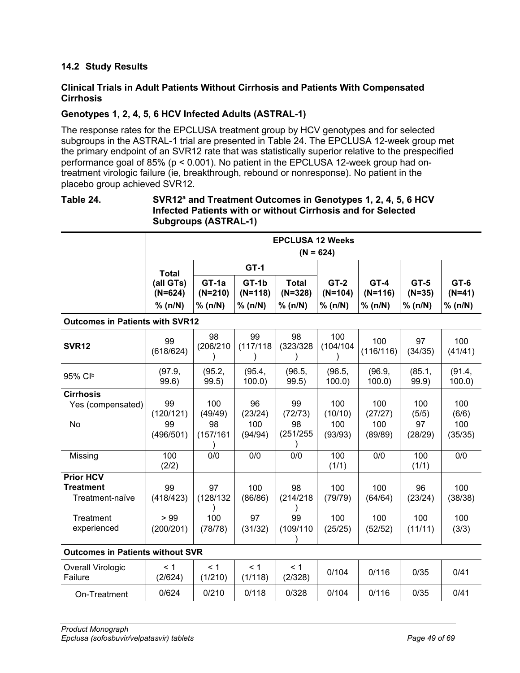## <span id="page-48-0"></span>**14.2 Study Results**

## **Clinical Trials in Adult Patients Without Cirrhosis and Patients With Compensated Cirrhosis**

## **Genotypes 1, 2, 4, 5, 6 HCV Infected Adults (ASTRAL-1)**

The response rates for the EPCLUSA treatment group by HCV genotypes and for selected subgroups in the ASTRAL-1 trial are presented in [Table](#page-48-1) 24. The EPCLUSA 12-week group met the primary endpoint of an SVR12 rate that was statistically superior relative to the prespecified performance goal of 85% (p < 0.001). No patient in the EPCLUSA 12-week group had ontreatment virologic failure (ie, breakthrough, rebound or nonresponse). No patient in the placebo group achieved SVR12.

## <span id="page-48-1"></span>**Table 24. SVR12a and Treatment Outcomes in Genotypes 1, 2, 4, 5, 6 HCV Infected Patients with or without Cirrhosis and for Selected Subgroups (ASTRAL-1)**

|                                                         | <b>EPCLUSA 12 Weeks</b><br>$(N = 624)$ |                               |                               |                                      |                                |                                |                                    |                             |
|---------------------------------------------------------|----------------------------------------|-------------------------------|-------------------------------|--------------------------------------|--------------------------------|--------------------------------|------------------------------------|-----------------------------|
|                                                         | <b>Total</b>                           |                               | <b>GT-1</b>                   |                                      |                                |                                |                                    |                             |
|                                                         | (all GTs)<br>$(N=624)$<br>% (n/N)      | GT-1a<br>$(N=210)$<br>% (n/N) | GT-1b<br>$(N=118)$<br>% (n/N) | <b>Total</b><br>$(N=328)$<br>% (n/N) | $GT-2$<br>$(N=104)$<br>% (n/N) | $GT-4$<br>$(N=116)$<br>% (n/N) | <b>GT-5</b><br>$(N=35)$<br>% (n/N) | GT-6<br>$(N=41)$<br>% (n/N) |
| <b>Outcomes in Patients with SVR12</b>                  |                                        |                               |                               |                                      |                                |                                |                                    |                             |
| <b>SVR12</b>                                            | 99<br>(618/624)                        | 98<br>(206/210                | 99<br>(117/118                | 98<br>(323/328)                      | 100<br>(104/104)               | 100<br>(116/116)               | 97<br>(34/35)                      | 100<br>(41/41)              |
| 95% Clb                                                 | (97.9,<br>99.6)                        | (95.2,<br>99.5)               | (95.4,<br>100.0               | (96.5,<br>99.5)                      | (96.5,<br>100.0                | (96.9,<br>100.0                | (85.1,<br>99.9)                    | (91.4,<br>100.0             |
| <b>Cirrhosis</b><br>Yes (compensated)                   | 99<br>(120/121)                        | 100<br>(49/49)                | 96<br>(23/24)                 | 99<br>(72/73)                        | 100<br>(10/10)                 | 100<br>(27/27)                 | 100<br>(5/5)                       | 100<br>(6/6)                |
| No                                                      | 99<br>(496/501)                        | 98<br>(157/161                | 100<br>(94/94)                | 98<br>(251/255)                      | 100<br>(93/93)                 | 100<br>(89/89)                 | 97<br>(28/29)                      | 100<br>(35/35)              |
| Missing                                                 | 100<br>(2/2)                           | 0/0                           | 0/0                           | $\overline{0/0}$                     | 100<br>(1/1)                   | 0/0                            | 100<br>(1/1)                       | 0/0                         |
| <b>Prior HCV</b><br><b>Treatment</b><br>Treatment-naïve | 99<br>(418/423)                        | 97<br>(128/132)               | 100<br>(86/86)                | 98<br>(214/218                       | 100<br>(79/79)                 | 100<br>(64/64)                 | 96<br>(23/24)                      | 100<br>(38/38)              |
| Treatment<br>experienced                                | >99<br>(200/201)                       | 100<br>(78/78)                | 97<br>(31/32)                 | 99<br>(109/110                       | 100<br>(25/25)                 | 100<br>(52/52)                 | 100<br>(11/11)                     | 100<br>(3/3)                |
| <b>Outcomes in Patients without SVR</b>                 |                                        |                               |                               |                                      |                                |                                |                                    |                             |
| Overall Virologic<br>Failure                            | < 1<br>(2/624)                         | < 1<br>(1/210)                | < 1<br>(1/118)                | $\leq 1$<br>(2/328)                  | 0/104                          | 0/116                          | 0/35                               | 0/41                        |
| On-Treatment                                            | 0/624                                  | 0/210                         | 0/118                         | 0/328                                | 0/104                          | 0/116                          | 0/35                               | 0/41                        |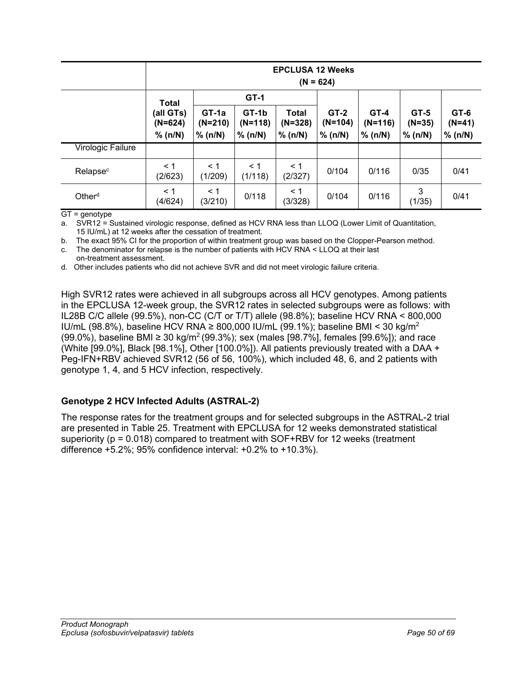|                      |                        | <b>EPCLUSA 12 Weeks</b><br>$(N = 624)$ |                    |                           |                     |                     |                    |                     |
|----------------------|------------------------|----------------------------------------|--------------------|---------------------------|---------------------|---------------------|--------------------|---------------------|
|                      | <b>Total</b>           | $GT-1$                                 |                    |                           |                     |                     |                    |                     |
|                      | (all GTs)<br>$(N=624)$ | GT-1a<br>$(N=210)$                     | GT-1b<br>$(N=118)$ | <b>Total</b><br>$(N=328)$ | $GT-2$<br>$(N=104)$ | $GT-4$<br>$(N=116)$ | $GT-5$<br>$(N=35)$ | $G$ T-6<br>$(N=41)$ |
|                      | % (n/N)                | % (n/N)                                | % (n/N)            | % (n/N)                   | % (n/N)             | % (n/N)             | % (n/N)            | % (n/N)             |
| Virologic Failure    |                        |                                        |                    |                           |                     |                     |                    |                     |
| Relapse <sup>c</sup> | $\leq 1$<br>(2/623)    | $\leq 1$<br>(1/209)                    | < 1<br>(1/118)     | $\leq 1$<br>(2/327)       | 0/104               | 0/116               | 0/35               | 0/41                |
| Other <sup>d</sup>   | < 1<br>(4/624)         | $\leq$ 1<br>(3/210)                    | 0/118              | $\leq 1$<br>(3/328)       | 0/104               | 0/116               | 3<br>(1/35)        | 0/41                |

 $GT =$  qenotype

a. SVR12 = Sustained virologic response, defined as HCV RNA less than LLOQ (Lower Limit of Quantitation, 15 IU/mL) at 12 weeks after the cessation of treatment.

b. The exact 95% CI for the proportion of within treatment group was based on the Clopper-Pearson method.

c. The denominator for relapse is the number of patients with HCV RNA < LLOQ at their last on-treatment assessment.

d. Other includes patients who did not achieve SVR and did not meet virologic failure criteria.

High SVR12 rates were achieved in all subgroups across all HCV genotypes. Among patients in the EPCLUSA 12-week group, the SVR12 rates in selected subgroups were as follows: with IL28B C/C allele (99.5%), non-CC (C/T or T/T) allele (98.8%); baseline HCV RNA < 800,000 IU/mL (98.8%), baseline HCV RNA ≥ 800,000 IU/mL (99.1%); baseline BMI < 30 kg/m<sup>2</sup> (99.0%), baseline BMI ≥ 30 kg/m<sup>2</sup> (99.3%); sex (males [98.7%], females [99.6%]); and race (White [99.0%], Black [98.1%], Other [100.0%]). All patients previously treated with a DAA + Peg-IFN+RBV achieved SVR12 (56 of 56, 100%), which included 48, 6, and 2 patients with genotype 1, 4, and 5 HCV infection, respectively.

## **Genotype 2 HCV Infected Adults (ASTRAL-2)**

The response rates for the treatment groups and for selected subgroups in the ASTRAL-2 trial are presented in [Table](#page-50-0) 25. Treatment with EPCLUSA for 12 weeks demonstrated statistical superiority ( $p = 0.018$ ) compared to treatment with SOF+RBV for 12 weeks (treatment difference +5.2%; 95% confidence interval: +0.2% to +10.3%).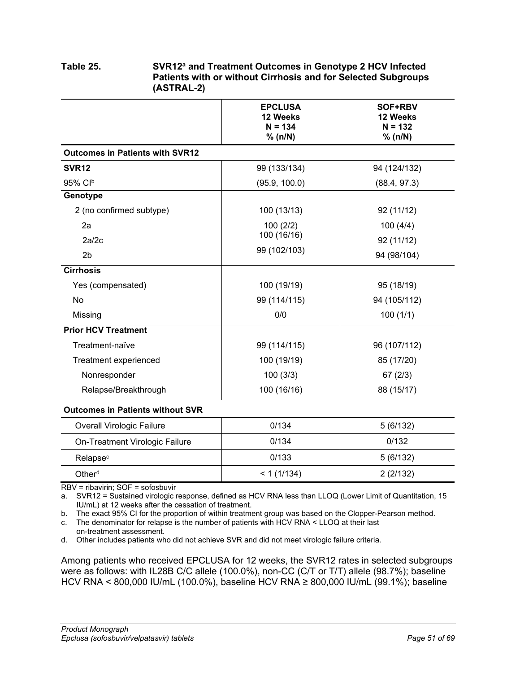## <span id="page-50-0"></span>**Table 25. SVR12a and Treatment Outcomes in Genotype 2 HCV Infected Patients with or without Cirrhosis and for Selected Subgroups (ASTRAL-2)**

|                                         | <b>EPCLUSA</b><br>12 Weeks<br>$N = 134$<br>% (n/N) | SOF+RBV<br>12 Weeks<br>$N = 132$<br>% (n/N) |
|-----------------------------------------|----------------------------------------------------|---------------------------------------------|
| <b>Outcomes in Patients with SVR12</b>  |                                                    |                                             |
| SVR <sub>12</sub>                       | 99 (133/134)                                       | 94 (124/132)                                |
| 95% Clb                                 | (95.9, 100.0)                                      | (88.4, 97.3)                                |
| Genotype                                |                                                    |                                             |
| 2 (no confirmed subtype)                | 100 (13/13)                                        | 92 (11/12)                                  |
| 2a                                      | 100(2/2)                                           | 100(4/4)                                    |
| 2a/2c                                   | 100 (16/16)                                        | 92 (11/12)                                  |
| 2 <sub>b</sub>                          | 99 (102/103)                                       | 94 (98/104)                                 |
| <b>Cirrhosis</b>                        |                                                    |                                             |
| Yes (compensated)                       | 100 (19/19)                                        | 95 (18/19)                                  |
| No                                      | 99 (114/115)                                       | 94 (105/112)                                |
| Missing                                 | 0/0                                                | 100(1/1)                                    |
| <b>Prior HCV Treatment</b>              |                                                    |                                             |
| Treatment-naïve                         | 99 (114/115)                                       | 96 (107/112)                                |
| Treatment experienced                   | 100 (19/19)                                        | 85 (17/20)                                  |
| Nonresponder                            | 100(3/3)                                           | 67(2/3)                                     |
| Relapse/Breakthrough                    | 100 (16/16)                                        | 88 (15/17)                                  |
| <b>Outcomes in Patients without SVR</b> |                                                    |                                             |
| <b>Overall Virologic Failure</b>        | 0/134                                              | 5(6/132)                                    |
|                                         |                                                    |                                             |

| Overall virologic Fallure      | U/ 134     | 3(0/132) |
|--------------------------------|------------|----------|
| On-Treatment Virologic Failure | 0/134      | 0/132    |
| Relapse <sup>c</sup>           | 0/133      | 5(6/132) |
| Other <sup>d</sup>             | < 1(1/134) | 2(2/132) |

RBV = ribavirin; SOF = sofosbuvir

a. SVR12 = Sustained virologic response, defined as HCV RNA less than LLOQ (Lower Limit of Quantitation, 15 IU/mL) at 12 weeks after the cessation of treatment.

b. The exact 95% CI for the proportion of within treatment group was based on the Clopper-Pearson method.

c. The denominator for relapse is the number of patients with HCV RNA < LLOQ at their last on-treatment assessment.

d. Other includes patients who did not achieve SVR and did not meet virologic failure criteria.

Among patients who received EPCLUSA for 12 weeks, the SVR12 rates in selected subgroups were as follows: with IL28B C/C allele (100.0%), non-CC (C/T or T/T) allele (98.7%); baseline HCV RNA < 800,000 IU/mL (100.0%), baseline HCV RNA ≥ 800,000 IU/mL (99.1%); baseline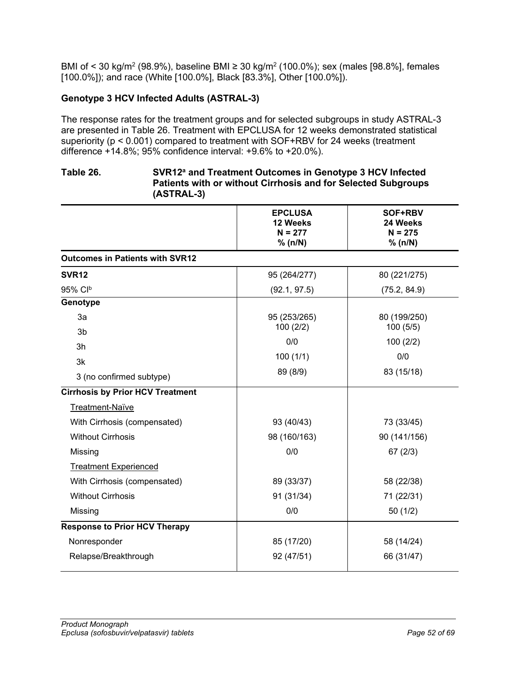BMI of < 30 kg/m<sup>2</sup> (98.9%), baseline BMI ≥ 30 kg/m<sup>2</sup> (100.0%); sex (males [98.8%], females [100.0%]); and race (White [100.0%], Black [83.3%], Other [100.0%]).

## **Genotype 3 HCV Infected Adults (ASTRAL-3)**

The response rates for the treatment groups and for selected subgroups in study ASTRAL-3 are presented in [Table](#page-51-0) 26. Treatment with EPCLUSA for 12 weeks demonstrated statistical superiority (p < 0.001) compared to treatment with SOF+RBV for 24 weeks (treatment difference +14.8%; 95% confidence interval: +9.6% to +20.0%).

## <span id="page-51-0"></span>**Table 26. SVR12a and Treatment Outcomes in Genotype 3 HCV Infected Patients with or without Cirrhosis and for Selected Subgroups (ASTRAL-3)**

|                                         | <b>EPCLUSA</b><br>12 Weeks<br>$N = 277$<br>% (n/N) | SOF+RBV<br>24 Weeks<br>$N = 275$<br>% (n/N) |
|-----------------------------------------|----------------------------------------------------|---------------------------------------------|
| <b>Outcomes in Patients with SVR12</b>  |                                                    |                                             |
| <b>SVR12</b>                            | 95 (264/277)                                       | 80 (221/275)                                |
| 95% Clb                                 | (92.1, 97.5)                                       | (75.2, 84.9)                                |
| Genotype                                |                                                    |                                             |
| 3a                                      | 95 (253/265)                                       | 80 (199/250)                                |
| 3 <sub>b</sub>                          | 100(2/2)                                           | 100(5/5)                                    |
| 3h                                      | 0/0                                                | 100(2/2)                                    |
| 3k                                      | 100(1/1)                                           | 0/0                                         |
| 3 (no confirmed subtype)                | 89 (8/9)                                           | 83 (15/18)                                  |
| <b>Cirrhosis by Prior HCV Treatment</b> |                                                    |                                             |
| Treatment-Naïve                         |                                                    |                                             |
| With Cirrhosis (compensated)            | 93 (40/43)                                         | 73 (33/45)                                  |
| <b>Without Cirrhosis</b>                | 98 (160/163)                                       | 90 (141/156)                                |
| Missing                                 | 0/0                                                | 67(2/3)                                     |
| <b>Treatment Experienced</b>            |                                                    |                                             |
| With Cirrhosis (compensated)            | 89 (33/37)                                         | 58 (22/38)                                  |
| <b>Without Cirrhosis</b>                | 91 (31/34)                                         | 71 (22/31)                                  |
| Missing                                 | 0/0                                                | 50(1/2)                                     |
| <b>Response to Prior HCV Therapy</b>    |                                                    |                                             |
| Nonresponder                            | 85 (17/20)                                         | 58 (14/24)                                  |
| Relapse/Breakthrough                    | 92 (47/51)                                         | 66 (31/47)                                  |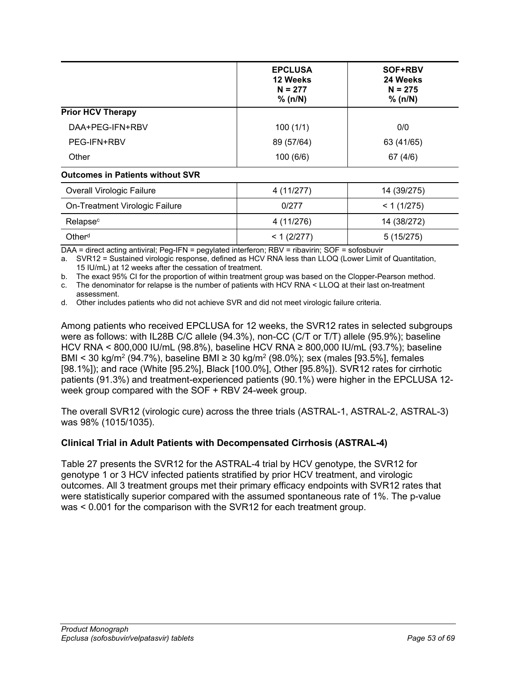|                                         | <b>EPCLUSA</b><br>12 Weeks<br>$N = 277$<br>% (n/N) | SOF+RBV<br>24 Weeks<br>$N = 275$<br>% (n/N) |
|-----------------------------------------|----------------------------------------------------|---------------------------------------------|
| <b>Prior HCV Therapy</b>                |                                                    |                                             |
| DAA+PEG-IFN+RBV                         | 100(1/1)                                           | 0/0                                         |
| PEG-IFN+RBV                             | 89 (57/64)                                         | 63 (41/65)                                  |
| Other                                   | 100(6/6)                                           | 67(4/6)                                     |
| <b>Outcomes in Patients without SVR</b> |                                                    |                                             |
| <b>Overall Virologic Failure</b>        | 4 (11/277)                                         | 14 (39/275)                                 |
| On-Treatment Virologic Failure          | 0/277                                              | < 1(1/275)                                  |
| Relapse <sup>c</sup>                    | 4 (11/276)                                         | 14 (38/272)                                 |
| Other <sup>d</sup>                      | < 1 (2/277)                                        | 5(15/275)                                   |

DAA = direct acting antiviral; Peg-IFN = pegylated interferon; RBV = ribavirin; SOF = sofosbuvir

a. SVR12 = Sustained virologic response, defined as HCV RNA less than LLOQ (Lower Limit of Quantitation, 15 IU/mL) at 12 weeks after the cessation of treatment.

b. The exact 95% CI for the proportion of within treatment group was based on the Clopper-Pearson method. c. The denominator for relapse is the number of patients with HCV RNA < LLOQ at their last on-treatment assessment.

d. Other includes patients who did not achieve SVR and did not meet virologic failure criteria.

Among patients who received EPCLUSA for 12 weeks, the SVR12 rates in selected subgroups were as follows: with IL28B C/C allele (94.3%), non-CC (C/T or T/T) allele (95.9%); baseline HCV RNA < 800,000 IU/mL (98.8%), baseline HCV RNA ≥ 800,000 IU/mL (93.7%); baseline BMI < 30 kg/m<sup>2</sup> (94.7%), baseline BMI ≥ 30 kg/m<sup>2</sup> (98.0%); sex (males [93.5%], females [98.1%]); and race (White [95.2%], Black [100.0%], Other [95.8%]). SVR12 rates for cirrhotic patients (91.3%) and treatment-experienced patients (90.1%) were higher in the EPCLUSA 12 week group compared with the SOF + RBV 24-week group.

The overall SVR12 (virologic cure) across the three trials (ASTRAL-1, ASTRAL-2, ASTRAL-3) was 98% (1015/1035).

## **Clinical Trial in Adult Patients with Decompensated Cirrhosis (ASTRAL-4)**

[Table](#page-53-0) 27 presents the SVR12 for the ASTRAL-4 trial by HCV genotype, the SVR12 for genotype 1 or 3 HCV infected patients stratified by prior HCV treatment, and virologic outcomes. All 3 treatment groups met their primary efficacy endpoints with SVR12 rates that were statistically superior compared with the assumed spontaneous rate of 1%. The p-value was < 0.001 for the comparison with the SVR12 for each treatment group.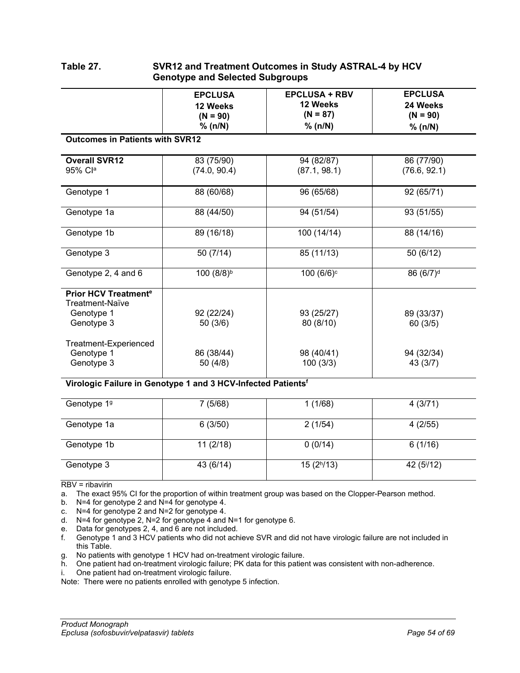<span id="page-53-0"></span>

| Table 27. | SVR12 and Treatment Outcomes in Study ASTRAL-4 by HCV<br><b>Genotype and Selected Subgroups</b> |
|-----------|-------------------------------------------------------------------------------------------------|
|           |                                                                                                 |

|                                                                                       | <b>EPCLUSA</b><br>12 Weeks | <b>EPCLUSA + RBV</b><br>12 Weeks | <b>EPCLUSA</b><br>24 Weeks |
|---------------------------------------------------------------------------------------|----------------------------|----------------------------------|----------------------------|
|                                                                                       | $(N = 90)$<br>% (n/N)      | $(N = 87)$<br>% (n/N)            | $(N = 90)$<br>% (n/N)      |
| <b>Outcomes in Patients with SVR12</b>                                                |                            |                                  |                            |
| <b>Overall SVR12</b><br>95% Cla                                                       | 83 (75/90)<br>(74.0, 90.4) | 94 (82/87)<br>(87.1, 98.1)       | 86 (77/90)<br>(76.6, 92.1) |
| Genotype 1                                                                            | 88 (60/68)                 | 96 (65/68)                       | 92 (65/71)                 |
| Genotype 1a                                                                           | 88 (44/50)                 | 94 (51/54)                       | 93 (51/55)                 |
| Genotype 1b                                                                           | 89 (16/18)                 | 100 (14/14)                      | 88 (14/16)                 |
| Genotype 3                                                                            | 50(7/14)                   | 85 (11/13)                       | 50 (6/12)                  |
| Genotype 2, 4 and 6                                                                   | 100 (8/8) <sup>b</sup>     | 100 (6/6) <sup>c</sup>           | 86 (6/7) <sup>d</sup>      |
| <b>Prior HCV Treatment<sup>e</sup></b><br>Treatment-Naïve<br>Genotype 1<br>Genotype 3 | 92 (22/24)<br>50 (3/6)     | 93 (25/27)<br>80 (8/10)          | 89 (33/37)<br>60(3/5)      |
| Treatment-Experienced<br>Genotype 1<br>Genotype 3                                     | 86 (38/44)<br>50(4/8)      | 98 (40/41)<br>100(3/3)           | 94 (32/34)<br>43 (3/7)     |

#### **Virologic Failure in Genotype 1 and 3 HCV-Infected Patientsf**

| Genotype 19 | 7(5/68)   | 1(1/68)                | 4(3/71)                           |
|-------------|-----------|------------------------|-----------------------------------|
| Genotype 1a | 6(3/50)   | 2(1/54)                | 4(2/55)                           |
| Genotype 1b | 11(2/18)  | 0(0/14)                | 6(1/16)                           |
| Genotype 3  | 43 (6/14) | 15(2 <sup>h</sup> /13) | 42 (5 <sup><math>1</math></sup> ) |

RBV = ribavirin

a. The exact 95% CI for the proportion of within treatment group was based on the Clopper-Pearson method.

b. N=4 for genotype 2 and N=4 for genotype 4.

c. N=4 for genotype 2 and N=2 for genotype 4.

d. N=4 for genotype 2, N=2 for genotype 4 and N=1 for genotype 6.

- e. Data for genotypes 2, 4, and 6 are not included.
- f. Genotype 1 and 3 HCV patients who did not achieve SVR and did not have virologic failure are not included in this Table.
- g. No patients with genotype 1 HCV had on-treatment virologic failure.
- h. One patient had on-treatment virologic failure; PK data for this patient was consistent with non-adherence.
- i. One patient had on-treatment virologic failure.

Note: There were no patients enrolled with genotype 5 infection.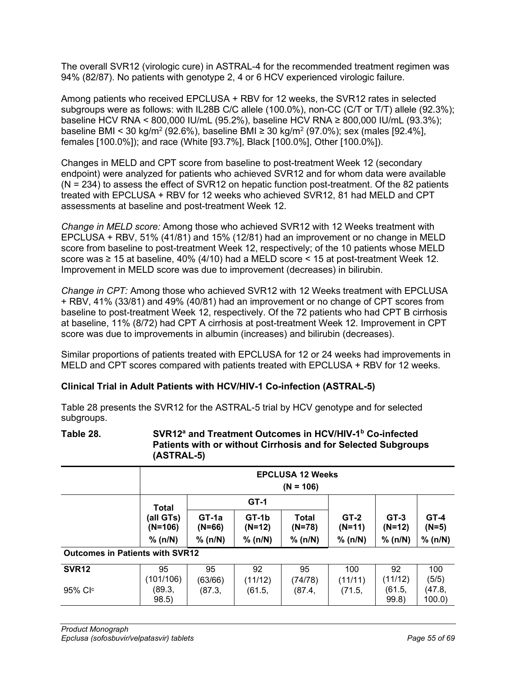The overall SVR12 (virologic cure) in ASTRAL-4 for the recommended treatment regimen was 94% (82/87). No patients with genotype 2, 4 or 6 HCV experienced virologic failure.

Among patients who received EPCLUSA + RBV for 12 weeks, the SVR12 rates in selected subgroups were as follows: with IL28B C/C allele (100.0%), non-CC (C/T or T/T) allele (92.3%); baseline HCV RNA < 800,000 IU/mL (95.2%), baseline HCV RNA ≥ 800,000 IU/mL (93.3%); baseline BMI < 30 kg/m<sup>2</sup> (92.6%), baseline BMI ≥ 30 kg/m<sup>2</sup> (97.0%); sex (males [92.4%], females [100.0%]); and race (White [93.7%], Black [100.0%], Other [100.0%]).

Changes in MELD and CPT score from baseline to post-treatment Week 12 (secondary endpoint) were analyzed for patients who achieved SVR12 and for whom data were available  $(N = 234)$  to assess the effect of SVR12 on hepatic function post-treatment. Of the 82 patients treated with EPCLUSA + RBV for 12 weeks who achieved SVR12, 81 had MELD and CPT assessments at baseline and post-treatment Week 12.

*Change in MELD score:* Among those who achieved SVR12 with 12 Weeks treatment with EPCLUSA + RBV, 51% (41/81) and 15% (12/81) had an improvement or no change in MELD score from baseline to post-treatment Week 12, respectively; of the 10 patients whose MELD score was  $\geq 15$  at baseline, 40% (4/10) had a MELD score < 15 at post-treatment Week 12. Improvement in MELD score was due to improvement (decreases) in bilirubin.

*Change in CPT:* Among those who achieved SVR12 with 12 Weeks treatment with EPCLUSA + RBV, 41% (33/81) and 49% (40/81) had an improvement or no change of CPT scores from baseline to post-treatment Week 12, respectively. Of the 72 patients who had CPT B cirrhosis at baseline, 11% (8/72) had CPT A cirrhosis at post-treatment Week 12. Improvement in CPT score was due to improvements in albumin (increases) and bilirubin (decreases).

Similar proportions of patients treated with EPCLUSA for 12 or 24 weeks had improvements in MELD and CPT scores compared with patients treated with EPCLUSA + RBV for 12 weeks.

## **Clinical Trial in Adult Patients with HCV/HIV-1 Co-infection (ASTRAL-5)**

[Table](#page-54-0) 28 presents the SVR12 for the ASTRAL-5 trial by HCV genotype and for selected subgroups.

#### <span id="page-54-0"></span>**Table 28. SVR12a and Treatment Outcomes in HCV/HIV-1b Co-infected Patients with or without Cirrhosis and for Selected Subgroups (ASTRAL-5)**

|                                        | <b>EPCLUSA 12 Weeks</b><br>$(N = 106)$ |                     |                   |                 |                    |                    |                   |
|----------------------------------------|----------------------------------------|---------------------|-------------------|-----------------|--------------------|--------------------|-------------------|
|                                        | Total                                  |                     | $GT-1$            |                 |                    |                    |                   |
|                                        | (all GTs)<br>$(N=106)$                 | $GT-1a$<br>$(N=66)$ | GT-1b<br>$(N=12)$ | Total<br>(N=78) | $GT-2$<br>$(N=11)$ | $GT-3$<br>$(N=12)$ | $GT-4$<br>$(N=5)$ |
|                                        | % (n/N)                                | % (n/N)             | % (n/N)           | % (n/N)         | % (n/N)            | % (n/N)            | % (n/N)           |
| <b>Outcomes in Patients with SVR12</b> |                                        |                     |                   |                 |                    |                    |                   |
| SVR <sub>12</sub>                      | 95<br>(101/106)                        | 95<br>(63/66)       | 92<br>(11/12)     | 95<br>(74/78)   | 100<br>(11/11)     | 92<br>(11/12)      | 100<br>(5/5)      |
| 95% Clc                                | (89.3,<br>98.5)                        | (87.3,              | (61.5,            | (87.4,          | (71.5,             | (61.5,<br>99.8)    | (47.8,<br>100.0   |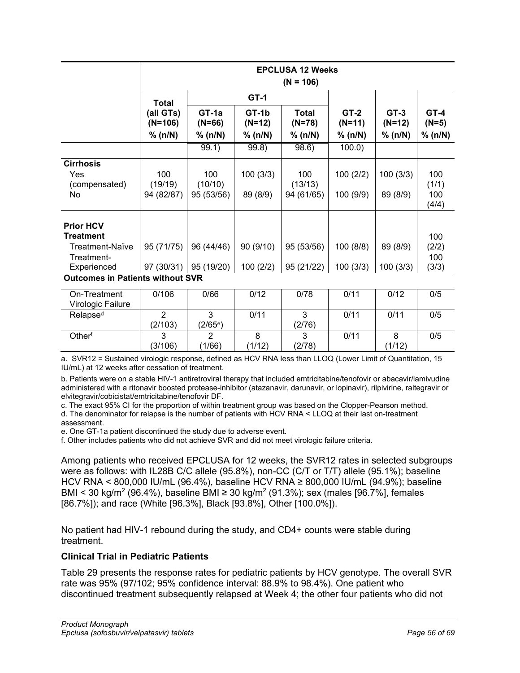|                                         |                        | <b>EPCLUSA 12 Weeks</b><br>$(N = 106)$ |                   |                   |                    |                  |                   |
|-----------------------------------------|------------------------|----------------------------------------|-------------------|-------------------|--------------------|------------------|-------------------|
|                                         | <b>Total</b>           |                                        | $GT-1$            |                   |                    |                  |                   |
|                                         | (all GTs)<br>$(N=106)$ | $GT-1a$<br>$(N=66)$                    | GT-1b<br>$(N=12)$ | Total<br>$(N=78)$ | $GT-2$<br>$(N=11)$ | $GT-3$<br>(N=12) | $GT-4$<br>$(N=5)$ |
|                                         | % (n/N)                | % (n/N)                                | % (n/N)           | % (n/N)           | % (n/N)            | % (n/N)          | % (n/N)           |
|                                         |                        | 99.1)                                  | 99.8)             | 98.6)             | 100.0              |                  |                   |
| <b>Cirrhosis</b>                        |                        |                                        |                   |                   |                    |                  |                   |
| Yes<br>(compensated)                    | 100<br>(19/19)         | 100<br>(10/10)                         | 100(3/3)          | 100<br>(13/13)    | 100(2/2)           | 100(3/3)         | 100<br>(1/1)      |
| No                                      | 94 (82/87)             | 95 (53/56)                             | 89 (8/9)          | 94 (61/65)        | 100 (9/9)          | 89 (8/9)         | 100<br>(4/4)      |
| <b>Prior HCV</b>                        |                        |                                        |                   |                   |                    |                  |                   |
| Treatment                               |                        |                                        |                   |                   |                    |                  | 100               |
| Treatment-Naïve                         | 95 (71/75)             | 96 (44/46)                             | 90 (9/10)         | 95 (53/56)        | 100(8/8)           | 89 (8/9)         | (2/2)             |
| Treatment-                              |                        |                                        |                   |                   |                    |                  | 100               |
| Experienced                             | 97 (30/31)             | 95 (19/20)                             | 100(2/2)          | 95 (21/22)        | 100(3/3)           | 100(3/3)         | (3/3)             |
| <b>Outcomes in Patients without SVR</b> |                        |                                        |                   |                   |                    |                  |                   |
|                                         | $\sim$ $\sim$ $\sim$   | $\sim$ 100                             | 0110              | $\sim$ $\sim$     | 0.111              | 0110             | $\sim$ $\sim$     |

| On-Treatment         | 0/106   | 0/66                 | 0/12  | 0/78   | 0/11 | 0/12   | 0/5 |
|----------------------|---------|----------------------|-------|--------|------|--------|-----|
| Virologic Failure    |         |                      |       |        |      |        |     |
| Relapse <sup>d</sup> |         |                      | 0/11  |        | 0/11 | 0/11   | 0/5 |
|                      | (2/103) | (2/65 <sup>e</sup> ) |       | (2/76) |      |        |     |
| Other <sup>f</sup>   |         | ⌒                    |       | ົ      | 0/11 |        | 0/5 |
|                      | (3/106) | (1/66)               | 1/12) | (2/78) |      | (1/12) |     |

a. SVR12 = Sustained virologic response, defined as HCV RNA less than LLOQ (Lower Limit of Quantitation, 15 IU/mL) at 12 weeks after cessation of treatment.

b. Patients were on a stable HIV-1 antiretroviral therapy that included emtricitabine/tenofovir or abacavir/lamivudine administered with a ritonavir boosted protease-inhibitor (atazanavir, darunavir, or lopinavir), rilpivirine, raltegravir or elvitegravir/cobicistat/emtricitabine/tenofovir DF.

c. The exact 95% CI for the proportion of within treatment group was based on the Clopper-Pearson method. d. The denominator for relapse is the number of patients with HCV RNA < LLOQ at their last on-treatment

assessment. e. One GT-1a patient discontinued the study due to adverse event.

f. Other includes patients who did not achieve SVR and did not meet virologic failure criteria.

Among patients who received EPCLUSA for 12 weeks, the SVR12 rates in selected subgroups were as follows: with IL28B C/C allele (95.8%), non-CC (C/T or T/T) allele (95.1%); baseline HCV RNA < 800,000 IU/mL (96.4%), baseline HCV RNA ≥ 800,000 IU/mL (94.9%); baseline BMI < 30 kg/m<sup>2</sup> (96.4%), baseline BMI ≥ 30 kg/m<sup>2</sup> (91.3%); sex (males [96.7%], females [86.7%]); and race (White [96.3%], Black [93.8%], Other [100.0%]).

No patient had HIV-1 rebound during the study, and CD4+ counts were stable during treatment.

## **Clinical Trial in Pediatric Patients**

[Table](#page-56-1) 29 presents the response rates for pediatric patients by HCV genotype. The overall SVR rate was 95% (97/102; 95% confidence interval: 88.9% to 98.4%). One patient who discontinued treatment subsequently relapsed at Week 4; the other four patients who did not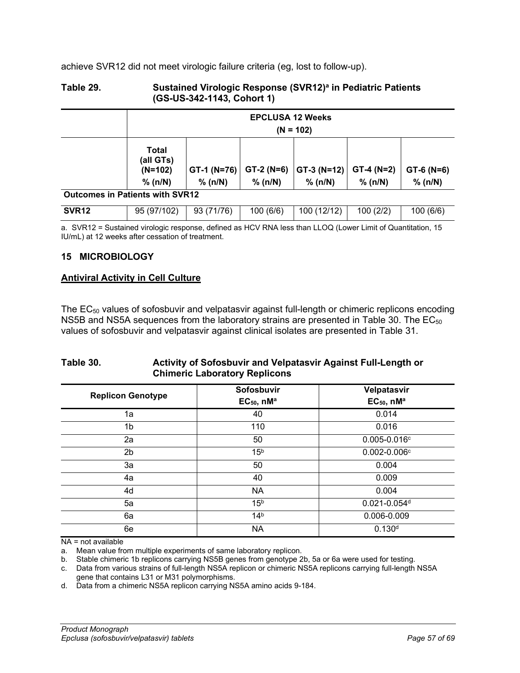achieve SVR12 did not meet virologic failure criteria (eg, lost to follow-up).

### <span id="page-56-1"></span>**Table 29. Sustained Virologic Response (SVR12)a in Pediatric Patients (GS-US-342-1143, Cohort 1)**

|                                        | <b>EPCLUSA 12 Weeks</b><br>$(N = 102)$     |                        |                        |                          |                        |                         |
|----------------------------------------|--------------------------------------------|------------------------|------------------------|--------------------------|------------------------|-------------------------|
|                                        | Total<br>(all GTs)<br>$(N=102)$<br>% (n/N) | GT-1 (N=76)<br>% (n/N) | $GT-2(N=6)$<br>% (n/N) | $GT-3 (N=12)$<br>% (n/N) | $GT-4(N=2)$<br>% (n/N) | $GT-6$ (N=6)<br>% (n/N) |
| <b>Outcomes in Patients with SVR12</b> |                                            |                        |                        |                          |                        |                         |
| SVR <sub>12</sub>                      | 95 (97/102)                                | 93 (71/76)             | 100(6/6)               | 100 (12/12)              | 100(2/2)               | 100 (6/6)               |

a. SVR12 = Sustained virologic response, defined as HCV RNA less than LLOQ (Lower Limit of Quantitation, 15 IU/mL) at 12 weeks after cessation of treatment.

## <span id="page-56-0"></span>**15 MICROBIOLOGY**

## **Antiviral Activity in Cell Culture**

The EC50 values of sofosbuvir and velpatasvir against full-length or chimeric replicons encoding NS5B and NS5A sequences from the laboratory strains are presented in [Table](#page-56-2) 30. The  $EC_{50}$ values of sofosbuvir and velpatasvir against clinical isolates are presented in [Table](#page-57-0) 31.

## <span id="page-56-2"></span>**Table 30. Activity of Sofosbuvir and Velpatasvir Against Full-Length or Chimeric Laboratory Replicons**

| <b>Replicon Genotype</b> | Sofosbuvir<br>$EC_{50}$ , nM <sup>a</sup> | Velpatasvir<br>$EC_{50}$ , nMa |
|--------------------------|-------------------------------------------|--------------------------------|
| 1a                       | 40                                        | 0.014                          |
| 1b                       | 110                                       | 0.016                          |
| 2a                       | 50                                        | $0.005 - 0.016$ <sup>c</sup>   |
| 2 <sub>b</sub>           | 15 <sup>b</sup>                           | $0.002 - 0.006$ °              |
| 3a                       | 50                                        | 0.004                          |
| 4a                       | 40                                        | 0.009                          |
| 4d                       | <b>NA</b>                                 | 0.004                          |
| 5a                       | 15 <sup>b</sup>                           | $0.021 - 0.054$ d              |
| 6a                       | 14 <sup>b</sup>                           | 0.006-0.009                    |
| 6e                       | <b>NA</b>                                 | 0.130 <sup>d</sup>             |

NA = not available

a. Mean value from multiple experiments of same laboratory replicon.

b. Stable chimeric 1b replicons carrying NS5B genes from genotype 2b, 5a or 6a were used for testing.

c. Data from various strains of full-length NS5A replicon or chimeric NS5A replicons carrying full-length NS5A

gene that contains L31 or M31 polymorphisms.

d. Data from a chimeric NS5A replicon carrying NS5A amino acids 9-184.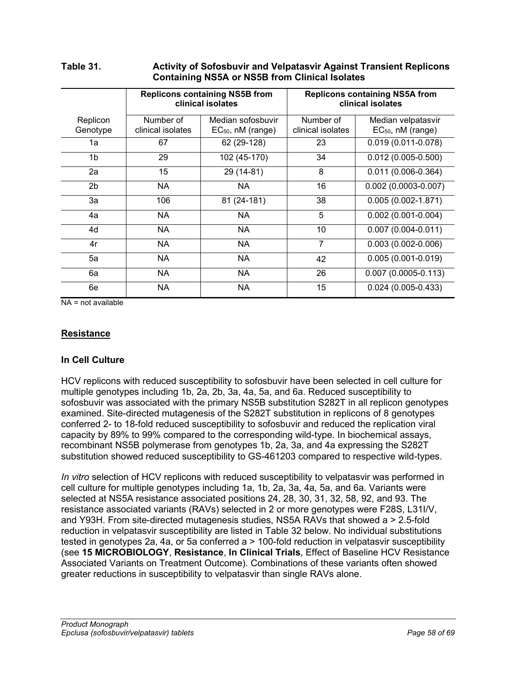|                      |                                | <b>Replicons containing NS5B from</b><br>clinical isolates |                                | <b>Replicons containing NS5A from</b><br>clinical isolates |  |  |  |
|----------------------|--------------------------------|------------------------------------------------------------|--------------------------------|------------------------------------------------------------|--|--|--|
| Replicon<br>Genotype | Number of<br>clinical isolates | Median sofosbuvir<br>$EC_{50}$ , nM (range)                | Number of<br>clinical isolates | Median velpatasvir<br>$EC_{50}$ , nM (range)               |  |  |  |
| 1a                   | 67                             | 62 (29-128)                                                | 23                             | $0.019(0.011 - 0.078)$                                     |  |  |  |
| 1b                   | 29                             | 102 (45-170)                                               | 34                             | $0.012(0.005 - 0.500)$                                     |  |  |  |
| 2a                   | 15                             | 29 (14-81)                                                 | 8                              | $0.011(0.006 - 0.364)$                                     |  |  |  |
| 2 <sub>b</sub>       | <b>NA</b>                      | NA                                                         | 16                             | $0.002(0.0003 - 0.007)$                                    |  |  |  |
| За                   | 106                            | 81 (24-181)                                                | 38                             | $0.005(0.002 - 1.871)$                                     |  |  |  |
| 4a                   | <b>NA</b>                      | <b>NA</b>                                                  | 5                              | $0.002(0.001 - 0.004)$                                     |  |  |  |
| 4d                   | <b>NA</b>                      | NA                                                         | 10                             | $0.007(0.004 - 0.011)$                                     |  |  |  |
| 4r                   | <b>NA</b>                      | <b>NA</b>                                                  | 7                              | $0.003(0.002 - 0.006)$                                     |  |  |  |
| 5a                   | <b>NA</b>                      | NA                                                         | 42                             | $0.005(0.001 - 0.019)$                                     |  |  |  |
| 6a                   | <b>NA</b>                      | NA                                                         | 26                             | $0.007(0.0005 - 0.113)$                                    |  |  |  |
| 6e                   | <b>NA</b>                      | <b>NA</b>                                                  | 15                             | $0.024(0.005-0.433)$                                       |  |  |  |

## <span id="page-57-0"></span>**Table 31. Activity of Sofosbuvir and Velpatasvir Against Transient Replicons Containing NS5A or NS5B from Clinical Isolates**

NA = not available

## **Resistance**

## **In Cell Culture**

HCV replicons with reduced susceptibility to sofosbuvir have been selected in cell culture for multiple genotypes including 1b, 2a, 2b, 3a, 4a, 5a, and 6a. Reduced susceptibility to sofosbuvir was associated with the primary NS5B substitution S282T in all replicon genotypes examined. Site-directed mutagenesis of the S282T substitution in replicons of 8 genotypes conferred 2- to 18-fold reduced susceptibility to sofosbuvir and reduced the replication viral capacity by 89% to 99% compared to the corresponding wild-type. In biochemical assays, recombinant NS5B polymerase from genotypes 1b, 2a, 3a, and 4a expressing the S282T substitution showed reduced susceptibility to GS-461203 compared to respective wild-types.

*In vitro* selection of HCV replicons with reduced susceptibility to velpatasvir was performed in cell culture for multiple genotypes including 1a, 1b, 2a, 3a, 4a, 5a, and 6a. Variants were selected at NS5A resistance associated positions 24, 28, 30, 31, 32, 58, 92, and 93. The resistance associated variants (RAVs) selected in 2 or more genotypes were F28S, L31I/V, and Y93H. From site-directed mutagenesis studies, NS5A RAVs that showed a > 2.5-fold reduction in velpatasvir susceptibility are listed in [Table 32](#page-58-0) below. No individual substitutions tested in genotypes 2a, 4a, or 5a conferred a > 100-fold reduction in velpatasvir susceptibility (see **15 [MICROBIOLOGY](#page-56-0)**, **Resistance**, **In Clinical Trials**, Effect of Baseline HCV Resistance Associated Variants on Treatment Outcome). Combinations of these variants often showed greater reductions in susceptibility to velpatasvir than single RAVs alone.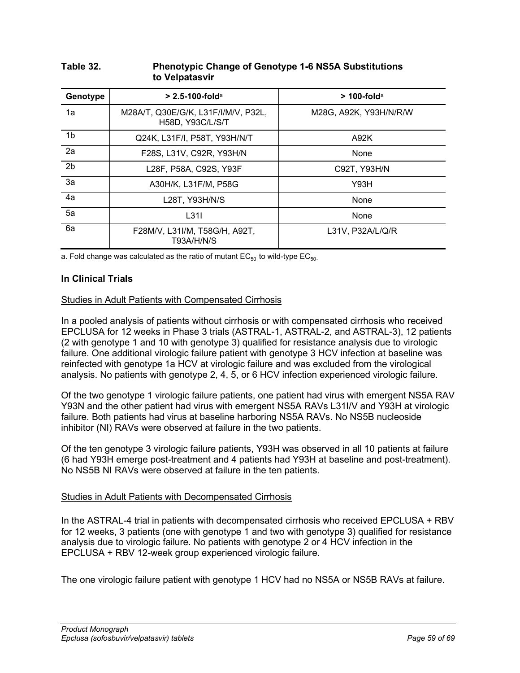| Genotype       | $> 2.5 - 100 - 10$                                      | $>$ 100-fold <sup>a</sup> |
|----------------|---------------------------------------------------------|---------------------------|
| 1a             | M28A/T, Q30E/G/K, L31F/I/M/V, P32L,<br>H58D, Y93C/L/S/T | M28G, A92K, Y93H/N/R/W    |
| 1b             | Q24K, L31F/I, P58T, Y93H/N/T                            | A92K                      |
| 2a             | F28S, L31V, C92R, Y93H/N                                | None                      |
| 2 <sub>b</sub> | L28F, P58A, C92S, Y93F                                  | C92T, Y93H/N              |
| 3a             | A30H/K, L31F/M, P58G                                    | Y93H                      |
| 4a             | L28T, Y93H/N/S                                          | None                      |
| 5a             | L31I                                                    | None                      |
| 6a             | F28M/V, L31I/M, T58G/H, A92T,<br>T93A/H/N/S             | L31V, P32A/L/Q/R          |

### <span id="page-58-0"></span>**Table 32. Phenotypic Change of Genotype 1-6 NS5A Substitutions to Velpatasvir**

a. Fold change was calculated as the ratio of mutant  $EC_{50}$  to wild-type  $EC_{50}$ .

## **In Clinical Trials**

#### Studies in Adult Patients with Compensated Cirrhosis

In a pooled analysis of patients without cirrhosis or with compensated cirrhosis who received EPCLUSA for 12 weeks in Phase 3 trials (ASTRAL-1, ASTRAL-2, and ASTRAL-3), 12 patients (2 with genotype 1 and 10 with genotype 3) qualified for resistance analysis due to virologic failure. One additional virologic failure patient with genotype 3 HCV infection at baseline was reinfected with genotype 1a HCV at virologic failure and was excluded from the virological analysis. No patients with genotype 2, 4, 5, or 6 HCV infection experienced virologic failure.

Of the two genotype 1 virologic failure patients, one patient had virus with emergent NS5A RAV Y93N and the other patient had virus with emergent NS5A RAVs L31I/V and Y93H at virologic failure. Both patients had virus at baseline harboring NS5A RAVs. No NS5B nucleoside inhibitor (NI) RAVs were observed at failure in the two patients.

Of the ten genotype 3 virologic failure patients, Y93H was observed in all 10 patients at failure (6 had Y93H emerge post-treatment and 4 patients had Y93H at baseline and post-treatment). No NS5B NI RAVs were observed at failure in the ten patients.

#### Studies in Adult Patients with Decompensated Cirrhosis

In the ASTRAL-4 trial in patients with decompensated cirrhosis who received EPCLUSA + RBV for 12 weeks, 3 patients (one with genotype 1 and two with genotype 3) qualified for resistance analysis due to virologic failure. No patients with genotype 2 or 4 HCV infection in the EPCLUSA + RBV 12-week group experienced virologic failure.

The one virologic failure patient with genotype 1 HCV had no NS5A or NS5B RAVs at failure.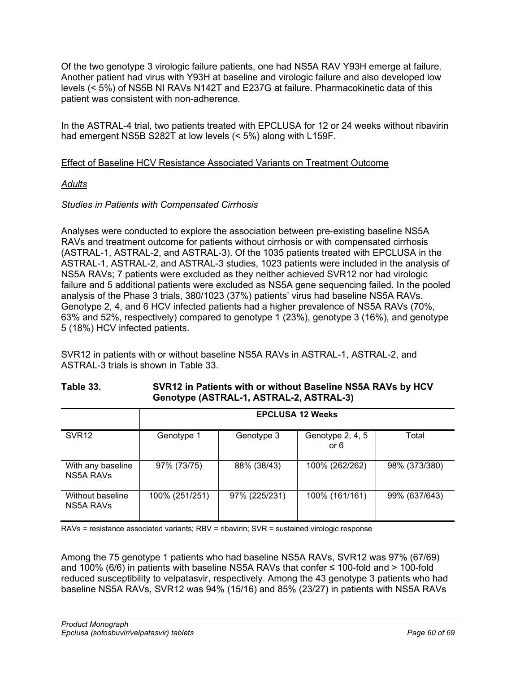Of the two genotype 3 virologic failure patients, one had NS5A RAV Y93H emerge at failure. Another patient had virus with Y93H at baseline and virologic failure and also developed low levels (< 5%) of NS5B NI RAVs N142T and E237G at failure. Pharmacokinetic data of this patient was consistent with non-adherence.

In the ASTRAL-4 trial, two patients treated with EPCLUSA for 12 or 24 weeks without ribavirin had emergent NS5B S282T at low levels (< 5%) along with L159F.

## Effect of Baseline HCV Resistance Associated Variants on Treatment Outcome

## *Adults*

## *Studies in Patients with Compensated Cirrhosis*

Analyses were conducted to explore the association between pre-existing baseline NS5A RAVs and treatment outcome for patients without cirrhosis or with compensated cirrhosis (ASTRAL-1, ASTRAL-2, and ASTRAL-3). Of the 1035 patients treated with EPCLUSA in the ASTRAL-1, ASTRAL-2, and ASTRAL-3 studies, 1023 patients were included in the analysis of NS5A RAVs; 7 patients were excluded as they neither achieved SVR12 nor had virologic failure and 5 additional patients were excluded as NS5A gene sequencing failed. In the pooled analysis of the Phase 3 trials, 380/1023 (37%) patients' virus had baseline NS5A RAVs. Genotype 2, 4, and 6 HCV infected patients had a higher prevalence of NS5A RAVs (70%, 63% and 52%, respectively) compared to genotype 1 (23%), genotype 3 (16%), and genotype 5 (18%) HCV infected patients.

SVR12 in patients with or without baseline NS5A RAVs in ASTRAL-1, ASTRAL-2, and ASTRAL-3 trials is shown in [Table](#page-59-0) 33.

## <span id="page-59-0"></span>**Table 33. SVR12 in Patients with or without Baseline NS5A RAVs by HCV Genotype (ASTRAL-1, ASTRAL-2, ASTRAL-3)**

|                                | <b>EPCLUSA 12 Weeks</b> |               |                          |               |
|--------------------------------|-------------------------|---------------|--------------------------|---------------|
| SVR <sub>12</sub>              | Genotype 1              | Genotype 3    | Genotype 2, 4, 5<br>or 6 | Total         |
| With any baseline<br>NS5A RAVS | 97% (73/75)             | 88% (38/43)   | 100% (262/262)           | 98% (373/380) |
| Without baseline<br>NS5A RAVS  | 100% (251/251)          | 97% (225/231) | 100% (161/161)           | 99% (637/643) |

RAVs = resistance associated variants; RBV = ribavirin; SVR = sustained virologic response

Among the 75 genotype 1 patients who had baseline NS5A RAVs, SVR12 was 97% (67/69) and 100% (6/6) in patients with baseline NS5A RAVs that confer  $\leq$  100-fold and > 100-fold reduced susceptibility to velpatasvir, respectively. Among the 43 genotype 3 patients who had baseline NS5A RAVs, SVR12 was 94% (15/16) and 85% (23/27) in patients with NS5A RAVs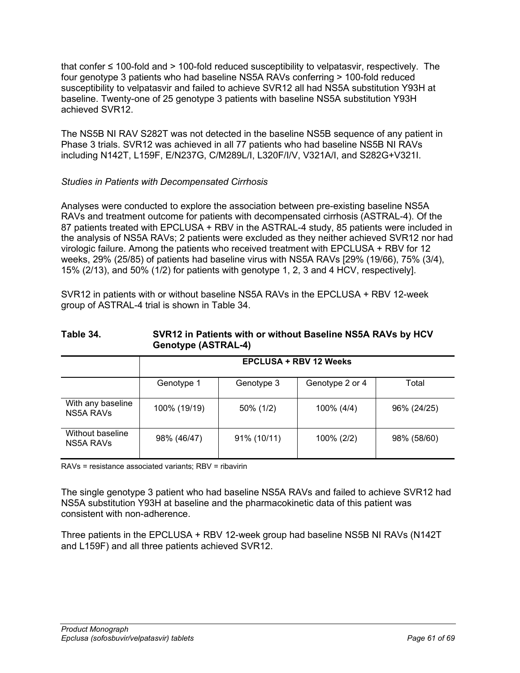that confer ≤ 100-fold and > 100-fold reduced susceptibility to velpatasvir, respectively. The four genotype 3 patients who had baseline NS5A RAVs conferring > 100-fold reduced susceptibility to velpatasvir and failed to achieve SVR12 all had NS5A substitution Y93H at baseline. Twenty-one of 25 genotype 3 patients with baseline NS5A substitution Y93H achieved SVR12.

The NS5B NI RAV S282T was not detected in the baseline NS5B sequence of any patient in Phase 3 trials. SVR12 was achieved in all 77 patients who had baseline NS5B NI RAVs including N142T, L159F, E/N237G, C/M289L/I, L320F/I/V, V321A/I, and S282G+V321I.

## *Studies in Patients with Decompensated Cirrhosis*

Analyses were conducted to explore the association between pre-existing baseline NS5A RAVs and treatment outcome for patients with decompensated cirrhosis (ASTRAL-4). Of the 87 patients treated with EPCLUSA + RBV in the ASTRAL-4 study, 85 patients were included in the analysis of NS5A RAVs; 2 patients were excluded as they neither achieved SVR12 nor had virologic failure. Among the patients who received treatment with EPCLUSA + RBV for 12 weeks, 29% (25/85) of patients had baseline virus with NS5A RAVs [29% (19/66), 75% (3/4), 15% (2/13), and 50% (1/2) for patients with genotype 1, 2, 3 and 4 HCV, respectively].

SVR12 in patients with or without baseline NS5A RAVs in the EPCLUSA + RBV 12-week group of ASTRAL-4 trial is shown in [Table 34.](#page-60-0)

<span id="page-60-0"></span>

| Table 34. | SVR12 in Patients with or without Baseline NS5A RAVs by HCV |  |  |
|-----------|-------------------------------------------------------------|--|--|
|           | <b>Genotype (ASTRAL-4)</b>                                  |  |  |

|                                      | <b>EPCLUSA + RBV 12 Weeks</b> |             |                 |             |
|--------------------------------------|-------------------------------|-------------|-----------------|-------------|
|                                      | Genotype 1                    | Genotype 3  | Genotype 2 or 4 | Total       |
| With any baseline<br>NS5A RAVS       | 100% (19/19)                  | 50% (1/2)   | 100% (4/4)      | 96% (24/25) |
| Without baseline<br><b>NS5A RAVS</b> | 98% (46/47)                   | 91% (10/11) | 100% (2/2)      | 98% (58/60) |

RAVs = resistance associated variants; RBV = ribavirin

The single genotype 3 patient who had baseline NS5A RAVs and failed to achieve SVR12 had NS5A substitution Y93H at baseline and the pharmacokinetic data of this patient was consistent with non-adherence.

Three patients in the EPCLUSA + RBV 12-week group had baseline NS5B NI RAVs (N142T and L159F) and all three patients achieved SVR12.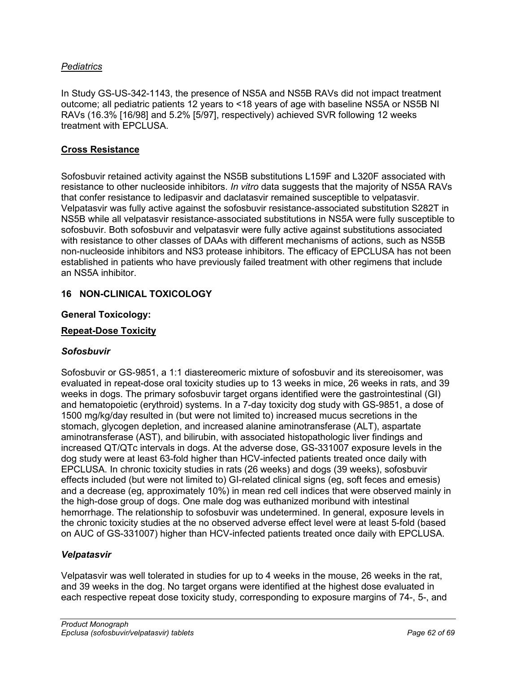## *Pediatrics*

In Study GS-US-342-1143, the presence of NS5A and NS5B RAVs did not impact treatment outcome; all pediatric patients 12 years to <18 years of age with baseline NS5A or NS5B NI RAVs (16.3% [16/98] and 5.2% [5/97], respectively) achieved SVR following 12 weeks treatment with EPCLUSA.

### **Cross Resistance**

Sofosbuvir retained activity against the NS5B substitutions L159F and L320F associated with resistance to other nucleoside inhibitors. *In vitro* data suggests that the majority of NS5A RAVs that confer resistance to ledipasvir and daclatasvir remained susceptible to velpatasvir. Velpatasvir was fully active against the sofosbuvir resistance-associated substitution S282T in NS5B while all velpatasvir resistance-associated substitutions in NS5A were fully susceptible to sofosbuvir. Both sofosbuvir and velpatasvir were fully active against substitutions associated with resistance to other classes of DAAs with different mechanisms of actions, such as NS5B non-nucleoside inhibitors and NS3 protease inhibitors. The efficacy of EPCLUSA has not been established in patients who have previously failed treatment with other regimens that include an NS5A inhibitor.

### <span id="page-61-0"></span>**16 NON-CLINICAL TOXICOLOGY**

#### **General Toxicology:**

#### **Repeat-Dose Toxicity**

## *Sofosbuvir*

Sofosbuvir or GS-9851, a 1:1 diastereomeric mixture of sofosbuvir and its stereoisomer, was evaluated in repeat-dose oral toxicity studies up to 13 weeks in mice, 26 weeks in rats, and 39 weeks in dogs. The primary sofosbuvir target organs identified were the gastrointestinal (GI) and hematopoietic (erythroid) systems. In a 7-day toxicity dog study with GS-9851, a dose of 1500 mg/kg/day resulted in (but were not limited to) increased mucus secretions in the stomach, glycogen depletion, and increased alanine aminotransferase (ALT), aspartate aminotransferase (AST), and bilirubin, with associated histopathologic liver findings and increased QT/QTc intervals in dogs. At the adverse dose, GS-331007 exposure levels in the dog study were at least 63-fold higher than HCV-infected patients treated once daily with EPCLUSA. In chronic toxicity studies in rats (26 weeks) and dogs (39 weeks), sofosbuvir effects included (but were not limited to) GI-related clinical signs (eg, soft feces and emesis) and a decrease (eg, approximately 10%) in mean red cell indices that were observed mainly in the high-dose group of dogs. One male dog was euthanized moribund with intestinal hemorrhage. The relationship to sofosbuvir was undetermined. In general, exposure levels in the chronic toxicity studies at the no observed adverse effect level were at least 5-fold (based on AUC of GS-331007) higher than HCV-infected patients treated once daily with EPCLUSA.

#### *Velpatasvir*

Velpatasvir was well tolerated in studies for up to 4 weeks in the mouse, 26 weeks in the rat, and 39 weeks in the dog. No target organs were identified at the highest dose evaluated in each respective repeat dose toxicity study, corresponding to exposure margins of 74-, 5-, and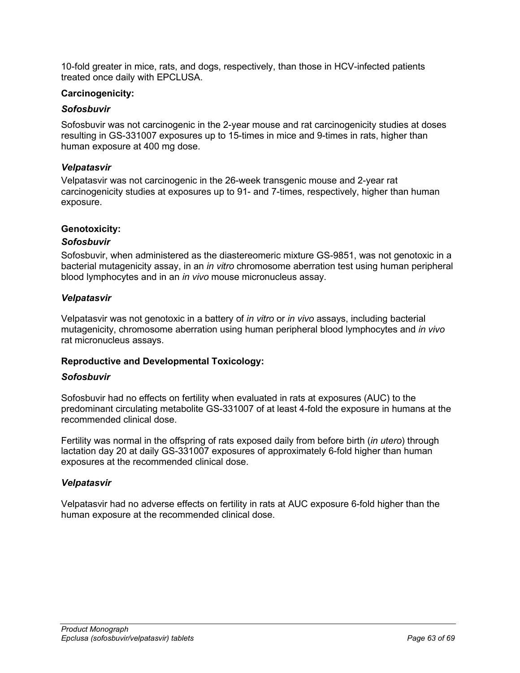10-fold greater in mice, rats, and dogs, respectively, than those in HCV-infected patients treated once daily with EPCLUSA.

### **Carcinogenicity:**

### *Sofosbuvir*

Sofosbuvir was not carcinogenic in the 2-year mouse and rat carcinogenicity studies at doses resulting in GS-331007 exposures up to 15-times in mice and 9-times in rats, higher than human exposure at 400 mg dose.

#### *Velpatasvir*

Velpatasvir was not carcinogenic in the 26-week transgenic mouse and 2-year rat carcinogenicity studies at exposures up to 91- and 7-times, respectively, higher than human exposure.

### **Genotoxicity:**

### *Sofosbuvir*

Sofosbuvir, when administered as the diastereomeric mixture GS-9851, was not genotoxic in a bacterial mutagenicity assay, in an *in vitro* chromosome aberration test using human peripheral blood lymphocytes and in an *in vivo* mouse micronucleus assay.

#### *Velpatasvir*

Velpatasvir was not genotoxic in a battery of *in vitro* or *in vivo* assays, including bacterial mutagenicity, chromosome aberration using human peripheral blood lymphocytes and *in vivo* rat micronucleus assays.

## **Reproductive and Developmental Toxicology:**

#### *Sofosbuvir*

Sofosbuvir had no effects on fertility when evaluated in rats at exposures (AUC) to the predominant circulating metabolite GS-331007 of at least 4-fold the exposure in humans at the recommended clinical dose.

Fertility was normal in the offspring of rats exposed daily from before birth (*in utero*) through lactation day 20 at daily GS-331007 exposures of approximately 6-fold higher than human exposures at the recommended clinical dose.

#### *Velpatasvir*

Velpatasvir had no adverse effects on fertility in rats at AUC exposure 6-fold higher than the human exposure at the recommended clinical dose.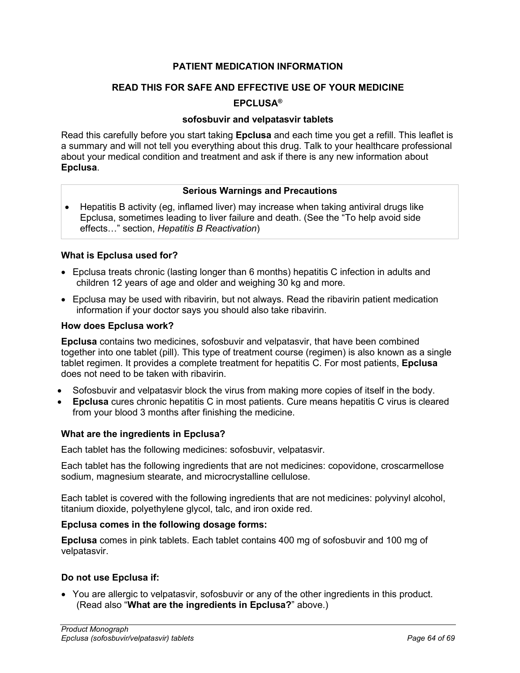## **PATIENT MEDICATION INFORMATION**

## <span id="page-63-0"></span>**READ THIS FOR SAFE AND EFFECTIVE USE OF YOUR MEDICINE**

## **EPCLUSA®**

### **sofosbuvir and velpatasvir tablets**

Read this carefully before you start taking **Epclusa** and each time you get a refill. This leaflet is a summary and will not tell you everything about this drug. Talk to your healthcare professional about your medical condition and treatment and ask if there is any new information about **Epclusa**.

### **Serious Warnings and Precautions**

• Hepatitis B activity (eg, inflamed liver) may increase when taking antiviral drugs like Epclusa, sometimes leading to liver failure and death. (See the "To help avoid side effects…" section, *Hepatitis B Reactivation*)

### **What is Epclusa used for?**

- Epclusa treats chronic (lasting longer than 6 months) hepatitis C infection in adults and children 12 years of age and older and weighing 30 kg and more.
- Epclusa may be used with ribavirin, but not always. Read the ribavirin patient medication information if your doctor says you should also take ribavirin.

#### **How does Epclusa work?**

**Epclusa** contains two medicines, sofosbuvir and velpatasvir, that have been combined together into one tablet (pill). This type of treatment course (regimen) is also known as a single tablet regimen. It provides a complete treatment for hepatitis C. For most patients, **Epclusa** does not need to be taken with ribavirin.

- Sofosbuvir and velpatasvir block the virus from making more copies of itself in the body.
- **Epclusa** cures chronic hepatitis C in most patients. Cure means hepatitis C virus is cleared from your blood 3 months after finishing the medicine.

#### **What are the ingredients in Epclusa?**

Each tablet has the following medicines: sofosbuvir, velpatasvir.

Each tablet has the following ingredients that are not medicines: copovidone, croscarmellose sodium, magnesium stearate, and microcrystalline cellulose.

Each tablet is covered with the following ingredients that are not medicines: polyvinyl alcohol, titanium dioxide, polyethylene glycol, talc, and iron oxide red.

#### **Epclusa comes in the following dosage forms:**

**Epclusa** comes in pink tablets. Each tablet contains 400 mg of sofosbuvir and 100 mg of velpatasvir.

## **Do not use Epclusa if:**

• You are allergic to velpatasvir, sofosbuvir or any of the other ingredients in this product. (Read also "**What are the ingredients in Epclusa?**" above.)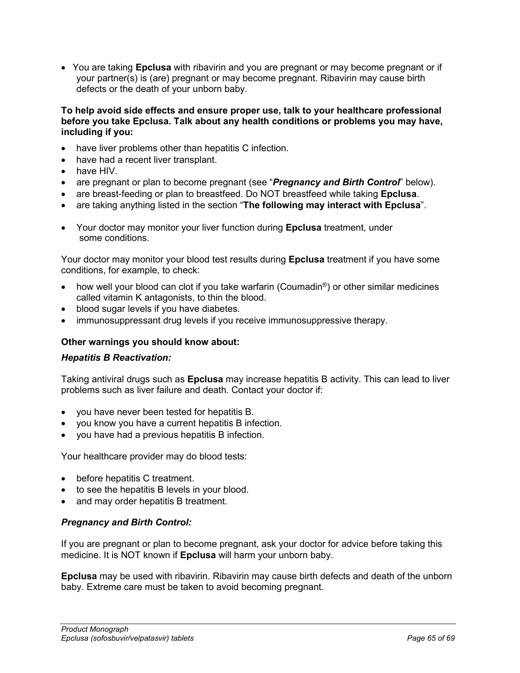• You are taking **Epclusa** with ribavirin and you are pregnant or may become pregnant or if your partner(s) is (are) pregnant or may become pregnant. Ribavirin may cause birth defects or the death of your unborn baby.

**To help avoid side effects and ensure proper use, talk to your healthcare professional before you take Epclusa. Talk about any health conditions or problems you may have, including if you:**

- have liver problems other than hepatitis C infection.
- have had a recent liver transplant.
- have HIV.
- are pregnant or plan to become pregnant (see "*Pregnancy and Birth Control*" below).
- are breast-feeding or plan to breastfeed. Do NOT breastfeed while taking **Epclusa**.
- are taking anything listed in the section "**The following may interact with Epclusa**".
- Your doctor may monitor your liver function during **Epclusa** treatment, under some conditions.

Your doctor may monitor your blood test results during **Epclusa** treatment if you have some conditions, for example, to check:

- how well your blood can clot if you take warfarin (Coumadin®) or other similar medicines called vitamin K antagonists, to thin the blood.
- blood sugar levels if you have diabetes.
- immunosuppressant drug levels if you receive immunosuppressive therapy.

#### **Other warnings you should know about:**

#### *Hepatitis B Reactivation:*

Taking antiviral drugs such as **Epclusa** may increase hepatitis B activity. This can lead to liver problems such as liver failure and death. Contact your doctor if:

- you have never been tested for hepatitis B.
- you know you have a current hepatitis B infection.
- you have had a previous hepatitis B infection.

Your healthcare provider may do blood tests:

- before hepatitis C treatment.
- to see the hepatitis B levels in your blood.
- and may order hepatitis B treatment.

#### *Pregnancy and Birth Control:*

If you are pregnant or plan to become pregnant, ask your doctor for advice before taking this medicine. It is NOT known if **Epclusa** will harm your unborn baby.

**Epclusa** may be used with ribavirin. Ribavirin may cause birth defects and death of the unborn baby. Extreme care must be taken to avoid becoming pregnant.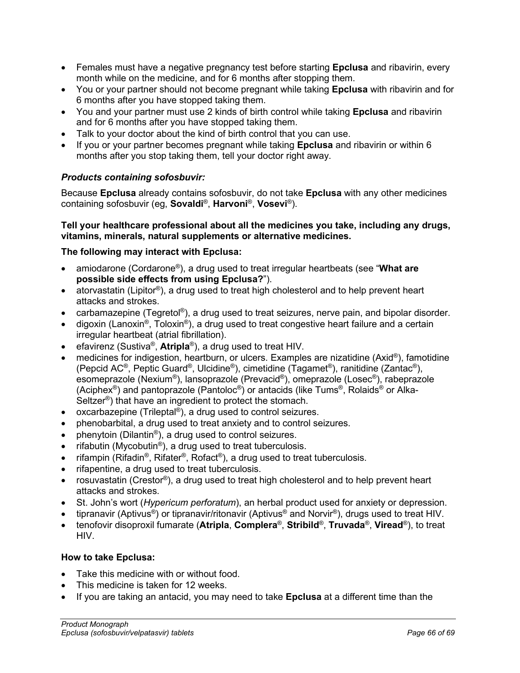- Females must have a negative pregnancy test before starting **Epclusa** and ribavirin, every month while on the medicine, and for 6 months after stopping them.
- You or your partner should not become pregnant while taking **Epclusa** with ribavirin and for 6 months after you have stopped taking them.
- You and your partner must use 2 kinds of birth control while taking **Epclusa** and ribavirin and for 6 months after you have stopped taking them.
- Talk to your doctor about the kind of birth control that you can use.
- If you or your partner becomes pregnant while taking **Epclusa** and ribavirin or within 6 months after you stop taking them, tell your doctor right away.

## *Products containing sofosbuvir:*

Because **Epclusa** already contains sofosbuvir, do not take **Epclusa** with any other medicines containing sofosbuvir (eg, **Sovaldi**®, **Harvoni**®, **Vosevi**®).

## **Tell your healthcare professional about all the medicines you take, including any drugs, vitamins, minerals, natural supplements or alternative medicines.**

## **The following may interact with Epclusa:**

- amiodarone (Cordarone®), a drug used to treat irregular heartbeats (see "**What are possible side effects from using Epclusa?**").
- atorvastatin (Lipitor®), a drug used to treat high cholesterol and to help prevent heart attacks and strokes.
- carbamazepine (Tegretol®), a drug used to treat seizures, nerve pain, and bipolar disorder.
- digoxin (Lanoxin<sup>®</sup>, Toloxin<sup>®</sup>), a drug used to treat congestive heart failure and a certain irregular heartbeat (atrial fibrillation).
- efavirenz (Sustiva®, **Atripla**®), a drug used to treat HIV.
- medicines for indigestion, heartburn, or ulcers. Examples are nizatidine (Axid®), famotidine (Pepcid AC®, Peptic Guard®, Ulcidine®), cimetidine (Tagamet®), ranitidine (Zantac®), esomeprazole (Nexium®), lansoprazole (Prevacid®), omeprazole (Losec®), rabeprazole (Aciphex<sup>®</sup>) and pantoprazole (Pantoloc<sup>®</sup>) or antacids (like Tums<sup>®</sup>, Rolaids<sup>®</sup> or Alka-Seltzer®) that have an ingredient to protect the stomach.
- oxcarbazepine (Trileptal®), a drug used to control seizures.
- phenobarbital, a drug used to treat anxiety and to control seizures.
- phenytoin (Dilantin®), a drug used to control seizures.
- rifabutin (Mycobutin<sup>®</sup>), a drug used to treat tuberculosis.
- rifampin (Rifadin<sup>®</sup>, Rifater<sup>®</sup>, Rofact<sup>®</sup>), a drug used to treat tuberculosis.
- rifapentine, a drug used to treat tuberculosis.
- rosuvastatin (Crestor®), a drug used to treat high cholesterol and to help prevent heart attacks and strokes.
- St. John's wort (*Hypericum perforatum*), an herbal product used for anxiety or depression.
- tipranavir (Aptivus®) or tipranavir/ritonavir (Aptivus® and Norvir®), drugs used to treat HIV.
- tenofovir disoproxil fumarate (**Atripla**, **Complera**®, **Stribild**®, **Truvada**®, **Viread**®), to treat HIV.

## **How to take Epclusa:**

- Take this medicine with or without food.
- This medicine is taken for 12 weeks.
- If you are taking an antacid, you may need to take **Epclusa** at a different time than the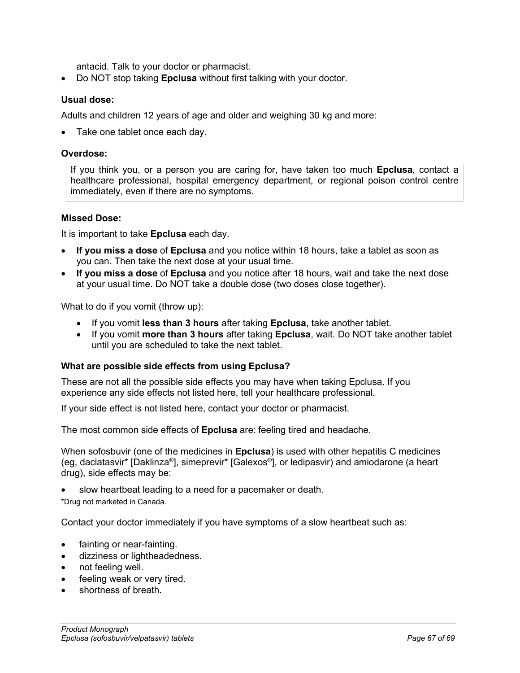antacid. Talk to your doctor or pharmacist.

• Do NOT stop taking **Epclusa** without first talking with your doctor.

### **Usual dose:**

Adults and children 12 years of age and older and weighing 30 kg and more:

Take one tablet once each day.

### **Overdose:**

If you think you, or a person you are caring for, have taken too much **Epclusa**, contact a healthcare professional, hospital emergency department, or regional poison control centre immediately, even if there are no symptoms.

### **Missed Dose:**

It is important to take **Epclusa** each day.

- **If you miss a dose** of **Epclusa** and you notice within 18 hours, take a tablet as soon as you can. Then take the next dose at your usual time.
- **If you miss a dose** of **Epclusa** and you notice after 18 hours, wait and take the next dose at your usual time. Do NOT take a double dose (two doses close together).

What to do if you vomit (throw up):

- If you vomit **less than 3 hours** after taking **Epclusa**, take another tablet.
- If you vomit **more than 3 hours** after taking **Epclusa**, wait. Do NOT take another tablet until you are scheduled to take the next tablet.

## **What are possible side effects from using Epclusa?**

These are not all the possible side effects you may have when taking Epclusa. If you experience any side effects not listed here, tell your healthcare professional.

If your side effect is not listed here, contact your doctor or pharmacist.

The most common side effects of **Epclusa** are: feeling tired and headache.

When sofosbuvir (one of the medicines in **Epclusa**) is used with other hepatitis C medicines (eg, daclatasvir\* [Daklinza®], simeprevir\* [Galexos®], or ledipasvir) and amiodarone (a heart drug), side effects may be:

slow heartbeat leading to a need for a pacemaker or death.

\*Drug not marketed in Canada.

Contact your doctor immediately if you have symptoms of a slow heartbeat such as:

- fainting or near-fainting.
- dizziness or lightheadedness.
- not feeling well.
- feeling weak or very tired.
- shortness of breath.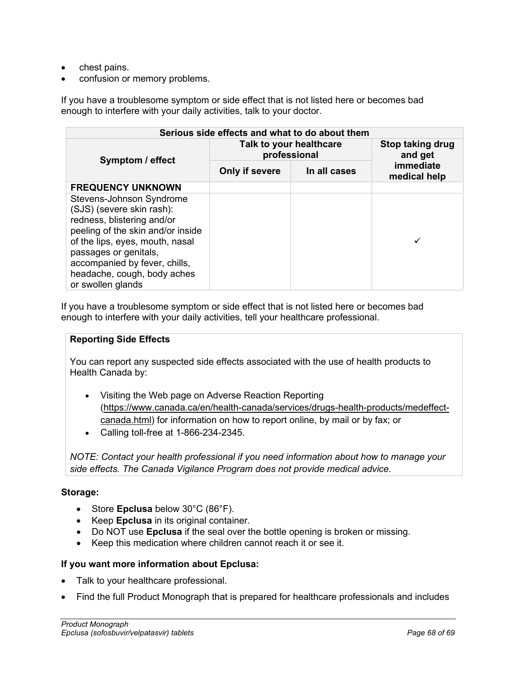- chest pains.
- confusion or memory problems.

If you have a troublesome symptom or side effect that is not listed here or becomes bad enough to interfere with your daily activities, talk to your doctor.

| Serious side effects and what to do about them                                                                                                                                                                                                                            |                                         |              |                             |  |  |  |  |
|---------------------------------------------------------------------------------------------------------------------------------------------------------------------------------------------------------------------------------------------------------------------------|-----------------------------------------|--------------|-----------------------------|--|--|--|--|
| Symptom / effect                                                                                                                                                                                                                                                          | Talk to your healthcare<br>professional |              | Stop taking drug<br>and get |  |  |  |  |
|                                                                                                                                                                                                                                                                           | Only if severe                          | In all cases | immediate<br>medical help   |  |  |  |  |
| <b>FREQUENCY UNKNOWN</b>                                                                                                                                                                                                                                                  |                                         |              |                             |  |  |  |  |
| Stevens-Johnson Syndrome<br>(SJS) (severe skin rash):<br>redness, blistering and/or<br>peeling of the skin and/or inside<br>of the lips, eyes, mouth, nasal<br>passages or genitals,<br>accompanied by fever, chills,<br>headache, cough, body aches<br>or swollen glands |                                         |              |                             |  |  |  |  |

If you have a troublesome symptom or side effect that is not listed here or becomes bad enough to interfere with your daily activities, tell your healthcare professional.

## **Reporting Side Effects**

You can report any suspected side effects associated with the use of health products to Health Canada by:

- Visiting the Web page on Adverse Reaction Reporting [\(https://www.canada.ca/en/health-canada/services/drugs-health-products/medeffect](https://www.canada.ca/en/health-canada/services/drugs-health-products/medeffect-canada.html)[canada.html\)](https://www.canada.ca/en/health-canada/services/drugs-health-products/medeffect-canada.html) for information on how to report online, by mail or by fax; or
- Calling toll-free at 1-866-234-2345.

*NOTE: Contact your health professional if you need information about how to manage your side effects. The Canada Vigilance Program does not provide medical advice.*

## **Storage:**

- Store **Epclusa** below 30°C (86°F).
- Keep **Epclusa** in its original container.
- Do NOT use **Epclusa** if the seal over the bottle opening is broken or missing.
- Keep this medication where children cannot reach it or see it.

## **If you want more information about Epclusa:**

- Talk to your healthcare professional.
- Find the full Product Monograph that is prepared for healthcare professionals and includes